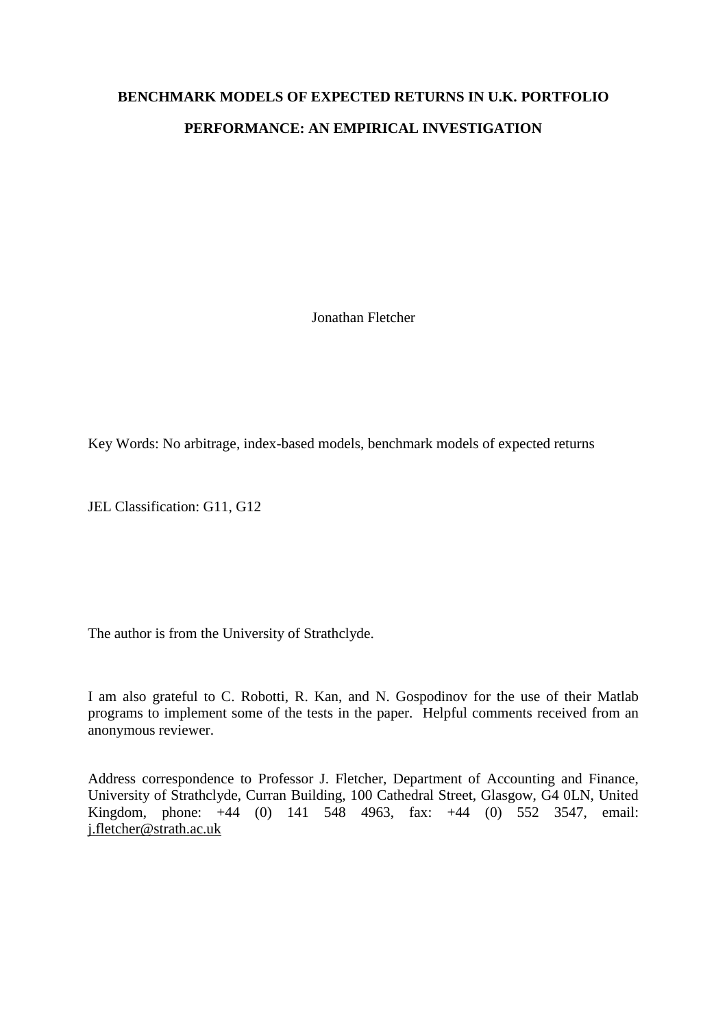# **BENCHMARK MODELS OF EXPECTED RETURNS IN U.K. PORTFOLIO PERFORMANCE: AN EMPIRICAL INVESTIGATION**

Jonathan Fletcher

Key Words: No arbitrage, index-based models, benchmark models of expected returns

JEL Classification: G11, G12

The author is from the University of Strathclyde.

I am also grateful to C. Robotti, R. Kan, and N. Gospodinov for the use of their Matlab programs to implement some of the tests in the paper. Helpful comments received from an anonymous reviewer.

Address correspondence to Professor J. Fletcher, Department of Accounting and Finance, University of Strathclyde, Curran Building, 100 Cathedral Street, Glasgow, G4 0LN, United Kingdom, phone: +44 (0) 141 548 4963, fax: +44 (0) 552 3547, email: [j.fletcher@strath.ac.uk](mailto:j.fletcher@strath.ac.uk)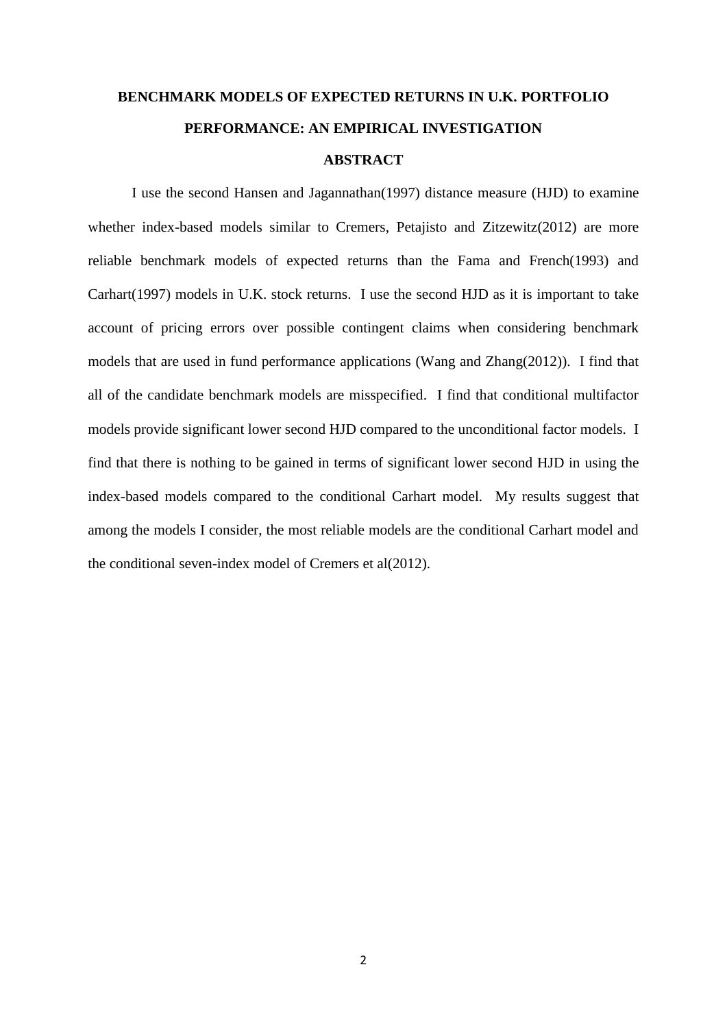# **BENCHMARK MODELS OF EXPECTED RETURNS IN U.K. PORTFOLIO PERFORMANCE: AN EMPIRICAL INVESTIGATION ABSTRACT**

I use the second Hansen and Jagannathan(1997) distance measure (HJD) to examine whether index-based models similar to Cremers, Petajisto and Zitzewitz(2012) are more reliable benchmark models of expected returns than the Fama and French(1993) and Carhart(1997) models in U.K. stock returns. I use the second HJD as it is important to take account of pricing errors over possible contingent claims when considering benchmark models that are used in fund performance applications (Wang and Zhang(2012)). I find that all of the candidate benchmark models are misspecified. I find that conditional multifactor models provide significant lower second HJD compared to the unconditional factor models. I find that there is nothing to be gained in terms of significant lower second HJD in using the index-based models compared to the conditional Carhart model. My results suggest that among the models I consider, the most reliable models are the conditional Carhart model and the conditional seven-index model of Cremers et al(2012).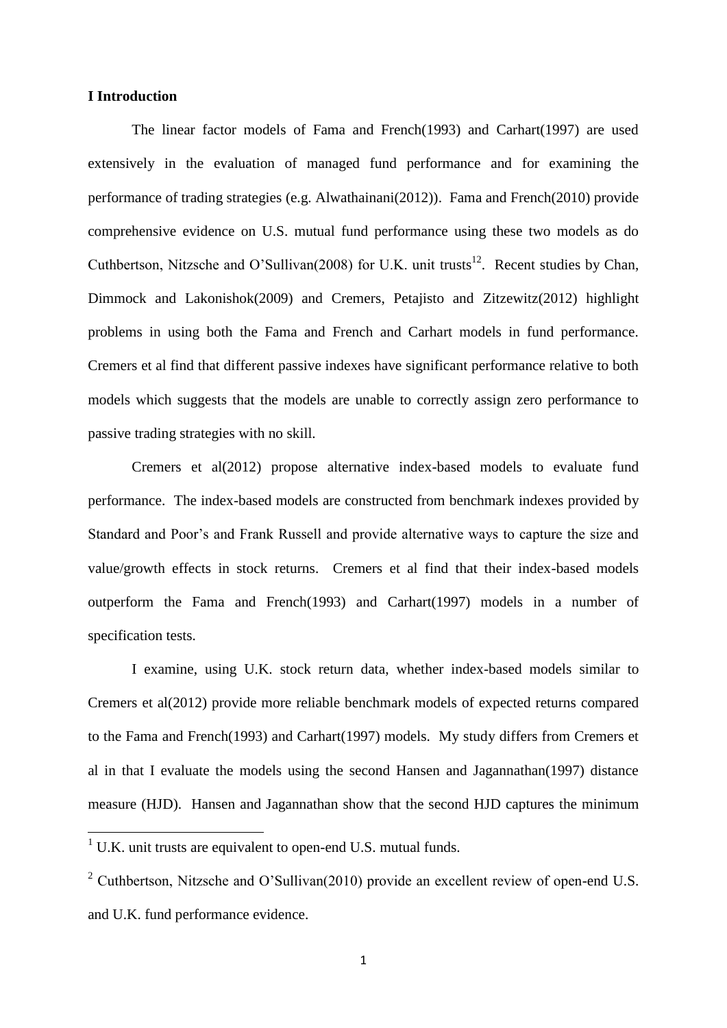## **I Introduction**

The linear factor models of Fama and French(1993) and Carhart(1997) are used extensively in the evaluation of managed fund performance and for examining the performance of trading strategies (e.g. Alwathainani(2012)). Fama and French(2010) provide comprehensive evidence on U.S. mutual fund performance using these two models as do Cuthbertson, Nitzsche and O'Sullivan(2008) for U.K. unit trusts<sup>12</sup>. Recent studies by Chan, Dimmock and Lakonishok(2009) and Cremers, Petajisto and Zitzewitz(2012) highlight problems in using both the Fama and French and Carhart models in fund performance. Cremers et al find that different passive indexes have significant performance relative to both models which suggests that the models are unable to correctly assign zero performance to passive trading strategies with no skill.

Cremers et al(2012) propose alternative index-based models to evaluate fund performance. The index-based models are constructed from benchmark indexes provided by Standard and Poor's and Frank Russell and provide alternative ways to capture the size and value/growth effects in stock returns. Cremers et al find that their index-based models outperform the Fama and French(1993) and Carhart(1997) models in a number of specification tests.

I examine, using U.K. stock return data, whether index-based models similar to Cremers et al(2012) provide more reliable benchmark models of expected returns compared to the Fama and French(1993) and Carhart(1997) models. My study differs from Cremers et al in that I evaluate the models using the second Hansen and Jagannathan(1997) distance measure (HJD). Hansen and Jagannathan show that the second HJD captures the minimum

 $\overline{\phantom{a}}$ 

 $1 \text{ U.K.}$  unit trusts are equivalent to open-end U.S. mutual funds.

<sup>2</sup> Cuthbertson, Nitzsche and O'Sullivan(2010) provide an excellent review of open-end U.S. and U.K. fund performance evidence.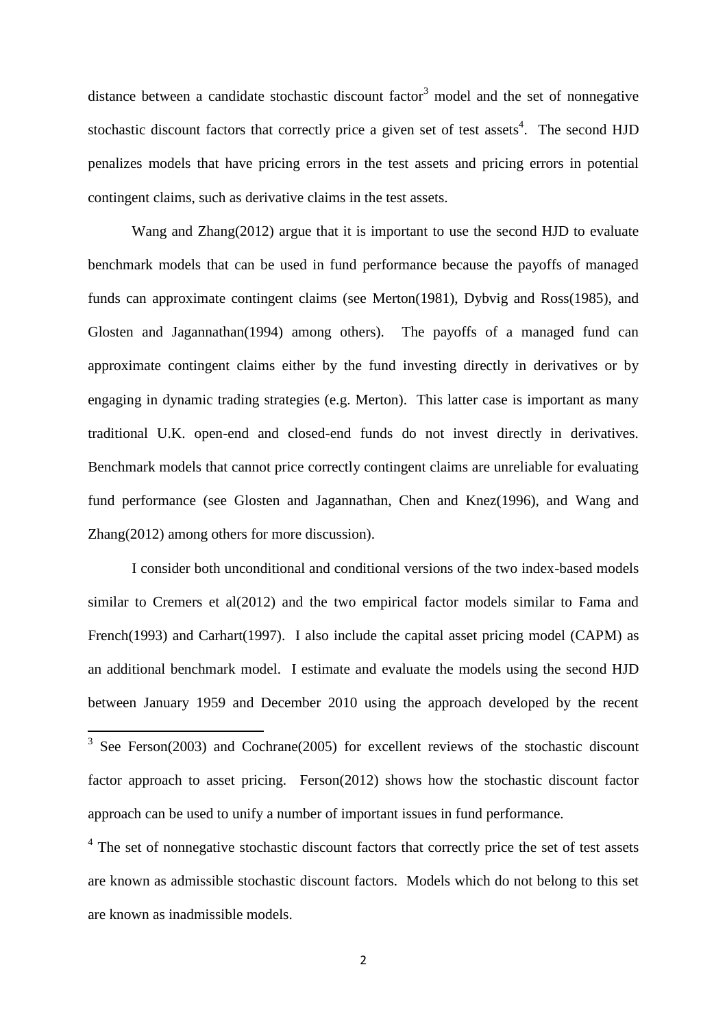distance between a candidate stochastic discount factor<sup>3</sup> model and the set of nonnegative stochastic discount factors that correctly price a given set of test assets<sup>4</sup>. The second HJD penalizes models that have pricing errors in the test assets and pricing errors in potential contingent claims, such as derivative claims in the test assets.

Wang and Zhang(2012) argue that it is important to use the second HJD to evaluate benchmark models that can be used in fund performance because the payoffs of managed funds can approximate contingent claims (see Merton(1981), Dybvig and Ross(1985), and Glosten and Jagannathan(1994) among others). The payoffs of a managed fund can approximate contingent claims either by the fund investing directly in derivatives or by engaging in dynamic trading strategies (e.g. Merton). This latter case is important as many traditional U.K. open-end and closed-end funds do not invest directly in derivatives. Benchmark models that cannot price correctly contingent claims are unreliable for evaluating fund performance (see Glosten and Jagannathan, Chen and Knez(1996), and Wang and Zhang(2012) among others for more discussion).

I consider both unconditional and conditional versions of the two index-based models similar to Cremers et al(2012) and the two empirical factor models similar to Fama and French(1993) and Carhart(1997). I also include the capital asset pricing model (CAPM) as an additional benchmark model. I estimate and evaluate the models using the second HJD between January 1959 and December 2010 using the approach developed by the recent

<sup>4</sup> The set of nonnegative stochastic discount factors that correctly price the set of test assets are known as admissible stochastic discount factors. Models which do not belong to this set are known as inadmissible models.

<sup>&</sup>lt;sup>3</sup> See Ferson(2003) and Cochrane(2005) for excellent reviews of the stochastic discount factor approach to asset pricing. Ferson(2012) shows how the stochastic discount factor approach can be used to unify a number of important issues in fund performance.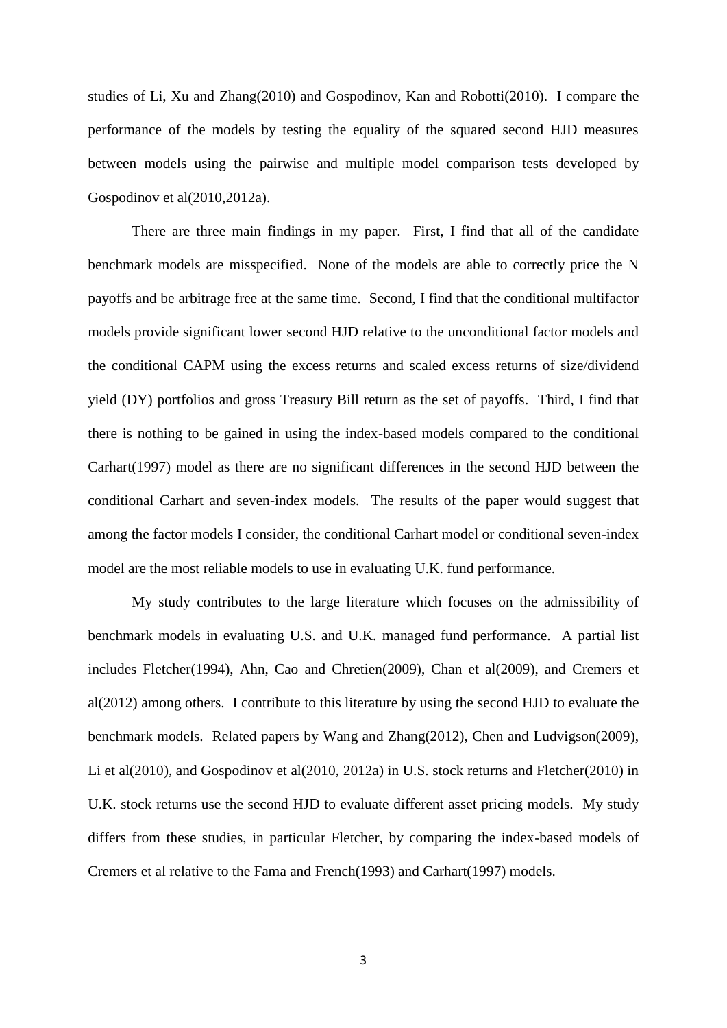studies of Li, Xu and Zhang(2010) and Gospodinov, Kan and Robotti(2010). I compare the performance of the models by testing the equality of the squared second HJD measures between models using the pairwise and multiple model comparison tests developed by Gospodinov et al(2010,2012a).

There are three main findings in my paper. First, I find that all of the candidate benchmark models are misspecified. None of the models are able to correctly price the N payoffs and be arbitrage free at the same time. Second, I find that the conditional multifactor models provide significant lower second HJD relative to the unconditional factor models and the conditional CAPM using the excess returns and scaled excess returns of size/dividend yield (DY) portfolios and gross Treasury Bill return as the set of payoffs. Third, I find that there is nothing to be gained in using the index-based models compared to the conditional Carhart(1997) model as there are no significant differences in the second HJD between the conditional Carhart and seven-index models. The results of the paper would suggest that among the factor models I consider, the conditional Carhart model or conditional seven-index model are the most reliable models to use in evaluating U.K. fund performance.

My study contributes to the large literature which focuses on the admissibility of benchmark models in evaluating U.S. and U.K. managed fund performance. A partial list includes Fletcher(1994), Ahn, Cao and Chretien(2009), Chan et al(2009), and Cremers et al(2012) among others. I contribute to this literature by using the second HJD to evaluate the benchmark models. Related papers by Wang and Zhang(2012), Chen and Ludvigson(2009), Li et al(2010), and Gospodinov et al(2010, 2012a) in U.S. stock returns and Fletcher(2010) in U.K. stock returns use the second HJD to evaluate different asset pricing models. My study differs from these studies, in particular Fletcher, by comparing the index-based models of Cremers et al relative to the Fama and French(1993) and Carhart(1997) models.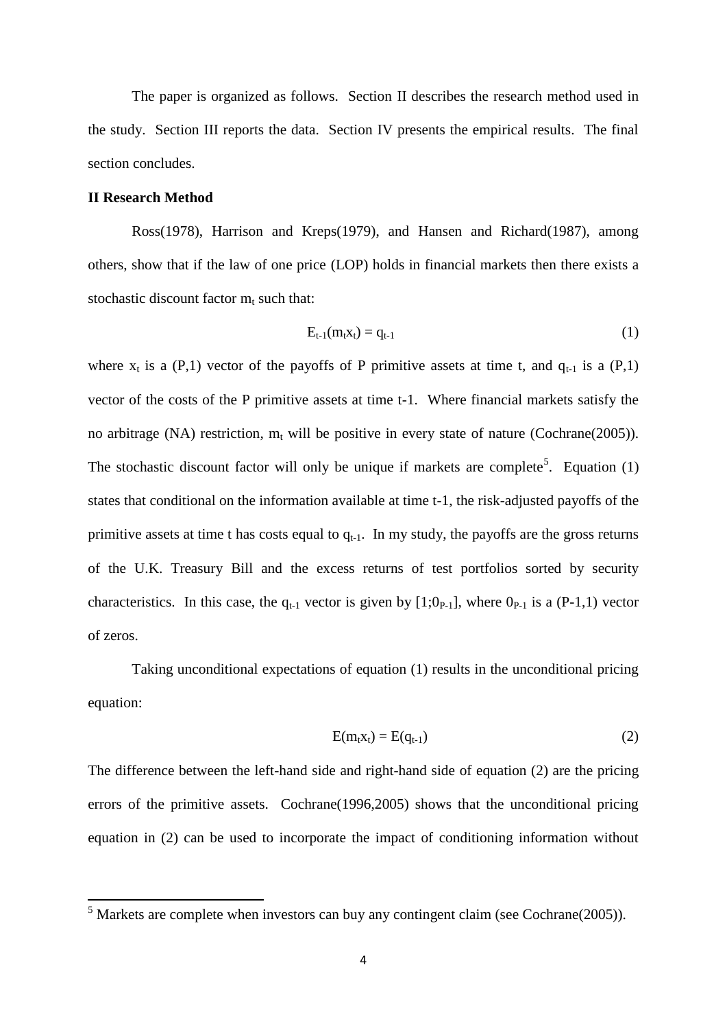The paper is organized as follows. Section II describes the research method used in the study. Section III reports the data. Section IV presents the empirical results. The final section concludes.

# **II Research Method**

**.** 

Ross(1978), Harrison and Kreps(1979), and Hansen and Richard(1987), among others, show that if the law of one price (LOP) holds in financial markets then there exists a stochastic discount factor  $m_t$  such that:

$$
E_{t-1}(m_t x_t) = q_{t-1}
$$
 (1)

where  $x_t$  is a (P,1) vector of the payoffs of P primitive assets at time t, and  $q_{t-1}$  is a (P,1) vector of the costs of the P primitive assets at time t-1. Where financial markets satisfy the no arbitrage (NA) restriction,  $m_t$  will be positive in every state of nature (Cochrane(2005)). The stochastic discount factor will only be unique if markets are complete<sup>5</sup>. Equation  $(1)$ states that conditional on the information available at time t-1, the risk-adjusted payoffs of the primitive assets at time t has costs equal to  $q_{t-1}$ . In my study, the payoffs are the gross returns of the U.K. Treasury Bill and the excess returns of test portfolios sorted by security characteristics. In this case, the  $q_{t-1}$  vector is given by [1;0<sub>P-1</sub>], where 0<sub>P-1</sub> is a (P-1,1) vector of zeros.

Taking unconditional expectations of equation (1) results in the unconditional pricing equation:

$$
E(m_t x_t) = E(q_{t-1})
$$
\n<sup>(2)</sup>

The difference between the left-hand side and right-hand side of equation (2) are the pricing errors of the primitive assets. Cochrane(1996,2005) shows that the unconditional pricing equation in (2) can be used to incorporate the impact of conditioning information without

 $<sup>5</sup>$  Markets are complete when investors can buy any contingent claim (see Cochrane(2005)).</sup>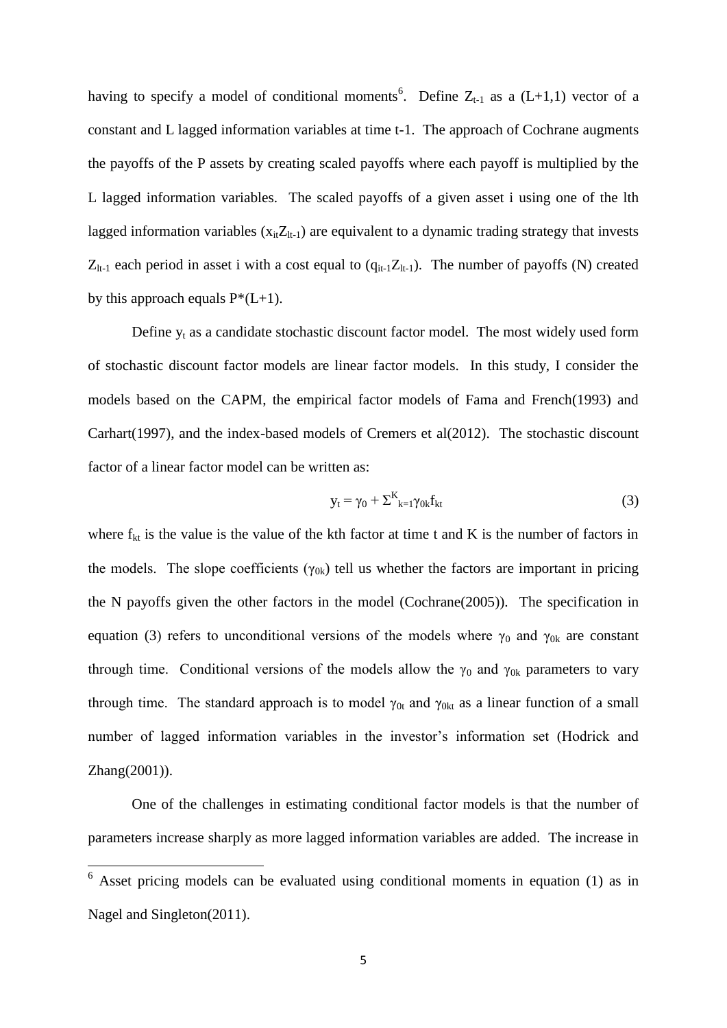having to specify a model of conditional moments<sup>6</sup>. Define  $Z_{t-1}$  as a (L+1,1) vector of a constant and L lagged information variables at time t-1. The approach of Cochrane augments the payoffs of the P assets by creating scaled payoffs where each payoff is multiplied by the L lagged information variables. The scaled payoffs of a given asset i using one of the lth lagged information variables  $(x_{it}Z_{lt-1})$  are equivalent to a dynamic trading strategy that invests  $Z_{lt-1}$  each period in asset i with a cost equal to  $(q_{it-1}Z_{lt-1})$ . The number of payoffs (N) created by this approach equals  $P^*(L+1)$ .

Define  $y_t$  as a candidate stochastic discount factor model. The most widely used form of stochastic discount factor models are linear factor models. In this study, I consider the models based on the CAPM, the empirical factor models of Fama and French(1993) and Carhart(1997), and the index-based models of Cremers et al(2012). The stochastic discount factor of a linear factor model can be written as:

$$
y_t = \gamma_0 + \Sigma_{k=1}^K \gamma_{0k} f_{kt}
$$
 (3)

where  $f_{kt}$  is the value is the value of the kth factor at time t and K is the number of factors in the models. The slope coefficients ( $\gamma_{0k}$ ) tell us whether the factors are important in pricing the N payoffs given the other factors in the model (Cochrane(2005)). The specification in equation (3) refers to unconditional versions of the models where  $\gamma_0$  and  $\gamma_{0k}$  are constant through time. Conditional versions of the models allow the  $\gamma_0$  and  $\gamma_{0k}$  parameters to vary through time. The standard approach is to model  $\gamma_{0t}$  and  $\gamma_{0kt}$  as a linear function of a small number of lagged information variables in the investor's information set (Hodrick and Zhang(2001)).

One of the challenges in estimating conditional factor models is that the number of parameters increase sharply as more lagged information variables are added. The increase in

1

 $6$  Asset pricing models can be evaluated using conditional moments in equation (1) as in Nagel and Singleton(2011).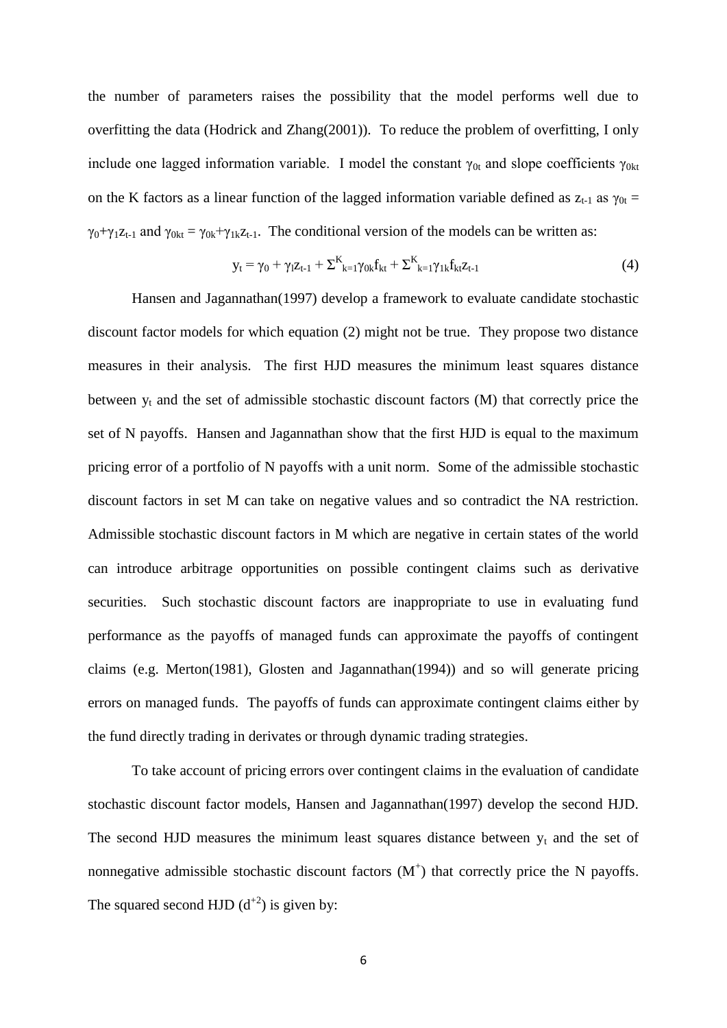the number of parameters raises the possibility that the model performs well due to overfitting the data (Hodrick and Zhang(2001)). To reduce the problem of overfitting, I only include one lagged information variable. I model the constant  $\gamma_{0t}$  and slope coefficients  $\gamma_{0kt}$ on the K factors as a linear function of the lagged information variable defined as  $z_{t-1}$  as  $\gamma_{0t} =$  $\gamma_0+\gamma_1z_{t-1}$  and  $\gamma_{0kt} = \gamma_{0k}+\gamma_{1k}z_{t-1}$ . The conditional version of the models can be written as:

$$
y_{t} = \gamma_{0} + \gamma_{1} z_{t-1} + \Sigma^{K}_{k=1} \gamma_{0k} f_{kt} + \Sigma^{K}_{k=1} \gamma_{1k} f_{kt} z_{t-1}
$$
(4)

Hansen and Jagannathan(1997) develop a framework to evaluate candidate stochastic discount factor models for which equation (2) might not be true. They propose two distance measures in their analysis. The first HJD measures the minimum least squares distance between  $y_t$  and the set of admissible stochastic discount factors  $(M)$  that correctly price the set of N payoffs. Hansen and Jagannathan show that the first HJD is equal to the maximum pricing error of a portfolio of N payoffs with a unit norm. Some of the admissible stochastic discount factors in set M can take on negative values and so contradict the NA restriction. Admissible stochastic discount factors in M which are negative in certain states of the world can introduce arbitrage opportunities on possible contingent claims such as derivative securities. Such stochastic discount factors are inappropriate to use in evaluating fund performance as the payoffs of managed funds can approximate the payoffs of contingent claims (e.g. Merton(1981), Glosten and Jagannathan(1994)) and so will generate pricing errors on managed funds. The payoffs of funds can approximate contingent claims either by the fund directly trading in derivates or through dynamic trading strategies.

To take account of pricing errors over contingent claims in the evaluation of candidate stochastic discount factor models, Hansen and Jagannathan(1997) develop the second HJD. The second HJD measures the minimum least squares distance between  $y_t$  and the set of nonnegative admissible stochastic discount factors  $(M<sup>+</sup>)$  that correctly price the N payoffs. The squared second HJD  $(d^{+2})$  is given by: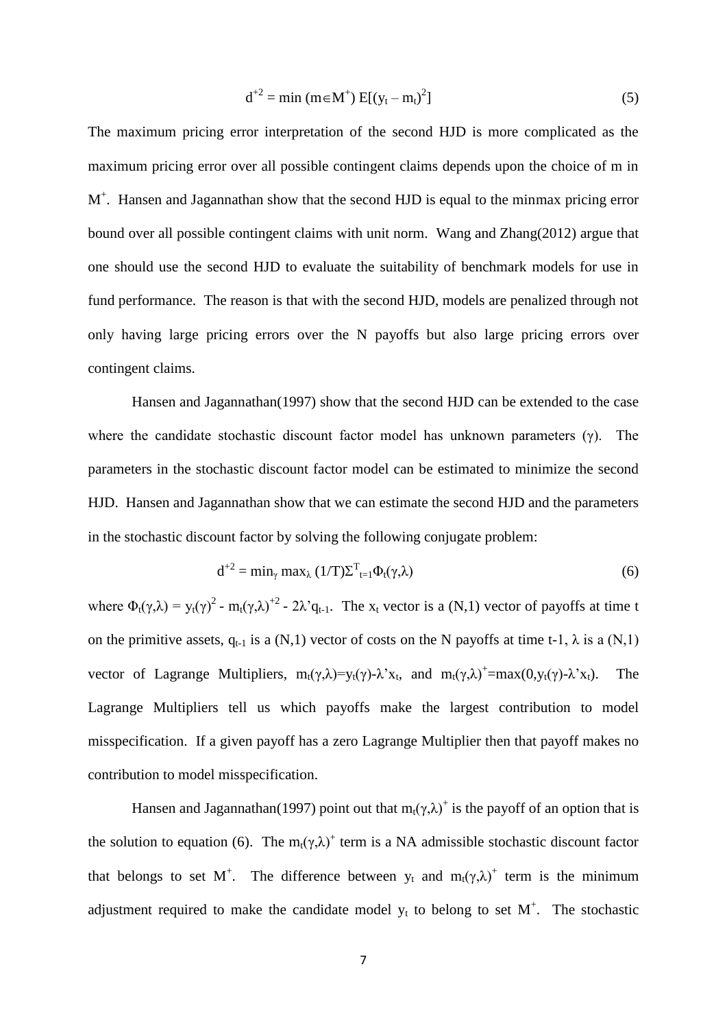$$
d^{+2} = \min (m \in M^{+}) E[(y_t - m_t)^2]
$$
 (5)

The maximum pricing error interpretation of the second HJD is more complicated as the maximum pricing error over all possible contingent claims depends upon the choice of m in M<sup>+</sup>. Hansen and Jagannathan show that the second HJD is equal to the minmax pricing error bound over all possible contingent claims with unit norm. Wang and Zhang(2012) argue that one should use the second HJD to evaluate the suitability of benchmark models for use in fund performance. The reason is that with the second HJD, models are penalized through not only having large pricing errors over the N payoffs but also large pricing errors over contingent claims.

Hansen and Jagannathan(1997) show that the second HJD can be extended to the case where the candidate stochastic discount factor model has unknown parameters  $(\gamma)$ . The parameters in the stochastic discount factor model can be estimated to minimize the second HJD. Hansen and Jagannathan show that we can estimate the second HJD and the parameters in the stochastic discount factor by solving the following conjugate problem:

$$
d^{+2} = \min_{\gamma} \max_{\lambda} (1/T) \Sigma^{T}{}_{t=1} \Phi_{t}(\gamma, \lambda)
$$
 (6)

where  $\Phi_t(\gamma,\lambda) = y_t(\gamma)^2 - m_t(\gamma,\lambda)^{2} - 2\lambda^2 q_{t-1}$ . The  $x_t$  vector is a (N,1) vector of payoffs at time t on the primitive assets,  $q_{t-1}$  is a (N,1) vector of costs on the N payoffs at time t-1,  $\lambda$  is a (N,1) vector of Lagrange Multipliers,  $m_t(\gamma, \lambda) = y_t(\gamma) - \lambda^2 x_t$ , and  $m_t(\gamma, \lambda)^+ = \max(0, y_t(\gamma) - \lambda^2 x_t)$ . The Lagrange Multipliers tell us which payoffs make the largest contribution to model misspecification. If a given payoff has a zero Lagrange Multiplier then that payoff makes no contribution to model misspecification.

Hansen and Jagannathan(1997) point out that  $m_t(\gamma, \lambda)^+$  is the payoff of an option that is the solution to equation (6). The  $m_t(\gamma, \lambda)^+$  term is a NA admissible stochastic discount factor that belongs to set M<sup>+</sup>. The difference between  $y_t$  and  $m_t(\gamma,\lambda)$ <sup>+</sup> term is the minimum adjustment required to make the candidate model  $y_t$  to belong to set  $M^+$ . The stochastic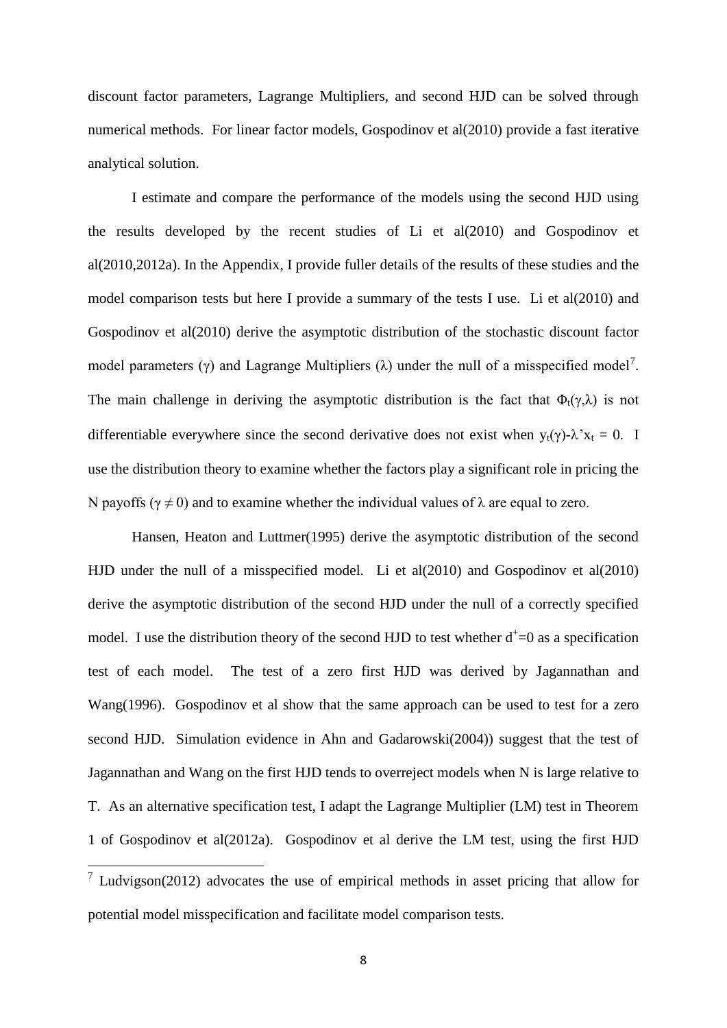discount factor parameters, Lagrange Multipliers, and second HJD can be solved through numerical methods. For linear factor models, Gospodinov et al(2010) provide a fast iterative analytical solution.

I estimate and compare the performance of the models using the second HJD using the results developed by the recent studies of Li et al(2010) and Gospodinov et al(2010,2012a). In the Appendix, I provide fuller details of the results of these studies and the model comparison tests but here I provide a summary of the tests I use. Li et al(2010) and Gospodinov et al(2010) derive the asymptotic distribution of the stochastic discount factor model parameters ( $\gamma$ ) and Lagrange Multipliers ( $\lambda$ ) under the null of a misspecified model<sup>7</sup>. The main challenge in deriving the asymptotic distribution is the fact that  $\Phi_t(\gamma,\lambda)$  is not differentiable everywhere since the second derivative does not exist when  $y_t(\gamma) - \lambda' x_t = 0$ . I use the distribution theory to examine whether the factors play a significant role in pricing the N payoffs ( $\gamma \neq 0$ ) and to examine whether the individual values of  $\lambda$  are equal to zero.

Hansen, Heaton and Luttmer(1995) derive the asymptotic distribution of the second HJD under the null of a misspecified model. Li et al(2010) and Gospodinov et al(2010) derive the asymptotic distribution of the second HJD under the null of a correctly specified model. I use the distribution theory of the second HJD to test whether  $d^+=0$  as a specification test of each model. The test of a zero first HJD was derived by Jagannathan and Wang(1996). Gospodinov et al show that the same approach can be used to test for a zero second HJD. Simulation evidence in Ahn and Gadarowski(2004)) suggest that the test of Jagannathan and Wang on the first HJD tends to overreject models when N is large relative to T. As an alternative specification test, I adapt the Lagrange Multiplier (LM) test in Theorem 1 of Gospodinov et al(2012a). Gospodinov et al derive the LM test, using the first HJD

 $\overline{a}$  Ludvigson(2012) advocates the use of empirical methods in asset pricing that allow for potential model misspecification and facilitate model comparison tests.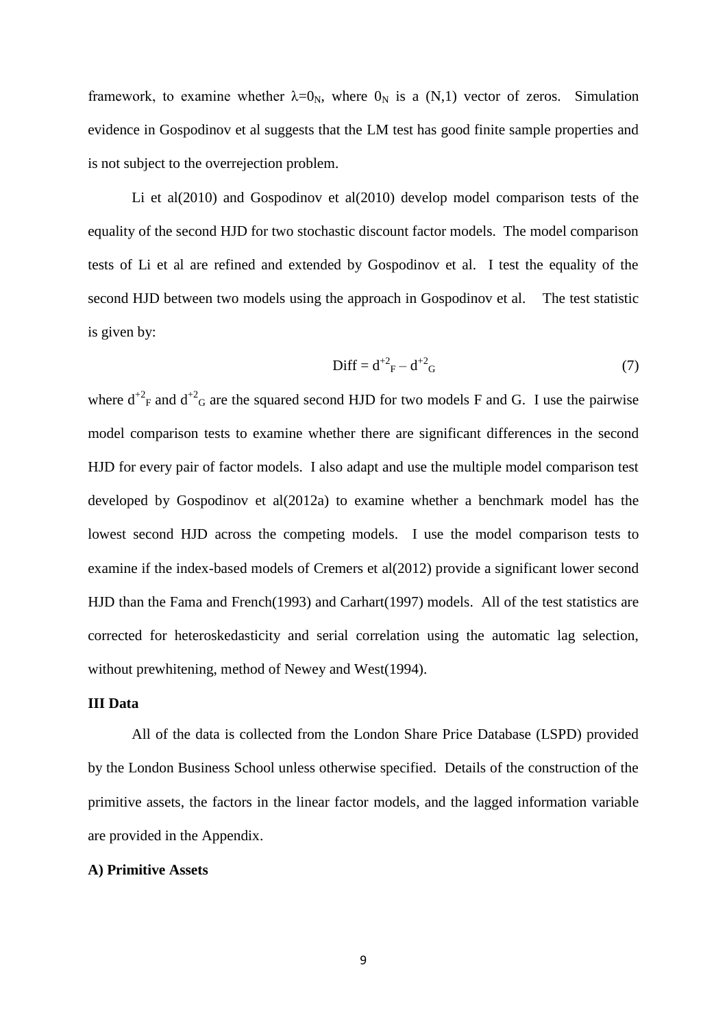framework, to examine whether  $\lambda = 0_N$ , where  $0_N$  is a (N,1) vector of zeros. Simulation evidence in Gospodinov et al suggests that the LM test has good finite sample properties and is not subject to the overrejection problem.

Li et al(2010) and Gospodinov et al(2010) develop model comparison tests of the equality of the second HJD for two stochastic discount factor models. The model comparison tests of Li et al are refined and extended by Gospodinov et al. I test the equality of the second HJD between two models using the approach in Gospodinov et al. The test statistic is given by:

$$
Diff = d^{+2}{}_{F} - d^{+2}{}_{G}
$$
 (7)

where  $d^{2}F$  and  $d^{2}G$  are the squared second HJD for two models F and G. I use the pairwise model comparison tests to examine whether there are significant differences in the second HJD for every pair of factor models. I also adapt and use the multiple model comparison test developed by Gospodinov et al(2012a) to examine whether a benchmark model has the lowest second HJD across the competing models. I use the model comparison tests to examine if the index-based models of Cremers et al $(2012)$  provide a significant lower second HJD than the Fama and French(1993) and Carhart(1997) models. All of the test statistics are corrected for heteroskedasticity and serial correlation using the automatic lag selection, without prewhitening, method of Newey and West(1994).

# **III Data**

All of the data is collected from the London Share Price Database (LSPD) provided by the London Business School unless otherwise specified. Details of the construction of the primitive assets, the factors in the linear factor models, and the lagged information variable are provided in the Appendix.

## **A) Primitive Assets**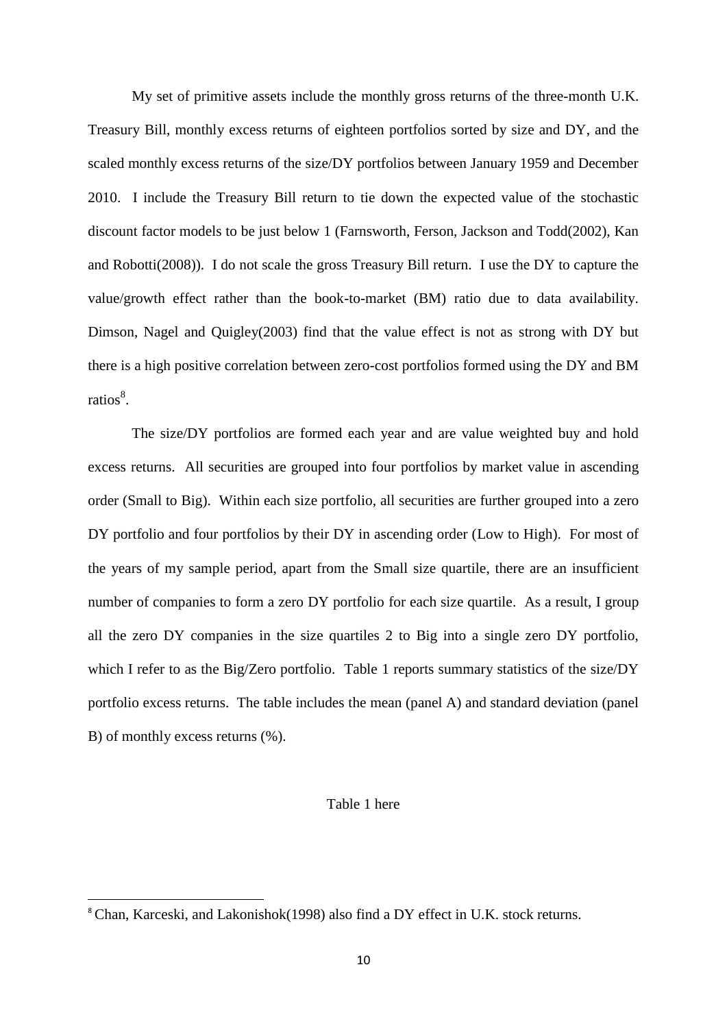My set of primitive assets include the monthly gross returns of the three-month U.K. Treasury Bill, monthly excess returns of eighteen portfolios sorted by size and DY, and the scaled monthly excess returns of the size/DY portfolios between January 1959 and December 2010. I include the Treasury Bill return to tie down the expected value of the stochastic discount factor models to be just below 1 (Farnsworth, Ferson, Jackson and Todd(2002), Kan and Robotti(2008)). I do not scale the gross Treasury Bill return. I use the DY to capture the value/growth effect rather than the book-to-market (BM) ratio due to data availability. Dimson, Nagel and Quigley(2003) find that the value effect is not as strong with DY but there is a high positive correlation between zero-cost portfolios formed using the DY and BM ratios<sup>8</sup>.

The size/DY portfolios are formed each year and are value weighted buy and hold excess returns. All securities are grouped into four portfolios by market value in ascending order (Small to Big). Within each size portfolio, all securities are further grouped into a zero DY portfolio and four portfolios by their DY in ascending order (Low to High). For most of the years of my sample period, apart from the Small size quartile, there are an insufficient number of companies to form a zero DY portfolio for each size quartile. As a result, I group all the zero DY companies in the size quartiles 2 to Big into a single zero DY portfolio, which I refer to as the Big/Zero portfolio. Table 1 reports summary statistics of the size/DY portfolio excess returns. The table includes the mean (panel A) and standard deviation (panel B) of monthly excess returns (%).

## Table 1 here

 $\overline{\phantom{a}}$ 

<sup>&</sup>lt;sup>8</sup> Chan, Karceski, and Lakonishok(1998) also find a DY effect in U.K. stock returns.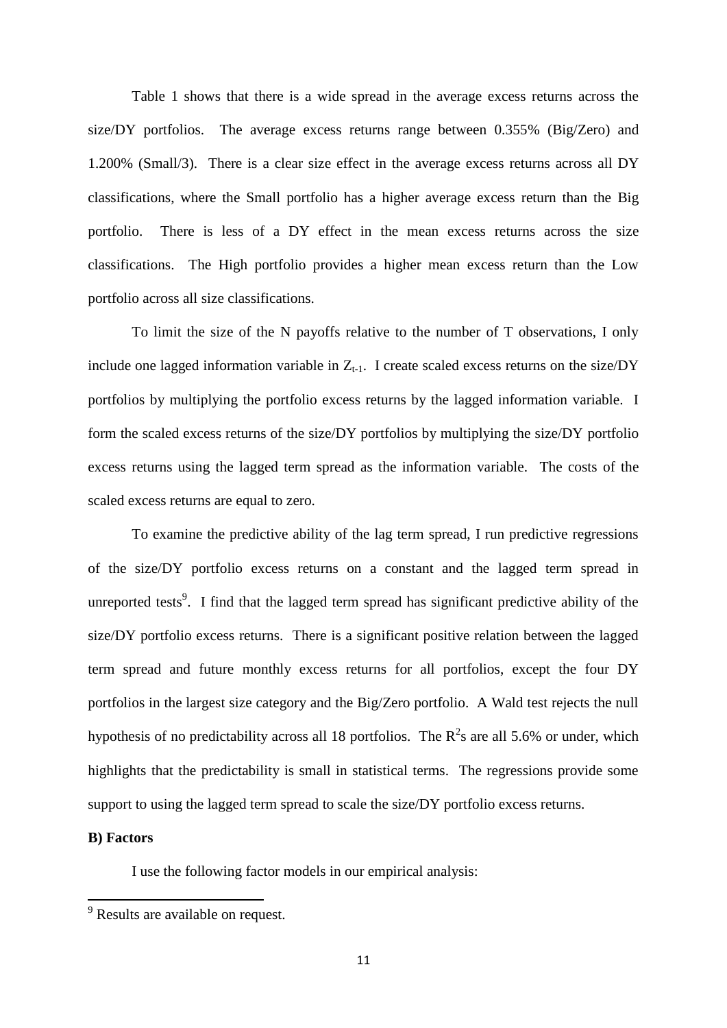Table 1 shows that there is a wide spread in the average excess returns across the size/DY portfolios. The average excess returns range between  $0.355\%$  (Big/Zero) and 1.200% (Small/3). There is a clear size effect in the average excess returns across all DY classifications, where the Small portfolio has a higher average excess return than the Big portfolio. There is less of a DY effect in the mean excess returns across the size classifications. The High portfolio provides a higher mean excess return than the Low portfolio across all size classifications.

To limit the size of the N payoffs relative to the number of T observations, I only include one lagged information variable in  $Z_{t-1}$ . I create scaled excess returns on the size/DY portfolios by multiplying the portfolio excess returns by the lagged information variable. I form the scaled excess returns of the size/DY portfolios by multiplying the size/DY portfolio excess returns using the lagged term spread as the information variable. The costs of the scaled excess returns are equal to zero.

To examine the predictive ability of the lag term spread, I run predictive regressions of the size/DY portfolio excess returns on a constant and the lagged term spread in unreported tests<sup>9</sup>. I find that the lagged term spread has significant predictive ability of the size/DY portfolio excess returns. There is a significant positive relation between the lagged term spread and future monthly excess returns for all portfolios, except the four DY portfolios in the largest size category and the Big/Zero portfolio. A Wald test rejects the null hypothesis of no predictability across all 18 portfolios. The  $R^2$ s are all 5.6% or under, which highlights that the predictability is small in statistical terms. The regressions provide some support to using the lagged term spread to scale the size/DY portfolio excess returns.

# **B) Factors**

**.** 

I use the following factor models in our empirical analysis:

<sup>&</sup>lt;sup>9</sup> Results are available on request.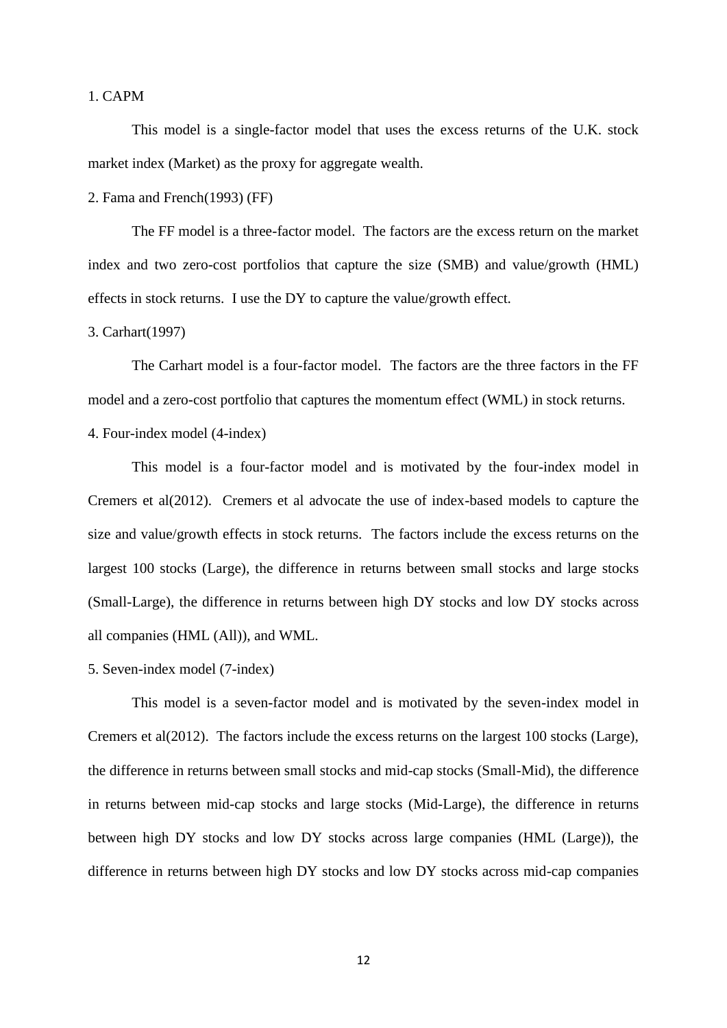## 1. CAPM

This model is a single-factor model that uses the excess returns of the U.K. stock market index (Market) as the proxy for aggregate wealth.

2. Fama and French(1993) (FF)

The FF model is a three-factor model. The factors are the excess return on the market index and two zero-cost portfolios that capture the size (SMB) and value/growth (HML) effects in stock returns. I use the DY to capture the value/growth effect.

#### 3. Carhart(1997)

The Carhart model is a four-factor model. The factors are the three factors in the FF model and a zero-cost portfolio that captures the momentum effect (WML) in stock returns.

4. Four-index model (4-index)

This model is a four-factor model and is motivated by the four-index model in Cremers et al(2012). Cremers et al advocate the use of index-based models to capture the size and value/growth effects in stock returns. The factors include the excess returns on the largest 100 stocks (Large), the difference in returns between small stocks and large stocks (Small-Large), the difference in returns between high DY stocks and low DY stocks across all companies (HML (All)), and WML.

5. Seven-index model (7-index)

This model is a seven-factor model and is motivated by the seven-index model in Cremers et al(2012). The factors include the excess returns on the largest 100 stocks (Large), the difference in returns between small stocks and mid-cap stocks (Small-Mid), the difference in returns between mid-cap stocks and large stocks (Mid-Large), the difference in returns between high DY stocks and low DY stocks across large companies (HML (Large)), the difference in returns between high DY stocks and low DY stocks across mid-cap companies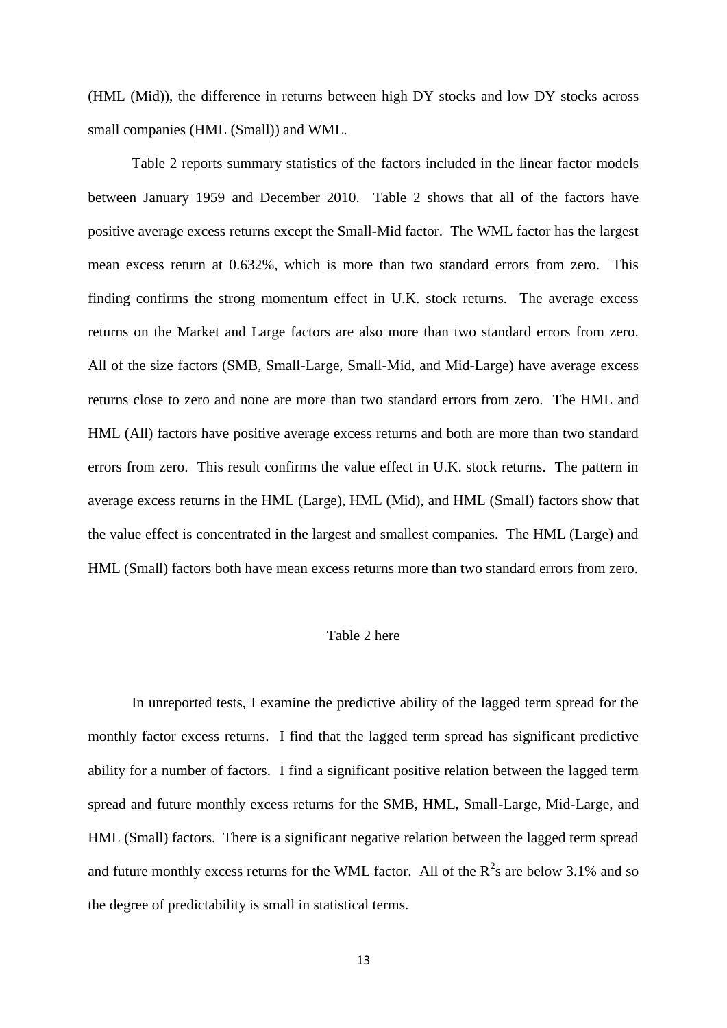(HML (Mid)), the difference in returns between high DY stocks and low DY stocks across small companies (HML (Small)) and WML.

Table 2 reports summary statistics of the factors included in the linear factor models between January 1959 and December 2010. Table 2 shows that all of the factors have positive average excess returns except the Small-Mid factor. The WML factor has the largest mean excess return at 0.632%, which is more than two standard errors from zero. This finding confirms the strong momentum effect in U.K. stock returns. The average excess returns on the Market and Large factors are also more than two standard errors from zero. All of the size factors (SMB, Small-Large, Small-Mid, and Mid-Large) have average excess returns close to zero and none are more than two standard errors from zero. The HML and HML (All) factors have positive average excess returns and both are more than two standard errors from zero. This result confirms the value effect in U.K. stock returns. The pattern in average excess returns in the HML (Large), HML (Mid), and HML (Small) factors show that the value effect is concentrated in the largest and smallest companies. The HML (Large) and HML (Small) factors both have mean excess returns more than two standard errors from zero.

# Table 2 here

In unreported tests, I examine the predictive ability of the lagged term spread for the monthly factor excess returns. I find that the lagged term spread has significant predictive ability for a number of factors. I find a significant positive relation between the lagged term spread and future monthly excess returns for the SMB, HML, Small-Large, Mid-Large, and HML (Small) factors. There is a significant negative relation between the lagged term spread and future monthly excess returns for the WML factor. All of the  $R^2$ s are below 3.1% and so the degree of predictability is small in statistical terms.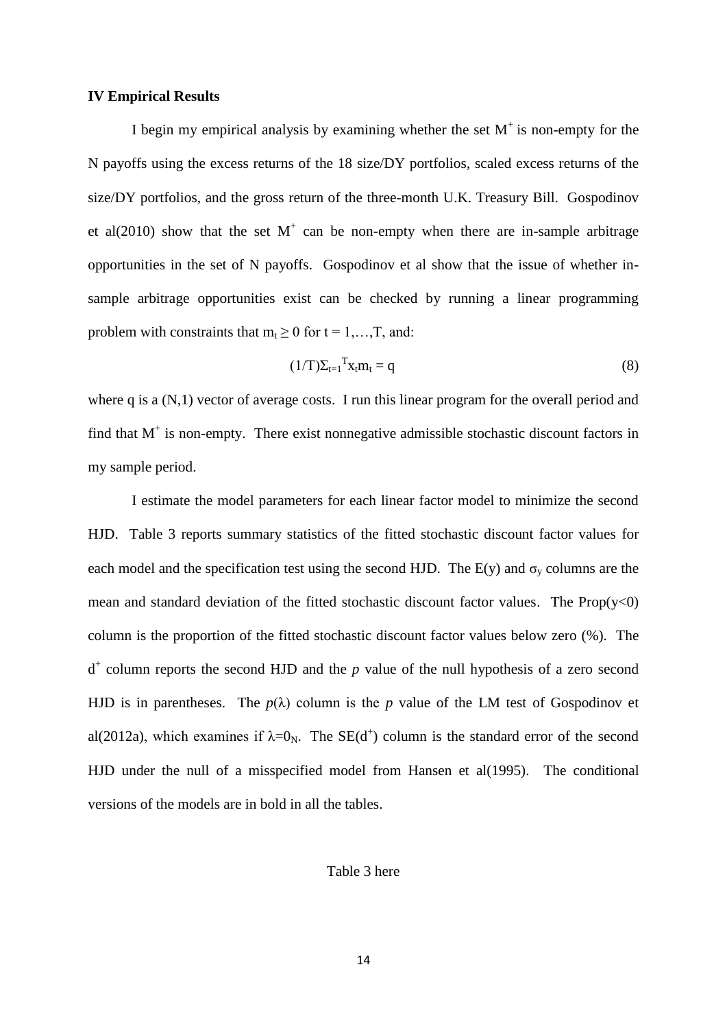#### **IV Empirical Results**

I begin my empirical analysis by examining whether the set  $M^+$  is non-empty for the N payoffs using the excess returns of the 18 size/DY portfolios, scaled excess returns of the size/DY portfolios, and the gross return of the three-month U.K. Treasury Bill. Gospodinov et al $(2010)$  show that the set M<sup>+</sup> can be non-empty when there are in-sample arbitrage opportunities in the set of N payoffs. Gospodinov et al show that the issue of whether insample arbitrage opportunities exist can be checked by running a linear programming problem with constraints that  $m_t \geq 0$  for  $t = 1, \ldots, T$ , and:

$$
(1/T)\Sigma_{t=1}^{\mathrm{T}}\mathbf{x}_{t}\mathbf{m}_{t}=\mathbf{q}\tag{8}
$$

where q is a  $(N,1)$  vector of average costs. I run this linear program for the overall period and find that  $M^+$  is non-empty. There exist nonnegative admissible stochastic discount factors in my sample period.

I estimate the model parameters for each linear factor model to minimize the second HJD. Table 3 reports summary statistics of the fitted stochastic discount factor values for each model and the specification test using the second HJD. The  $E(y)$  and  $\sigma_y$  columns are the mean and standard deviation of the fitted stochastic discount factor values. The  $Prop(y<0)$ column is the proportion of the fitted stochastic discount factor values below zero (%). The  $d^+$  column reports the second HJD and the  $p$  value of the null hypothesis of a zero second HJD is in parentheses. The  $p(\lambda)$  column is the p value of the LM test of Gospodinov et al(2012a), which examines if  $\lambda=0_N$ . The SE(d<sup>+</sup>) column is the standard error of the second HJD under the null of a misspecified model from Hansen et al(1995). The conditional versions of the models are in bold in all the tables.

Table 3 here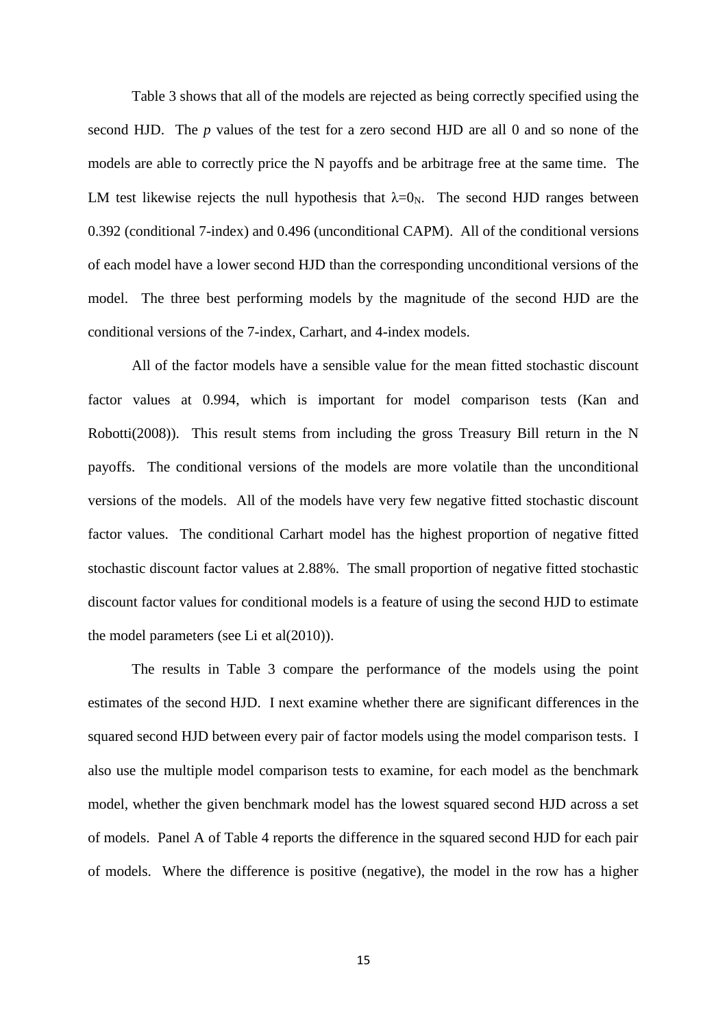Table 3 shows that all of the models are rejected as being correctly specified using the second HJD. The *p* values of the test for a zero second HJD are all 0 and so none of the models are able to correctly price the N payoffs and be arbitrage free at the same time. The LM test likewise rejects the null hypothesis that  $\lambda = 0_N$ . The second HJD ranges between 0.392 (conditional 7-index) and 0.496 (unconditional CAPM). All of the conditional versions of each model have a lower second HJD than the corresponding unconditional versions of the model. The three best performing models by the magnitude of the second HJD are the conditional versions of the 7-index, Carhart, and 4-index models.

All of the factor models have a sensible value for the mean fitted stochastic discount factor values at 0.994, which is important for model comparison tests (Kan and Robotti(2008)). This result stems from including the gross Treasury Bill return in the N payoffs. The conditional versions of the models are more volatile than the unconditional versions of the models. All of the models have very few negative fitted stochastic discount factor values. The conditional Carhart model has the highest proportion of negative fitted stochastic discount factor values at 2.88%. The small proportion of negative fitted stochastic discount factor values for conditional models is a feature of using the second HJD to estimate the model parameters (see Li et al(2010)).

The results in Table 3 compare the performance of the models using the point estimates of the second HJD. I next examine whether there are significant differences in the squared second HJD between every pair of factor models using the model comparison tests. I also use the multiple model comparison tests to examine, for each model as the benchmark model, whether the given benchmark model has the lowest squared second HJD across a set of models. Panel A of Table 4 reports the difference in the squared second HJD for each pair of models. Where the difference is positive (negative), the model in the row has a higher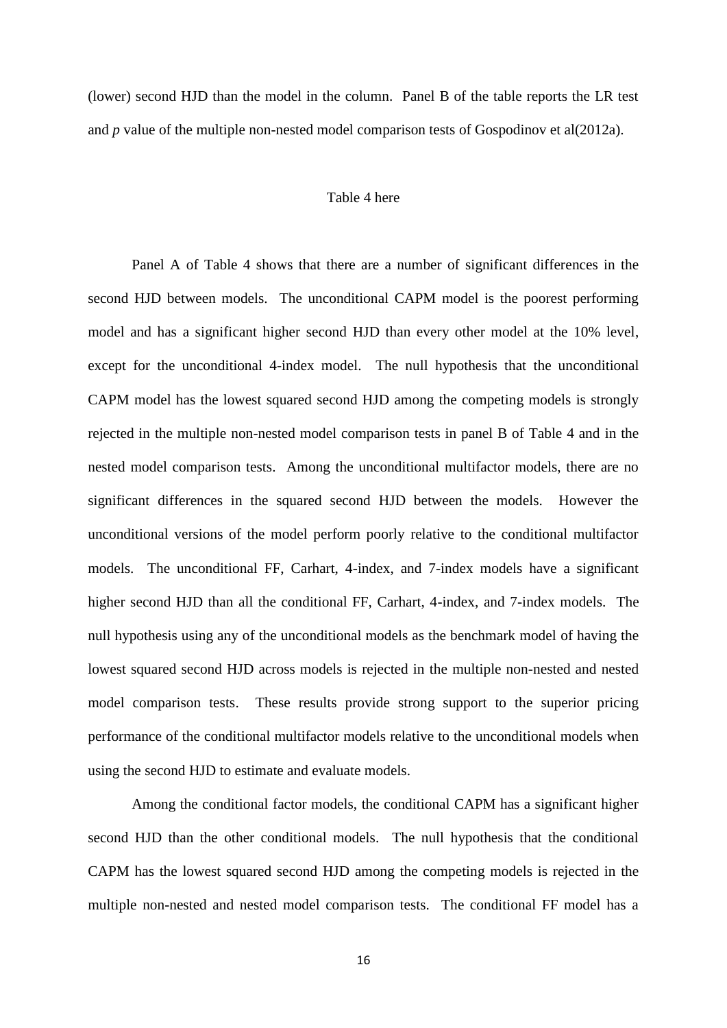(lower) second HJD than the model in the column. Panel B of the table reports the LR test and *p* value of the multiple non-nested model comparison tests of Gospodinov et al(2012a).

## Table 4 here

Panel A of Table 4 shows that there are a number of significant differences in the second HJD between models. The unconditional CAPM model is the poorest performing model and has a significant higher second HJD than every other model at the 10% level, except for the unconditional 4-index model. The null hypothesis that the unconditional CAPM model has the lowest squared second HJD among the competing models is strongly rejected in the multiple non-nested model comparison tests in panel B of Table 4 and in the nested model comparison tests. Among the unconditional multifactor models, there are no significant differences in the squared second HJD between the models. However the unconditional versions of the model perform poorly relative to the conditional multifactor models. The unconditional FF, Carhart, 4-index, and 7-index models have a significant higher second HJD than all the conditional FF, Carhart, 4-index, and 7-index models. The null hypothesis using any of the unconditional models as the benchmark model of having the lowest squared second HJD across models is rejected in the multiple non-nested and nested model comparison tests. These results provide strong support to the superior pricing performance of the conditional multifactor models relative to the unconditional models when using the second HJD to estimate and evaluate models.

Among the conditional factor models, the conditional CAPM has a significant higher second HJD than the other conditional models. The null hypothesis that the conditional CAPM has the lowest squared second HJD among the competing models is rejected in the multiple non-nested and nested model comparison tests. The conditional FF model has a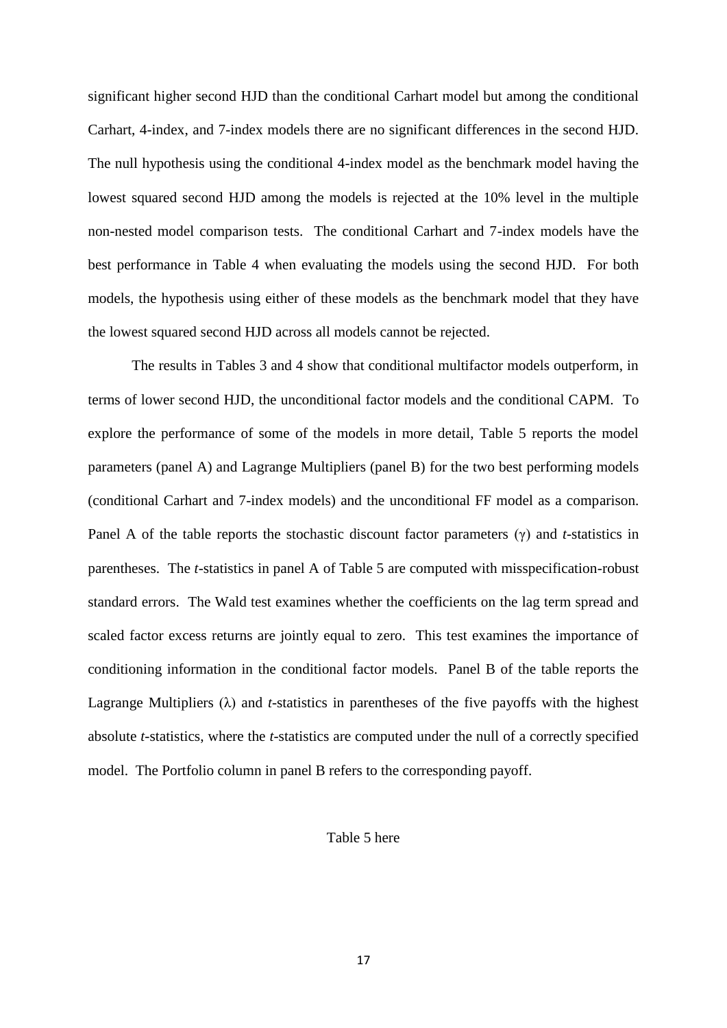significant higher second HJD than the conditional Carhart model but among the conditional Carhart, 4-index, and 7-index models there are no significant differences in the second HJD. The null hypothesis using the conditional 4-index model as the benchmark model having the lowest squared second HJD among the models is rejected at the 10% level in the multiple non-nested model comparison tests. The conditional Carhart and 7-index models have the best performance in Table 4 when evaluating the models using the second HJD. For both models, the hypothesis using either of these models as the benchmark model that they have the lowest squared second HJD across all models cannot be rejected.

The results in Tables 3 and 4 show that conditional multifactor models outperform, in terms of lower second HJD, the unconditional factor models and the conditional CAPM. To explore the performance of some of the models in more detail, Table 5 reports the model parameters (panel A) and Lagrange Multipliers (panel B) for the two best performing models (conditional Carhart and 7-index models) and the unconditional FF model as a comparison. Panel A of the table reports the stochastic discount factor parameters (γ) and *t*-statistics in parentheses. The *t*-statistics in panel A of Table 5 are computed with misspecification-robust standard errors. The Wald test examines whether the coefficients on the lag term spread and scaled factor excess returns are jointly equal to zero. This test examines the importance of conditioning information in the conditional factor models. Panel B of the table reports the Lagrange Multipliers (λ) and *t*-statistics in parentheses of the five payoffs with the highest absolute *t*-statistics, where the *t*-statistics are computed under the null of a correctly specified model. The Portfolio column in panel B refers to the corresponding payoff.

## Table 5 here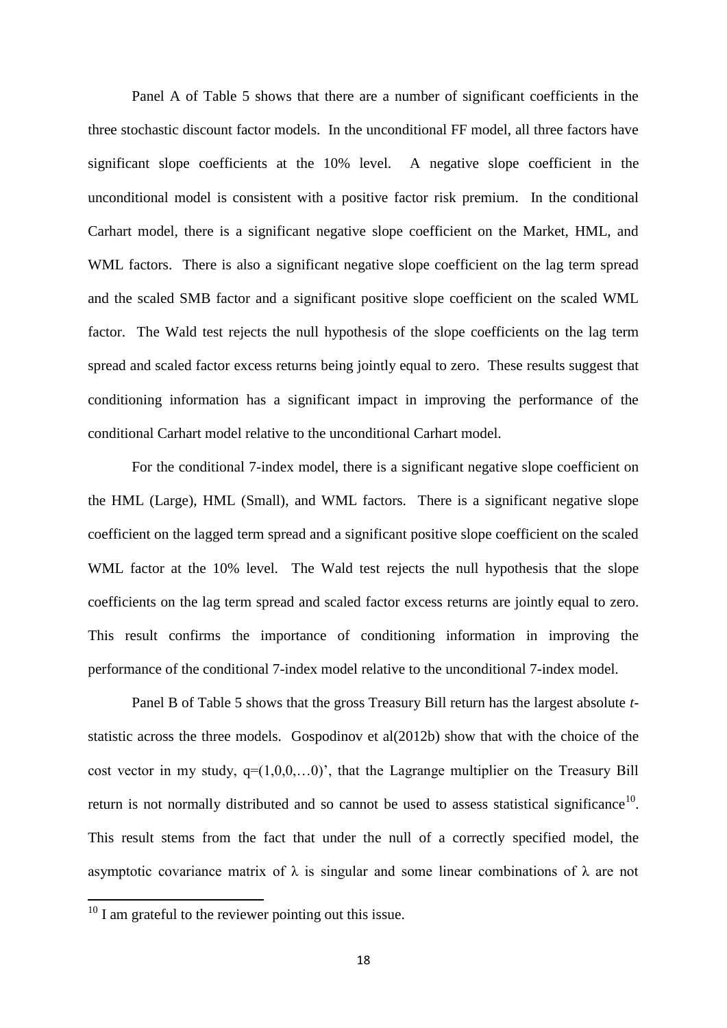Panel A of Table 5 shows that there are a number of significant coefficients in the three stochastic discount factor models. In the unconditional FF model, all three factors have significant slope coefficients at the 10% level. A negative slope coefficient in the unconditional model is consistent with a positive factor risk premium. In the conditional Carhart model, there is a significant negative slope coefficient on the Market, HML, and WML factors. There is also a significant negative slope coefficient on the lag term spread and the scaled SMB factor and a significant positive slope coefficient on the scaled WML factor. The Wald test rejects the null hypothesis of the slope coefficients on the lag term spread and scaled factor excess returns being jointly equal to zero. These results suggest that conditioning information has a significant impact in improving the performance of the conditional Carhart model relative to the unconditional Carhart model.

For the conditional 7-index model, there is a significant negative slope coefficient on the HML (Large), HML (Small), and WML factors. There is a significant negative slope coefficient on the lagged term spread and a significant positive slope coefficient on the scaled WML factor at the 10% level. The Wald test rejects the null hypothesis that the slope coefficients on the lag term spread and scaled factor excess returns are jointly equal to zero. This result confirms the importance of conditioning information in improving the performance of the conditional 7-index model relative to the unconditional 7-index model.

Panel B of Table 5 shows that the gross Treasury Bill return has the largest absolute *t*statistic across the three models. Gospodinov et al(2012b) show that with the choice of the cost vector in my study,  $q=(1,0,0,...0)$ , that the Lagrange multiplier on the Treasury Bill return is not normally distributed and so cannot be used to assess statistical significance<sup>10</sup>. This result stems from the fact that under the null of a correctly specified model, the asymptotic covariance matrix of  $\lambda$  is singular and some linear combinations of  $\lambda$  are not

**.** 

 $10$  I am grateful to the reviewer pointing out this issue.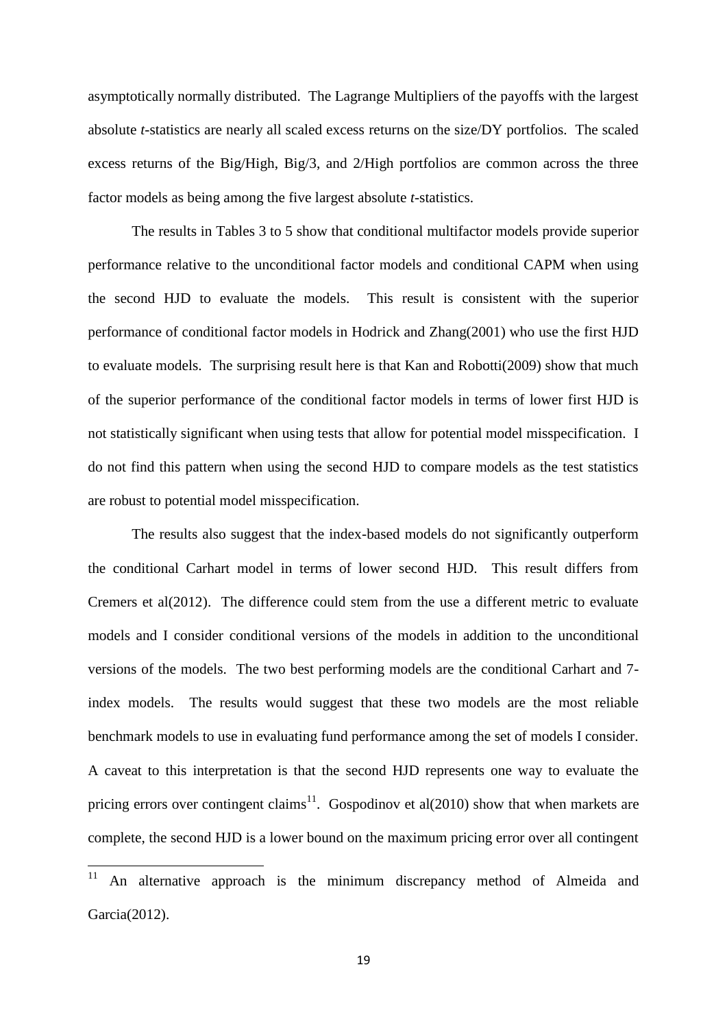asymptotically normally distributed. The Lagrange Multipliers of the payoffs with the largest absolute *t*-statistics are nearly all scaled excess returns on the size/DY portfolios. The scaled excess returns of the Big/High, Big/3, and 2/High portfolios are common across the three factor models as being among the five largest absolute *t*-statistics.

The results in Tables 3 to 5 show that conditional multifactor models provide superior performance relative to the unconditional factor models and conditional CAPM when using the second HJD to evaluate the models. This result is consistent with the superior performance of conditional factor models in Hodrick and Zhang(2001) who use the first HJD to evaluate models. The surprising result here is that Kan and Robotti(2009) show that much of the superior performance of the conditional factor models in terms of lower first HJD is not statistically significant when using tests that allow for potential model misspecification. I do not find this pattern when using the second HJD to compare models as the test statistics are robust to potential model misspecification.

The results also suggest that the index-based models do not significantly outperform the conditional Carhart model in terms of lower second HJD. This result differs from Cremers et al(2012). The difference could stem from the use a different metric to evaluate models and I consider conditional versions of the models in addition to the unconditional versions of the models. The two best performing models are the conditional Carhart and 7 index models. The results would suggest that these two models are the most reliable benchmark models to use in evaluating fund performance among the set of models I consider. A caveat to this interpretation is that the second HJD represents one way to evaluate the pricing errors over contingent claims<sup>11</sup>. Gospodinov et al(2010) show that when markets are complete, the second HJD is a lower bound on the maximum pricing error over all contingent

 $11$ An alternative approach is the minimum discrepancy method of Almeida and Garcia(2012).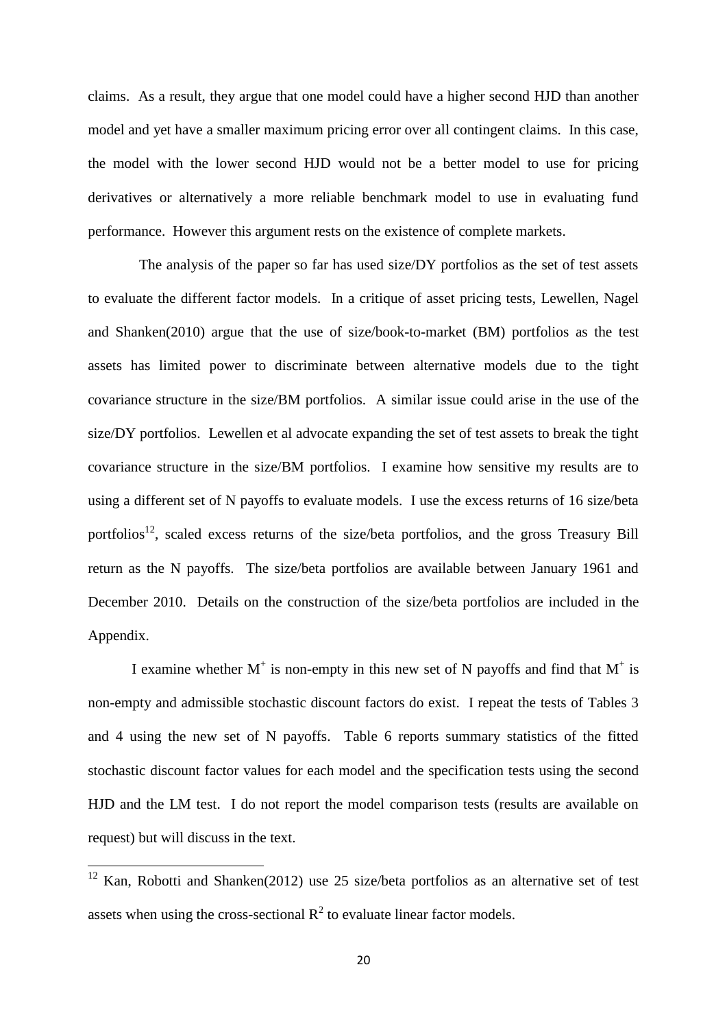claims. As a result, they argue that one model could have a higher second HJD than another model and yet have a smaller maximum pricing error over all contingent claims. In this case, the model with the lower second HJD would not be a better model to use for pricing derivatives or alternatively a more reliable benchmark model to use in evaluating fund performance. However this argument rests on the existence of complete markets.

 The analysis of the paper so far has used size/DY portfolios as the set of test assets to evaluate the different factor models. In a critique of asset pricing tests, Lewellen, Nagel and Shanken(2010) argue that the use of size/book-to-market (BM) portfolios as the test assets has limited power to discriminate between alternative models due to the tight covariance structure in the size/BM portfolios. A similar issue could arise in the use of the size/DY portfolios. Lewellen et al advocate expanding the set of test assets to break the tight covariance structure in the size/BM portfolios. I examine how sensitive my results are to using a different set of N payoffs to evaluate models. I use the excess returns of 16 size/beta portfolios<sup>12</sup>, scaled excess returns of the size/beta portfolios, and the gross Treasury Bill return as the N payoffs. The size/beta portfolios are available between January 1961 and December 2010. Details on the construction of the size/beta portfolios are included in the Appendix.

I examine whether  $M^+$  is non-empty in this new set of N payoffs and find that  $M^+$  is non-empty and admissible stochastic discount factors do exist. I repeat the tests of Tables 3 and 4 using the new set of N payoffs. Table 6 reports summary statistics of the fitted stochastic discount factor values for each model and the specification tests using the second HJD and the LM test. I do not report the model comparison tests (results are available on request) but will discuss in the text.

1

 $12$  Kan, Robotti and Shanken(2012) use 25 size/beta portfolios as an alternative set of test assets when using the cross-sectional  $R^2$  to evaluate linear factor models.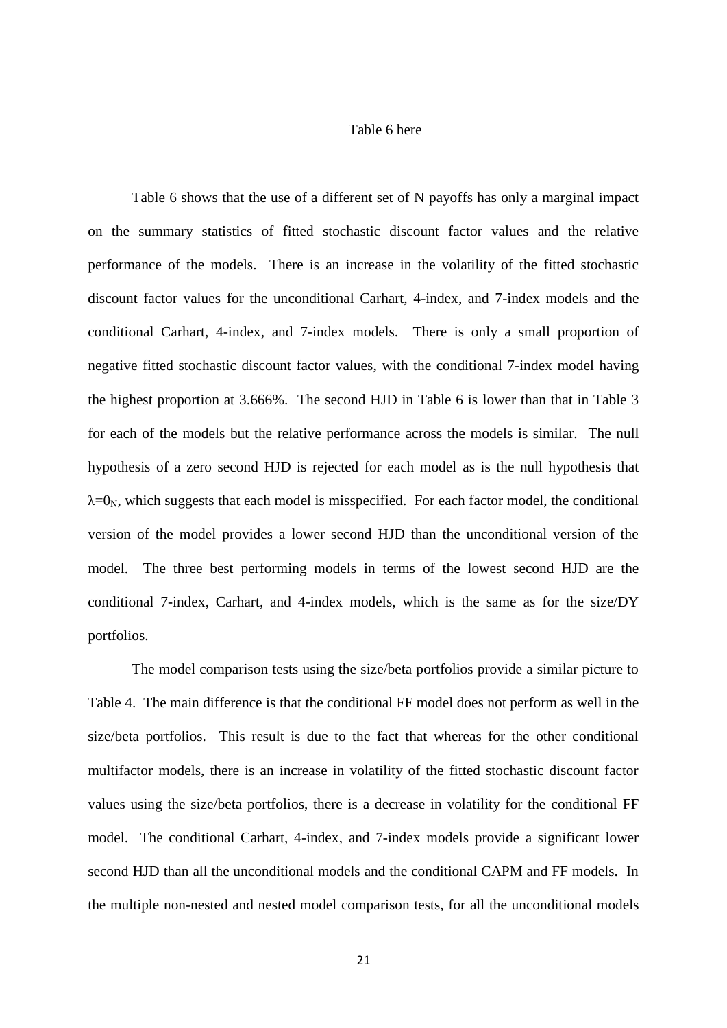## Table 6 here

Table 6 shows that the use of a different set of N payoffs has only a marginal impact on the summary statistics of fitted stochastic discount factor values and the relative performance of the models. There is an increase in the volatility of the fitted stochastic discount factor values for the unconditional Carhart, 4-index, and 7-index models and the conditional Carhart, 4-index, and 7-index models. There is only a small proportion of negative fitted stochastic discount factor values, with the conditional 7-index model having the highest proportion at 3.666%. The second HJD in Table 6 is lower than that in Table 3 for each of the models but the relative performance across the models is similar. The null hypothesis of a zero second HJD is rejected for each model as is the null hypothesis that  $\lambda$ =0<sub>N</sub>, which suggests that each model is misspecified. For each factor model, the conditional version of the model provides a lower second HJD than the unconditional version of the model. The three best performing models in terms of the lowest second HJD are the conditional 7-index, Carhart, and 4-index models, which is the same as for the size/DY portfolios.

The model comparison tests using the size/beta portfolios provide a similar picture to Table 4. The main difference is that the conditional FF model does not perform as well in the size/beta portfolios. This result is due to the fact that whereas for the other conditional multifactor models, there is an increase in volatility of the fitted stochastic discount factor values using the size/beta portfolios, there is a decrease in volatility for the conditional FF model. The conditional Carhart, 4-index, and 7-index models provide a significant lower second HJD than all the unconditional models and the conditional CAPM and FF models. In the multiple non-nested and nested model comparison tests, for all the unconditional models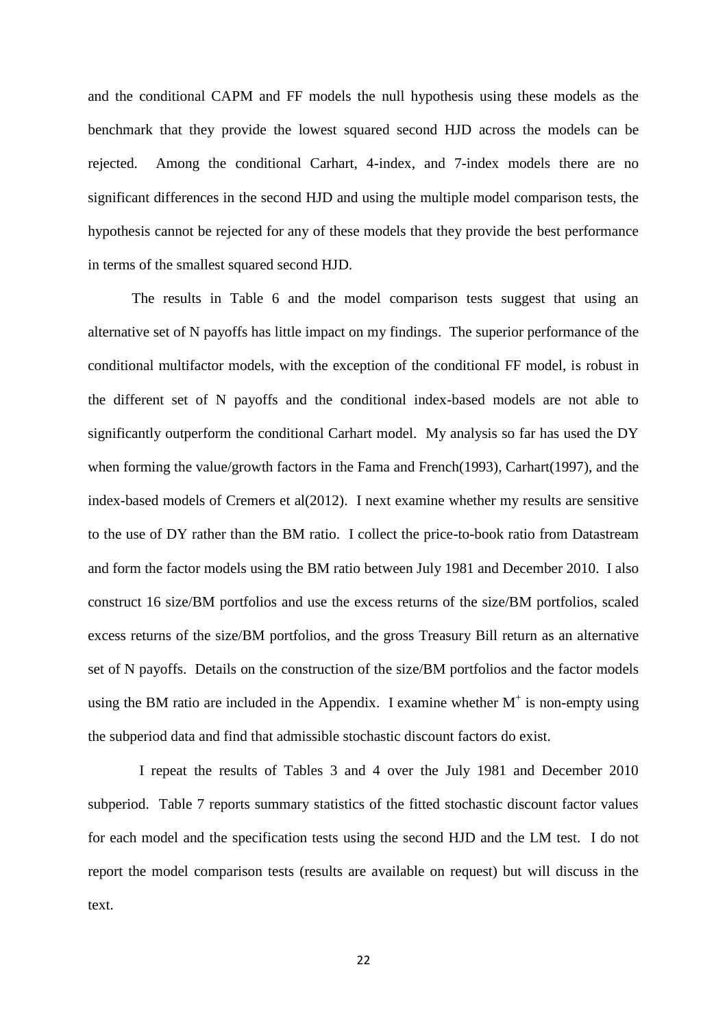and the conditional CAPM and FF models the null hypothesis using these models as the benchmark that they provide the lowest squared second HJD across the models can be rejected. Among the conditional Carhart, 4-index, and 7-index models there are no significant differences in the second HJD and using the multiple model comparison tests, the hypothesis cannot be rejected for any of these models that they provide the best performance in terms of the smallest squared second HJD.

The results in Table 6 and the model comparison tests suggest that using an alternative set of N payoffs has little impact on my findings. The superior performance of the conditional multifactor models, with the exception of the conditional FF model, is robust in the different set of N payoffs and the conditional index-based models are not able to significantly outperform the conditional Carhart model. My analysis so far has used the DY when forming the value/growth factors in the Fama and French(1993), Carhart(1997), and the index-based models of Cremers et al(2012). I next examine whether my results are sensitive to the use of DY rather than the BM ratio. I collect the price-to-book ratio from Datastream and form the factor models using the BM ratio between July 1981 and December 2010. I also construct 16 size/BM portfolios and use the excess returns of the size/BM portfolios, scaled excess returns of the size/BM portfolios, and the gross Treasury Bill return as an alternative set of N payoffs. Details on the construction of the size/BM portfolios and the factor models using the BM ratio are included in the Appendix. I examine whether  $M^+$  is non-empty using the subperiod data and find that admissible stochastic discount factors do exist.

 I repeat the results of Tables 3 and 4 over the July 1981 and December 2010 subperiod. Table 7 reports summary statistics of the fitted stochastic discount factor values for each model and the specification tests using the second HJD and the LM test. I do not report the model comparison tests (results are available on request) but will discuss in the text.

22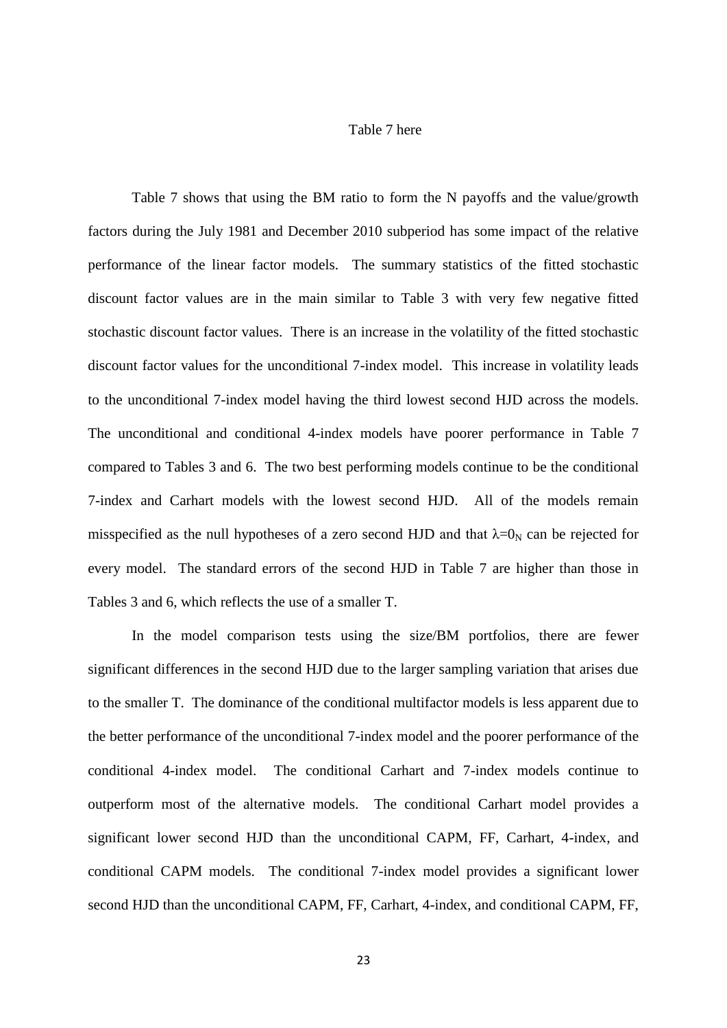## Table 7 here

Table 7 shows that using the BM ratio to form the N payoffs and the value/growth factors during the July 1981 and December 2010 subperiod has some impact of the relative performance of the linear factor models. The summary statistics of the fitted stochastic discount factor values are in the main similar to Table 3 with very few negative fitted stochastic discount factor values. There is an increase in the volatility of the fitted stochastic discount factor values for the unconditional 7-index model. This increase in volatility leads to the unconditional 7-index model having the third lowest second HJD across the models. The unconditional and conditional 4-index models have poorer performance in Table 7 compared to Tables 3 and 6. The two best performing models continue to be the conditional 7-index and Carhart models with the lowest second HJD. All of the models remain misspecified as the null hypotheses of a zero second HJD and that  $\lambda = 0_N$  can be rejected for every model. The standard errors of the second HJD in Table 7 are higher than those in Tables 3 and 6, which reflects the use of a smaller T.

In the model comparison tests using the size/BM portfolios, there are fewer significant differences in the second HJD due to the larger sampling variation that arises due to the smaller T. The dominance of the conditional multifactor models is less apparent due to the better performance of the unconditional 7-index model and the poorer performance of the conditional 4-index model. The conditional Carhart and 7-index models continue to outperform most of the alternative models. The conditional Carhart model provides a significant lower second HJD than the unconditional CAPM, FF, Carhart, 4-index, and conditional CAPM models. The conditional 7-index model provides a significant lower second HJD than the unconditional CAPM, FF, Carhart, 4-index, and conditional CAPM, FF,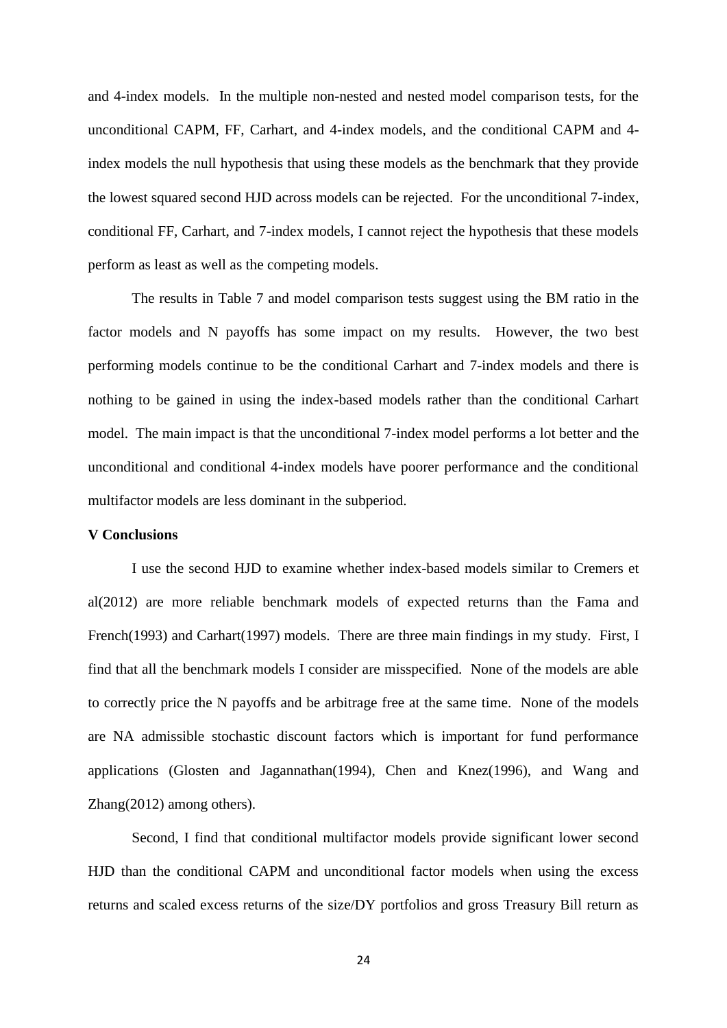and 4-index models. In the multiple non-nested and nested model comparison tests, for the unconditional CAPM, FF, Carhart, and 4-index models, and the conditional CAPM and 4 index models the null hypothesis that using these models as the benchmark that they provide the lowest squared second HJD across models can be rejected. For the unconditional 7-index, conditional FF, Carhart, and 7-index models, I cannot reject the hypothesis that these models perform as least as well as the competing models.

The results in Table 7 and model comparison tests suggest using the BM ratio in the factor models and N payoffs has some impact on my results. However, the two best performing models continue to be the conditional Carhart and 7-index models and there is nothing to be gained in using the index-based models rather than the conditional Carhart model. The main impact is that the unconditional 7-index model performs a lot better and the unconditional and conditional 4-index models have poorer performance and the conditional multifactor models are less dominant in the subperiod.

## **V Conclusions**

I use the second HJD to examine whether index-based models similar to Cremers et al(2012) are more reliable benchmark models of expected returns than the Fama and French(1993) and Carhart(1997) models. There are three main findings in my study. First, I find that all the benchmark models I consider are misspecified. None of the models are able to correctly price the N payoffs and be arbitrage free at the same time. None of the models are NA admissible stochastic discount factors which is important for fund performance applications (Glosten and Jagannathan(1994), Chen and Knez(1996), and Wang and Zhang(2012) among others).

Second, I find that conditional multifactor models provide significant lower second HJD than the conditional CAPM and unconditional factor models when using the excess returns and scaled excess returns of the size/DY portfolios and gross Treasury Bill return as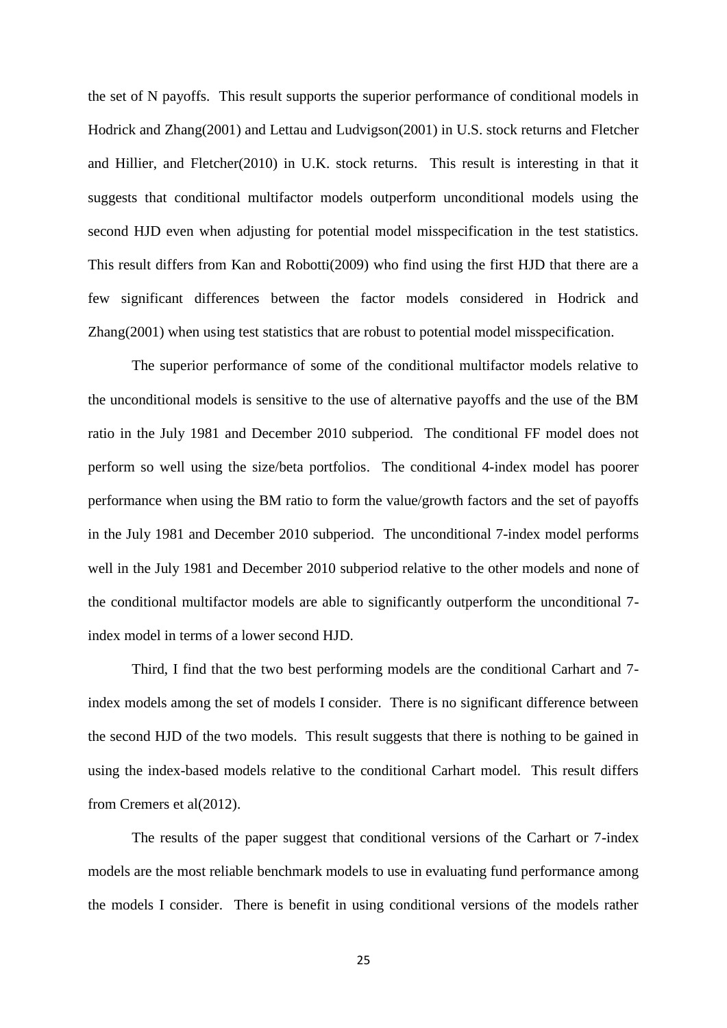the set of N payoffs. This result supports the superior performance of conditional models in Hodrick and Zhang(2001) and Lettau and Ludvigson(2001) in U.S. stock returns and Fletcher and Hillier, and Fletcher(2010) in U.K. stock returns. This result is interesting in that it suggests that conditional multifactor models outperform unconditional models using the second HJD even when adjusting for potential model misspecification in the test statistics. This result differs from Kan and Robotti(2009) who find using the first HJD that there are a few significant differences between the factor models considered in Hodrick and Zhang(2001) when using test statistics that are robust to potential model misspecification.

The superior performance of some of the conditional multifactor models relative to the unconditional models is sensitive to the use of alternative payoffs and the use of the BM ratio in the July 1981 and December 2010 subperiod. The conditional FF model does not perform so well using the size/beta portfolios. The conditional 4-index model has poorer performance when using the BM ratio to form the value/growth factors and the set of payoffs in the July 1981 and December 2010 subperiod. The unconditional 7-index model performs well in the July 1981 and December 2010 subperiod relative to the other models and none of the conditional multifactor models are able to significantly outperform the unconditional 7 index model in terms of a lower second HJD.

Third, I find that the two best performing models are the conditional Carhart and 7 index models among the set of models I consider. There is no significant difference between the second HJD of the two models. This result suggests that there is nothing to be gained in using the index-based models relative to the conditional Carhart model. This result differs from Cremers et al(2012).

The results of the paper suggest that conditional versions of the Carhart or 7-index models are the most reliable benchmark models to use in evaluating fund performance among the models I consider. There is benefit in using conditional versions of the models rather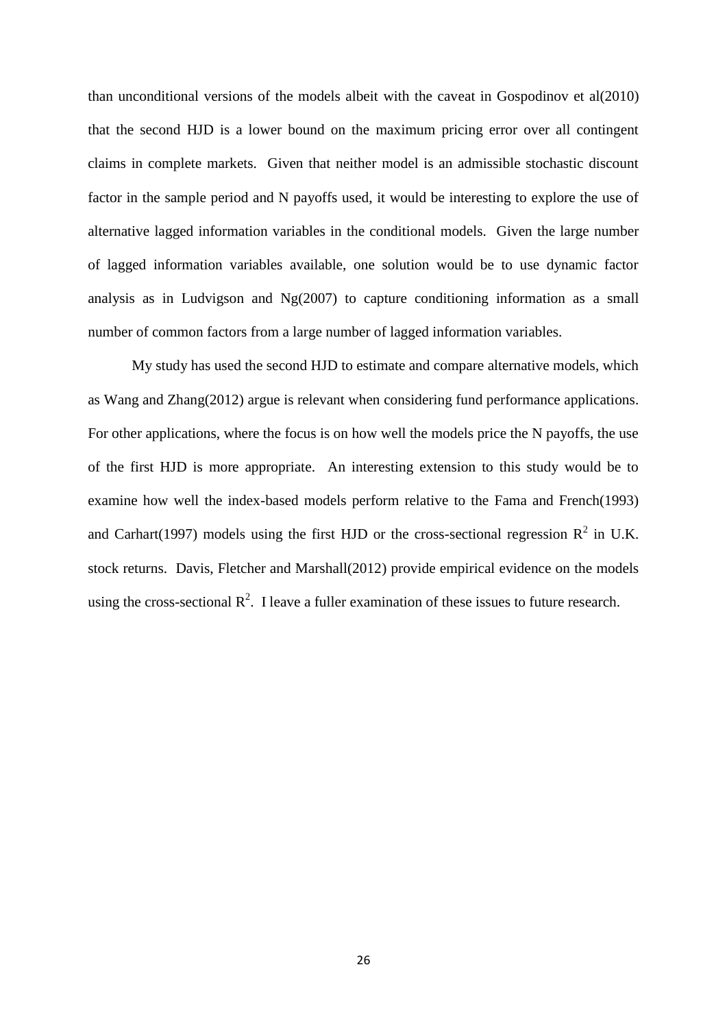than unconditional versions of the models albeit with the caveat in Gospodinov et al(2010) that the second HJD is a lower bound on the maximum pricing error over all contingent claims in complete markets. Given that neither model is an admissible stochastic discount factor in the sample period and N payoffs used, it would be interesting to explore the use of alternative lagged information variables in the conditional models. Given the large number of lagged information variables available, one solution would be to use dynamic factor analysis as in Ludvigson and Ng(2007) to capture conditioning information as a small number of common factors from a large number of lagged information variables.

My study has used the second HJD to estimate and compare alternative models, which as Wang and Zhang(2012) argue is relevant when considering fund performance applications. For other applications, where the focus is on how well the models price the N payoffs, the use of the first HJD is more appropriate. An interesting extension to this study would be to examine how well the index-based models perform relative to the Fama and French(1993) and Carhart(1997) models using the first HJD or the cross-sectional regression  $R^2$  in U.K. stock returns. Davis, Fletcher and Marshall(2012) provide empirical evidence on the models using the cross-sectional  $\mathbb{R}^2$ . I leave a fuller examination of these issues to future research.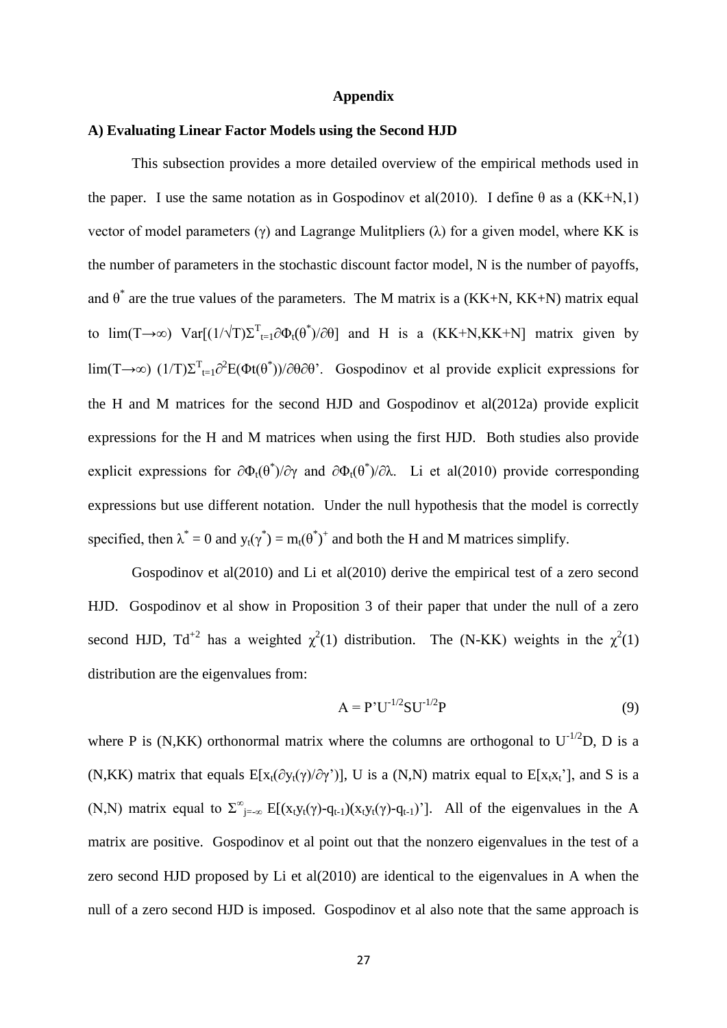#### **Appendix**

### **A) Evaluating Linear Factor Models using the Second HJD**

This subsection provides a more detailed overview of the empirical methods used in the paper. I use the same notation as in Gospodinov et al(2010). I define  $\theta$  as a (KK+N,1) vector of model parameters (γ) and Lagrange Mulitpliers (λ) for a given model, where KK is the number of parameters in the stochastic discount factor model, N is the number of payoffs, and  $\theta^*$  are the true values of the parameters. The M matrix is a (KK+N, KK+N) matrix equal to  $\lim(T \to \infty)$   $\text{Var}[(1/\sqrt{T})\Sigma_{t=1}^T \partial \Phi_t(\theta^*)/\partial \theta]$  and H is a  $(KK+N,KK+N)$  matrix given by lim(T→∞)  $(1/T)\Sigma^T_{t=1} \partial^2 E(\Phi t(\theta^*))/\partial \theta \partial \theta'$ . Gospodinov et al provide explicit expressions for the H and M matrices for the second HJD and Gospodinov et al(2012a) provide explicit expressions for the H and M matrices when using the first HJD. Both studies also provide explicit expressions for  $\partial \Phi_t(\theta^*)/\partial \gamma$  and  $\partial \Phi_t(\theta^*)/\partial \lambda$ . Li et al(2010) provide corresponding expressions but use different notation. Under the null hypothesis that the model is correctly specified, then  $\lambda^* = 0$  and  $y_t(\gamma^*) = m_t(\theta^*)^+$  and both the H and M matrices simplify.

Gospodinov et al(2010) and Li et al(2010) derive the empirical test of a zero second HJD. Gospodinov et al show in Proposition 3 of their paper that under the null of a zero second HJD, Td<sup>+2</sup> has a weighted  $\chi^2(1)$  distribution. The (N-KK) weights in the  $\chi^2(1)$ distribution are the eigenvalues from:

$$
A = P'U^{-1/2}SU^{-1/2}P
$$
 (9)

where P is (N,KK) orthonormal matrix where the columns are orthogonal to  $U^{-1/2}D$ , D is a (N,KK) matrix that equals  $E[x_t(\partial y_t(\gamma)/\partial \gamma')]$ , U is a (N,N) matrix equal to  $E[x_t x_t']$ , and S is a (N,N) matrix equal to  $\Sigma^{\infty}_{j=\infty} E[(x_t y_t(\gamma)-q_{t-1})(x_t y_t(\gamma)-q_{t-1})]$ . All of the eigenvalues in the A matrix are positive. Gospodinov et al point out that the nonzero eigenvalues in the test of a zero second HJD proposed by Li et al(2010) are identical to the eigenvalues in A when the null of a zero second HJD is imposed. Gospodinov et al also note that the same approach is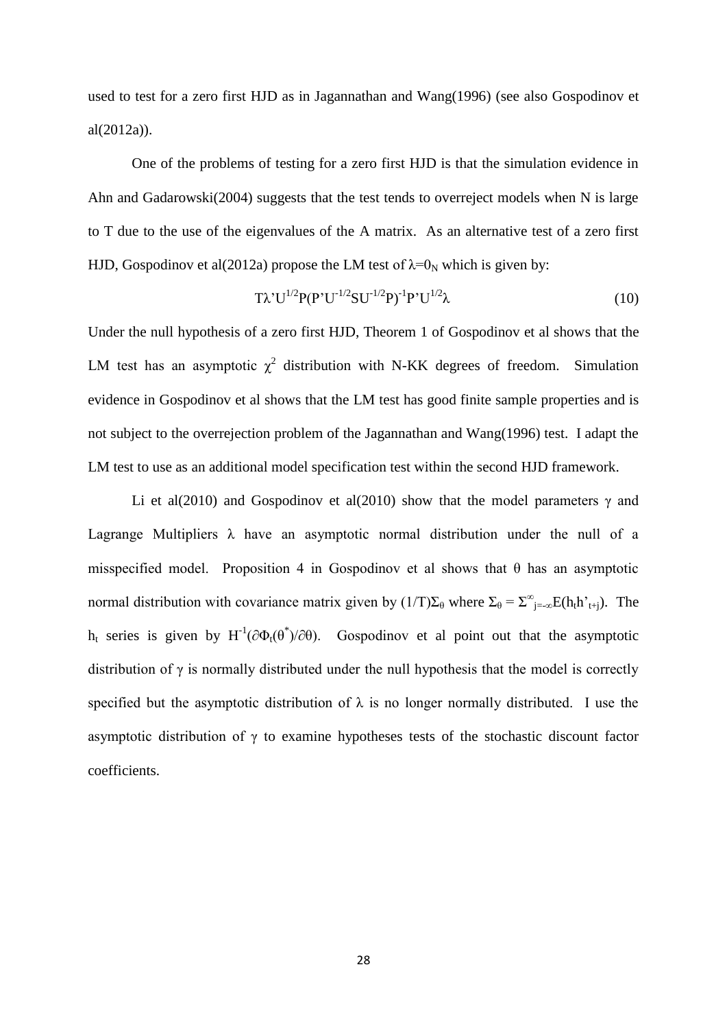used to test for a zero first HJD as in Jagannathan and Wang(1996) (see also Gospodinov et al(2012a)).

One of the problems of testing for a zero first HJD is that the simulation evidence in Ahn and Gadarowski(2004) suggests that the test tends to overreject models when N is large to T due to the use of the eigenvalues of the A matrix. As an alternative test of a zero first HJD, Gospodinov et al(2012a) propose the LM test of  $\lambda=0_N$  which is given by:

$$
T\lambda'U^{1/2}P(P'U^{1/2}SU^{1/2}P)^{-1}P'U^{1/2}\lambda\tag{10}
$$

Under the null hypothesis of a zero first HJD, Theorem 1 of Gospodinov et al shows that the LM test has an asymptotic  $\chi^2$  distribution with N-KK degrees of freedom. Simulation evidence in Gospodinov et al shows that the LM test has good finite sample properties and is not subject to the overrejection problem of the Jagannathan and Wang(1996) test. I adapt the LM test to use as an additional model specification test within the second HJD framework.

Li et al(2010) and Gospodinov et al(2010) show that the model parameters  $\gamma$  and Lagrange Multipliers  $\lambda$  have an asymptotic normal distribution under the null of a misspecified model. Proposition 4 in Gospodinov et al shows that  $\theta$  has an asymptotic normal distribution with covariance matrix given by  $(1/T)\Sigma_{\theta}$  where  $\Sigma_{\theta} = \Sigma_{j=-\infty}^{\infty}E(h_t h_{t+j}^{\dagger})$ . The h<sub>t</sub> series is given by H<sup>-1</sup>(∂Φ<sub>t</sub>( $\theta^*$ )/∂ $\theta$ ). Gospodinov et al point out that the asymptotic distribution of  $\gamma$  is normally distributed under the null hypothesis that the model is correctly specified but the asymptotic distribution of  $\lambda$  is no longer normally distributed. I use the asymptotic distribution of  $\gamma$  to examine hypotheses tests of the stochastic discount factor coefficients.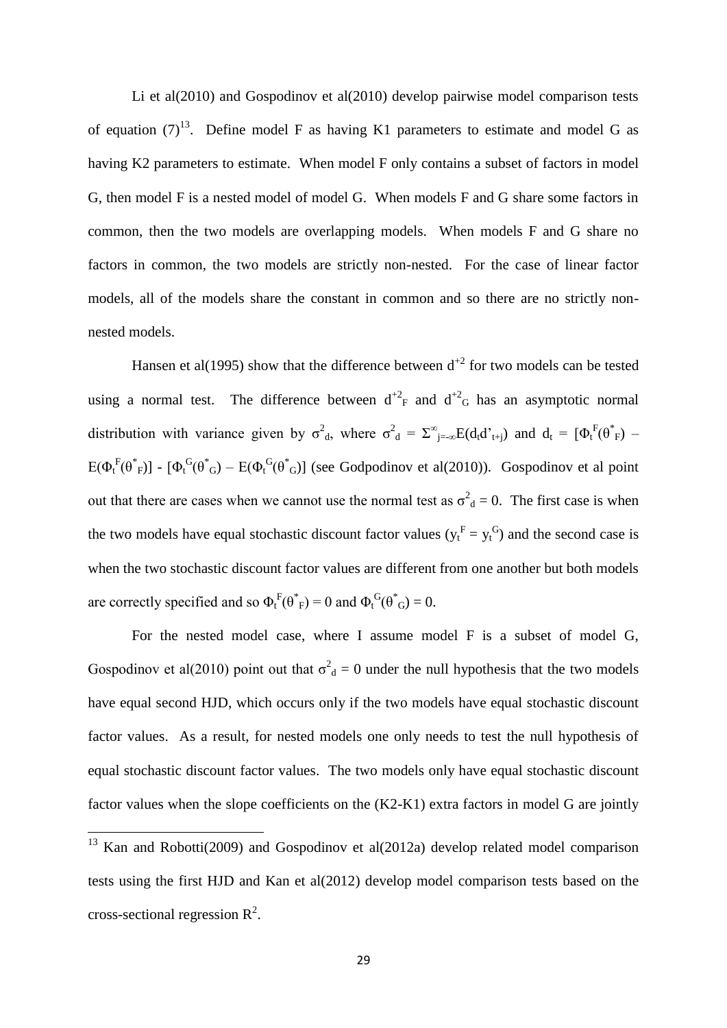Li et al(2010) and Gospodinov et al(2010) develop pairwise model comparison tests of equation  $(7)^{13}$ . Define model F as having K1 parameters to estimate and model G as having K2 parameters to estimate. When model F only contains a subset of factors in model G, then model F is a nested model of model G. When models F and G share some factors in common, then the two models are overlapping models. When models F and G share no factors in common, the two models are strictly non-nested. For the case of linear factor models, all of the models share the constant in common and so there are no strictly nonnested models.

Hansen et al(1995) show that the difference between  $d^{2}$  for two models can be tested using a normal test. The difference between  $d^{2}F$  and  $d^{2}G$  has an asymptotic normal distribution with variance given by  $\sigma^2_{d}$ , where  $\sigma^2_{d} = \sum_{j=-\infty}^{\infty} E(d_i d'_{t+j})$  and  $d_t = [\Phi_t^F(\theta^*_{F}) - \Phi_t^F(\theta^*_{F})]$  $E(\Phi_t^F(\theta^*F_F)) - [\Phi_t^G(\theta^*G) - E(\Phi_t^G(\theta^*G)]$  (see Godpodinov et al(2010)). Gospodinov et al point out that there are cases when we cannot use the normal test as  $\sigma_{d}^{2} = 0$ . The first case is when the two models have equal stochastic discount factor values  $(y_t^F = y_t^G)$  and the second case is when the two stochastic discount factor values are different from one another but both models are correctly specified and so  $\Phi_t^F(\theta^*_{F}) = 0$  and  $\Phi_t^G(\theta^*_{G}) = 0$ .

For the nested model case, where I assume model F is a subset of model G, Gospodinov et al(2010) point out that  $\sigma_d^2 = 0$  under the null hypothesis that the two models have equal second HJD, which occurs only if the two models have equal stochastic discount factor values. As a result, for nested models one only needs to test the null hypothesis of equal stochastic discount factor values. The two models only have equal stochastic discount factor values when the slope coefficients on the (K2-K1) extra factors in model G are jointly

 $\overline{a}$ 

 $13$  Kan and Robotti(2009) and Gospodinov et al(2012a) develop related model comparison tests using the first HJD and Kan et al(2012) develop model comparison tests based on the cross-sectional regression  $\mathbb{R}^2$ .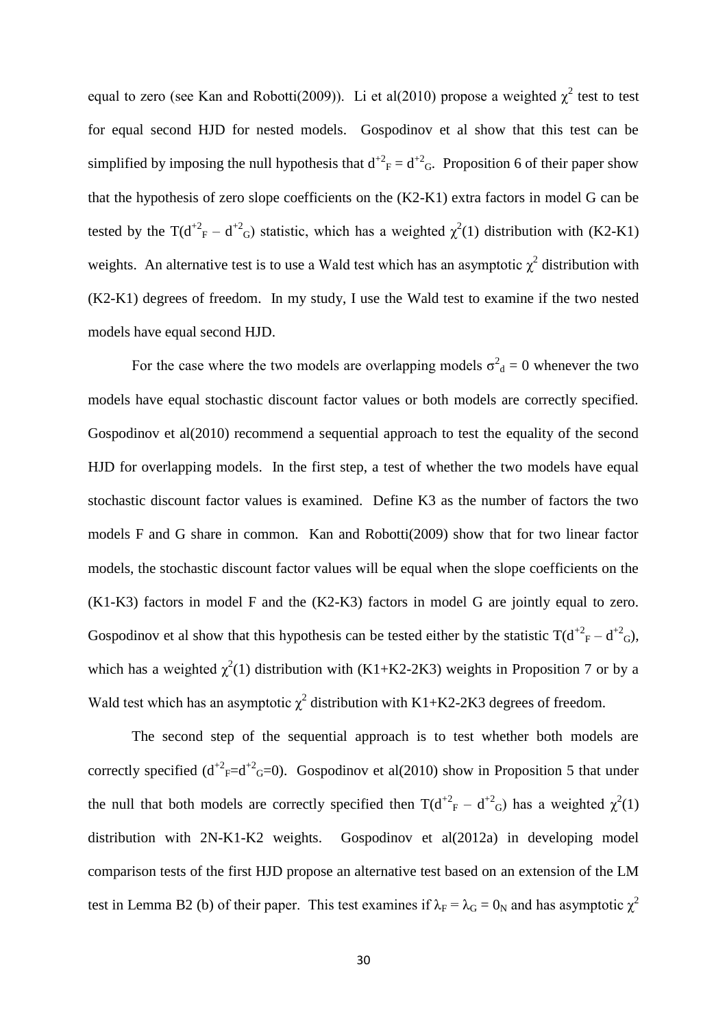equal to zero (see Kan and Robotti(2009)). Li et al(2010) propose a weighted  $\chi^2$  test to test for equal second HJD for nested models. Gospodinov et al show that this test can be simplified by imposing the null hypothesis that  $d^{2}F = d^{2}G$ . Proposition 6 of their paper show that the hypothesis of zero slope coefficients on the (K2-K1) extra factors in model G can be tested by the T( $d^{2}F - d^{2}G$ ) statistic, which has a weighted  $\chi^{2}(1)$  distribution with (K2-K1) weights. An alternative test is to use a Wald test which has an asymptotic  $\chi^2$  distribution with (K2-K1) degrees of freedom. In my study, I use the Wald test to examine if the two nested models have equal second HJD.

For the case where the two models are overlapping models  $\sigma^2_d = 0$  whenever the two models have equal stochastic discount factor values or both models are correctly specified. Gospodinov et al(2010) recommend a sequential approach to test the equality of the second HJD for overlapping models. In the first step, a test of whether the two models have equal stochastic discount factor values is examined. Define K3 as the number of factors the two models F and G share in common. Kan and Robotti(2009) show that for two linear factor models, the stochastic discount factor values will be equal when the slope coefficients on the (K1-K3) factors in model F and the (K2-K3) factors in model G are jointly equal to zero. Gospodinov et al show that this hypothesis can be tested either by the statistic  $T(d^{2}F - d^{2}G)$ , which has a weighted  $\chi^2(1)$  distribution with (K1+K2-2K3) weights in Proposition 7 or by a Wald test which has an asymptotic  $\chi^2$  distribution with K1+K2-2K3 degrees of freedom.

The second step of the sequential approach is to test whether both models are correctly specified  $(d^{2}f = d^{2}g = 0)$ . Gospodinov et al(2010) show in Proposition 5 that under the null that both models are correctly specified then  $T(d^{2}F - d^{2}G)$  has a weighted  $\chi^{2}(1)$ distribution with 2N-K1-K2 weights. Gospodinov et al(2012a) in developing model comparison tests of the first HJD propose an alternative test based on an extension of the LM test in Lemma B2 (b) of their paper. This test examines if  $\lambda_F = \lambda_G = 0_N$  and has asymptotic  $\chi^2$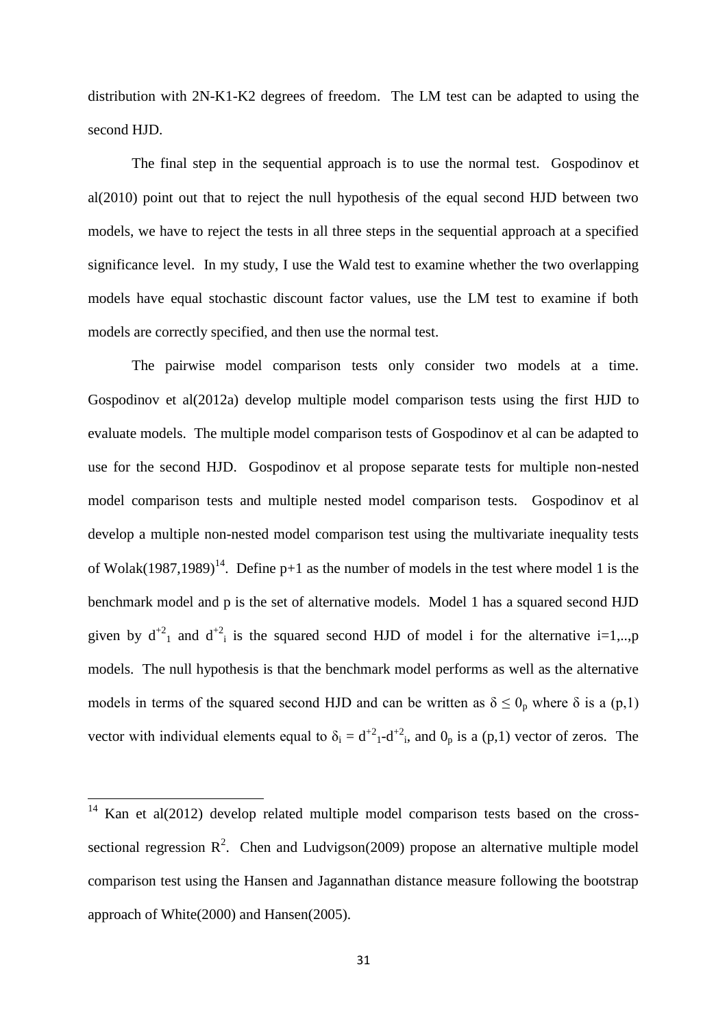distribution with 2N-K1-K2 degrees of freedom. The LM test can be adapted to using the second HJD.

The final step in the sequential approach is to use the normal test. Gospodinov et al(2010) point out that to reject the null hypothesis of the equal second HJD between two models, we have to reject the tests in all three steps in the sequential approach at a specified significance level. In my study, I use the Wald test to examine whether the two overlapping models have equal stochastic discount factor values, use the LM test to examine if both models are correctly specified, and then use the normal test.

The pairwise model comparison tests only consider two models at a time. Gospodinov et al(2012a) develop multiple model comparison tests using the first HJD to evaluate models. The multiple model comparison tests of Gospodinov et al can be adapted to use for the second HJD. Gospodinov et al propose separate tests for multiple non-nested model comparison tests and multiple nested model comparison tests. Gospodinov et al develop a multiple non-nested model comparison test using the multivariate inequality tests of Wolak(1987,1989)<sup>14</sup>. Define p+1 as the number of models in the test where model 1 is the benchmark model and p is the set of alternative models. Model 1 has a squared second HJD given by  $d^{2}$  and  $d^{2}$  is the squared second HJD of model i for the alternative i=1,..,p models. The null hypothesis is that the benchmark model performs as well as the alternative models in terms of the squared second HJD and can be written as  $\delta \leq 0_p$  where  $\delta$  is a (p,1) vector with individual elements equal to  $\delta_i = d^{+2} \cdot d^{+2}$ , and  $0_p$  is a (p,1) vector of zeros. The

**.** 

 $14$  Kan et al(2012) develop related multiple model comparison tests based on the crosssectional regression  $\mathbb{R}^2$ . Chen and Ludvigson(2009) propose an alternative multiple model comparison test using the Hansen and Jagannathan distance measure following the bootstrap approach of White(2000) and Hansen(2005).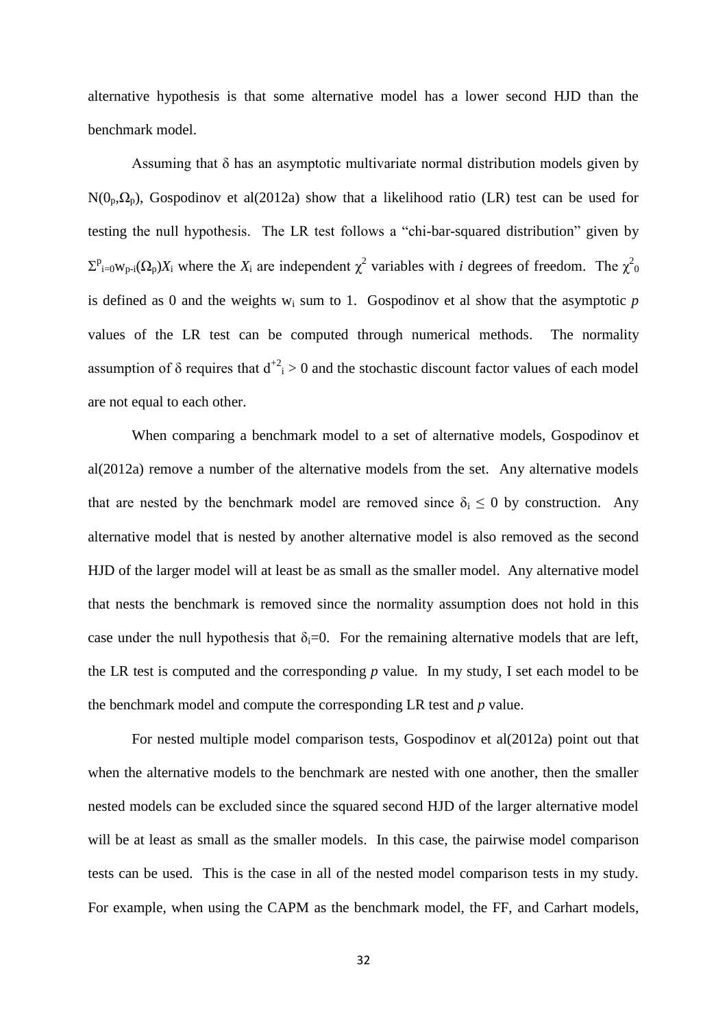alternative hypothesis is that some alternative model has a lower second HJD than the benchmark model.

Assuming that  $\delta$  has an asymptotic multivariate normal distribution models given by  $N(0_p,\Omega_p)$ , Gospodinov et al(2012a) show that a likelihood ratio (LR) test can be used for testing the null hypothesis. The LR test follows a "chi-bar-squared distribution" given by  $\Sigma_{i=0}^{p}$ <sub>i=0</sub>w<sub>p-i</sub>( $\Omega_p$ )*X*<sub>i</sub> where the *X*<sub>i</sub> are independent  $\chi^2$  variables with *i* degrees of freedom. The  $\chi^2$ <sub>0</sub> is defined as 0 and the weights  $w_i$  sum to 1. Gospodinov et al show that the asymptotic  $p$ values of the LR test can be computed through numerical methods. The normality assumption of  $\delta$  requires that  $d^{2}$  > 0 and the stochastic discount factor values of each model are not equal to each other.

When comparing a benchmark model to a set of alternative models, Gospodinov et al(2012a) remove a number of the alternative models from the set. Any alternative models that are nested by the benchmark model are removed since  $\delta_i \leq 0$  by construction. Any alternative model that is nested by another alternative model is also removed as the second HJD of the larger model will at least be as small as the smaller model. Any alternative model that nests the benchmark is removed since the normality assumption does not hold in this case under the null hypothesis that  $\delta_i=0$ . For the remaining alternative models that are left, the LR test is computed and the corresponding *p* value. In my study, I set each model to be the benchmark model and compute the corresponding LR test and *p* value.

For nested multiple model comparison tests, Gospodinov et al(2012a) point out that when the alternative models to the benchmark are nested with one another, then the smaller nested models can be excluded since the squared second HJD of the larger alternative model will be at least as small as the smaller models. In this case, the pairwise model comparison tests can be used. This is the case in all of the nested model comparison tests in my study. For example, when using the CAPM as the benchmark model, the FF, and Carhart models,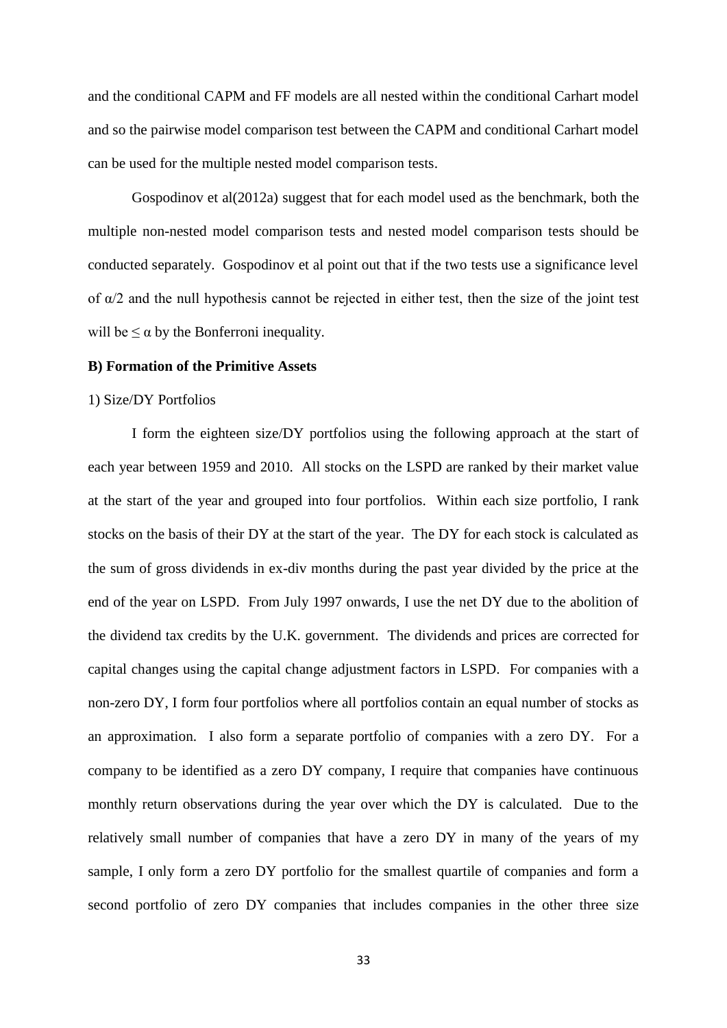and the conditional CAPM and FF models are all nested within the conditional Carhart model and so the pairwise model comparison test between the CAPM and conditional Carhart model can be used for the multiple nested model comparison tests.

Gospodinov et al(2012a) suggest that for each model used as the benchmark, both the multiple non-nested model comparison tests and nested model comparison tests should be conducted separately. Gospodinov et al point out that if the two tests use a significance level of  $\alpha/2$  and the null hypothesis cannot be rejected in either test, then the size of the joint test will be  $\leq \alpha$  by the Bonferroni inequality.

#### **B) Formation of the Primitive Assets**

#### 1) Size/DY Portfolios

I form the eighteen size/DY portfolios using the following approach at the start of each year between 1959 and 2010. All stocks on the LSPD are ranked by their market value at the start of the year and grouped into four portfolios. Within each size portfolio, I rank stocks on the basis of their DY at the start of the year. The DY for each stock is calculated as the sum of gross dividends in ex-div months during the past year divided by the price at the end of the year on LSPD. From July 1997 onwards, I use the net DY due to the abolition of the dividend tax credits by the U.K. government. The dividends and prices are corrected for capital changes using the capital change adjustment factors in LSPD. For companies with a non-zero DY, I form four portfolios where all portfolios contain an equal number of stocks as an approximation. I also form a separate portfolio of companies with a zero DY. For a company to be identified as a zero DY company, I require that companies have continuous monthly return observations during the year over which the DY is calculated. Due to the relatively small number of companies that have a zero DY in many of the years of my sample, I only form a zero DY portfolio for the smallest quartile of companies and form a second portfolio of zero DY companies that includes companies in the other three size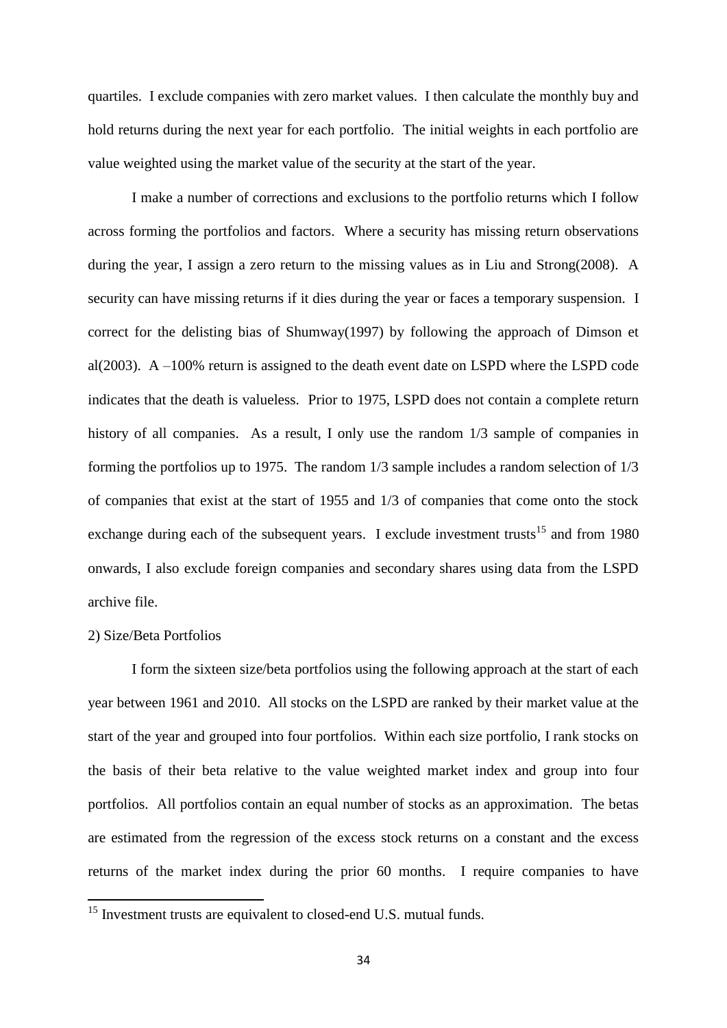quartiles. I exclude companies with zero market values. I then calculate the monthly buy and hold returns during the next year for each portfolio. The initial weights in each portfolio are value weighted using the market value of the security at the start of the year.

I make a number of corrections and exclusions to the portfolio returns which I follow across forming the portfolios and factors. Where a security has missing return observations during the year, I assign a zero return to the missing values as in Liu and Strong(2008). A security can have missing returns if it dies during the year or faces a temporary suspension. I correct for the delisting bias of Shumway(1997) by following the approach of Dimson et al(2003). A –100% return is assigned to the death event date on LSPD where the LSPD code indicates that the death is valueless. Prior to 1975, LSPD does not contain a complete return history of all companies. As a result, I only use the random  $1/3$  sample of companies in forming the portfolios up to 1975. The random 1/3 sample includes a random selection of 1/3 of companies that exist at the start of 1955 and 1/3 of companies that come onto the stock exchange during each of the subsequent years. I exclude investment trusts<sup>15</sup> and from 1980 onwards, I also exclude foreign companies and secondary shares using data from the LSPD archive file.

# 2) Size/Beta Portfolios

**.** 

I form the sixteen size/beta portfolios using the following approach at the start of each year between 1961 and 2010. All stocks on the LSPD are ranked by their market value at the start of the year and grouped into four portfolios. Within each size portfolio, I rank stocks on the basis of their beta relative to the value weighted market index and group into four portfolios. All portfolios contain an equal number of stocks as an approximation. The betas are estimated from the regression of the excess stock returns on a constant and the excess returns of the market index during the prior 60 months. I require companies to have

<sup>&</sup>lt;sup>15</sup> Investment trusts are equivalent to closed-end U.S. mutual funds.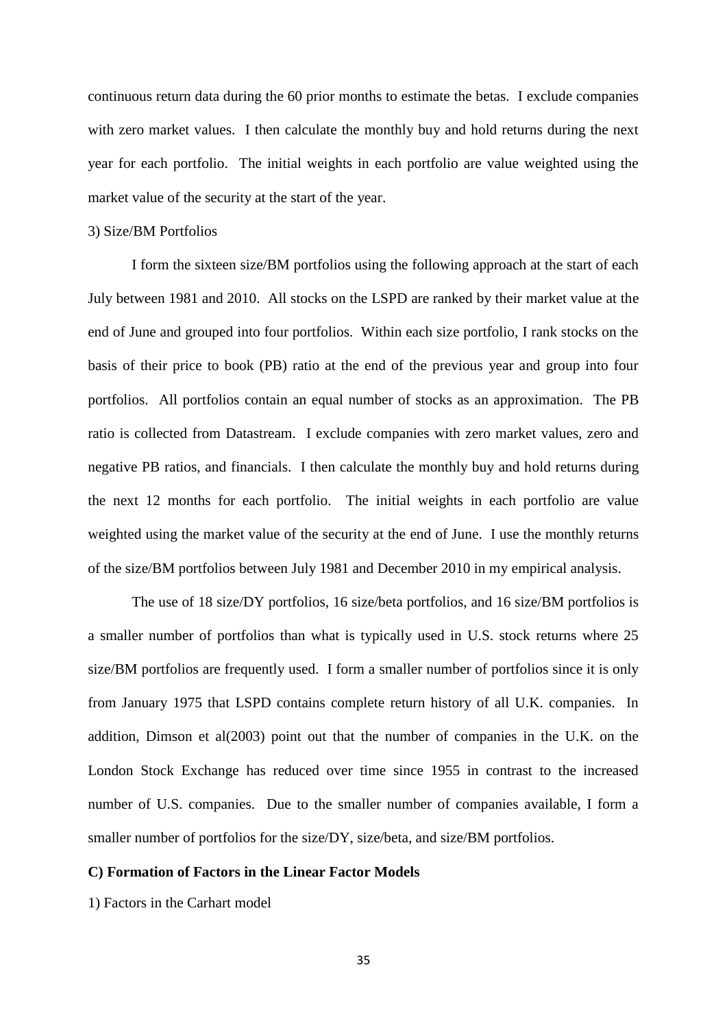continuous return data during the 60 prior months to estimate the betas. I exclude companies with zero market values. I then calculate the monthly buy and hold returns during the next year for each portfolio. The initial weights in each portfolio are value weighted using the market value of the security at the start of the year.

#### 3) Size/BM Portfolios

I form the sixteen size/BM portfolios using the following approach at the start of each July between 1981 and 2010. All stocks on the LSPD are ranked by their market value at the end of June and grouped into four portfolios. Within each size portfolio, I rank stocks on the basis of their price to book (PB) ratio at the end of the previous year and group into four portfolios. All portfolios contain an equal number of stocks as an approximation. The PB ratio is collected from Datastream. I exclude companies with zero market values, zero and negative PB ratios, and financials. I then calculate the monthly buy and hold returns during the next 12 months for each portfolio. The initial weights in each portfolio are value weighted using the market value of the security at the end of June. I use the monthly returns of the size/BM portfolios between July 1981 and December 2010 in my empirical analysis.

The use of 18 size/DY portfolios, 16 size/beta portfolios, and 16 size/BM portfolios is a smaller number of portfolios than what is typically used in U.S. stock returns where 25 size/BM portfolios are frequently used. I form a smaller number of portfolios since it is only from January 1975 that LSPD contains complete return history of all U.K. companies. In addition, Dimson et al $(2003)$  point out that the number of companies in the U.K. on the London Stock Exchange has reduced over time since 1955 in contrast to the increased number of U.S. companies. Due to the smaller number of companies available, I form a smaller number of portfolios for the size/DY, size/beta, and size/BM portfolios.

#### **C) Formation of Factors in the Linear Factor Models**

1) Factors in the Carhart model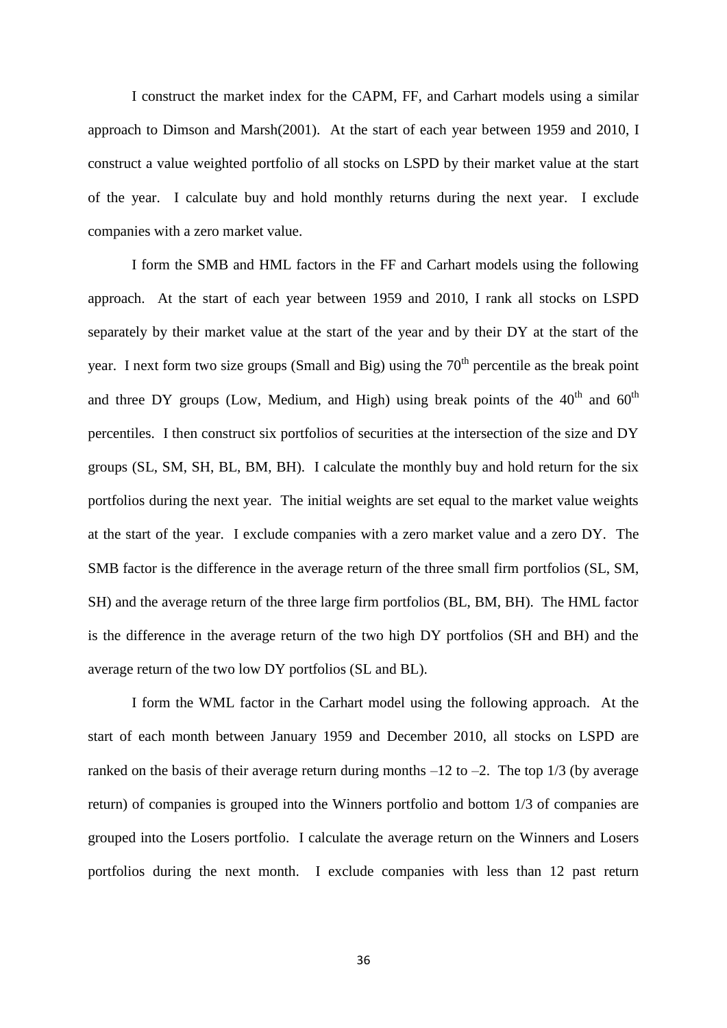I construct the market index for the CAPM, FF, and Carhart models using a similar approach to Dimson and Marsh(2001). At the start of each year between 1959 and 2010, I construct a value weighted portfolio of all stocks on LSPD by their market value at the start of the year. I calculate buy and hold monthly returns during the next year. I exclude companies with a zero market value.

I form the SMB and HML factors in the FF and Carhart models using the following approach. At the start of each year between 1959 and 2010, I rank all stocks on LSPD separately by their market value at the start of the year and by their DY at the start of the year. I next form two size groups (Small and Big) using the  $70<sup>th</sup>$  percentile as the break point and three DY groups (Low, Medium, and High) using break points of the  $40<sup>th</sup>$  and  $60<sup>th</sup>$ percentiles. I then construct six portfolios of securities at the intersection of the size and DY groups (SL, SM, SH, BL, BM, BH). I calculate the monthly buy and hold return for the six portfolios during the next year. The initial weights are set equal to the market value weights at the start of the year. I exclude companies with a zero market value and a zero DY. The SMB factor is the difference in the average return of the three small firm portfolios (SL, SM, SH) and the average return of the three large firm portfolios (BL, BM, BH). The HML factor is the difference in the average return of the two high DY portfolios (SH and BH) and the average return of the two low DY portfolios (SL and BL).

I form the WML factor in the Carhart model using the following approach. At the start of each month between January 1959 and December 2010, all stocks on LSPD are ranked on the basis of their average return during months  $-12$  to  $-2$ . The top  $1/3$  (by average return) of companies is grouped into the Winners portfolio and bottom 1/3 of companies are grouped into the Losers portfolio. I calculate the average return on the Winners and Losers portfolios during the next month. I exclude companies with less than 12 past return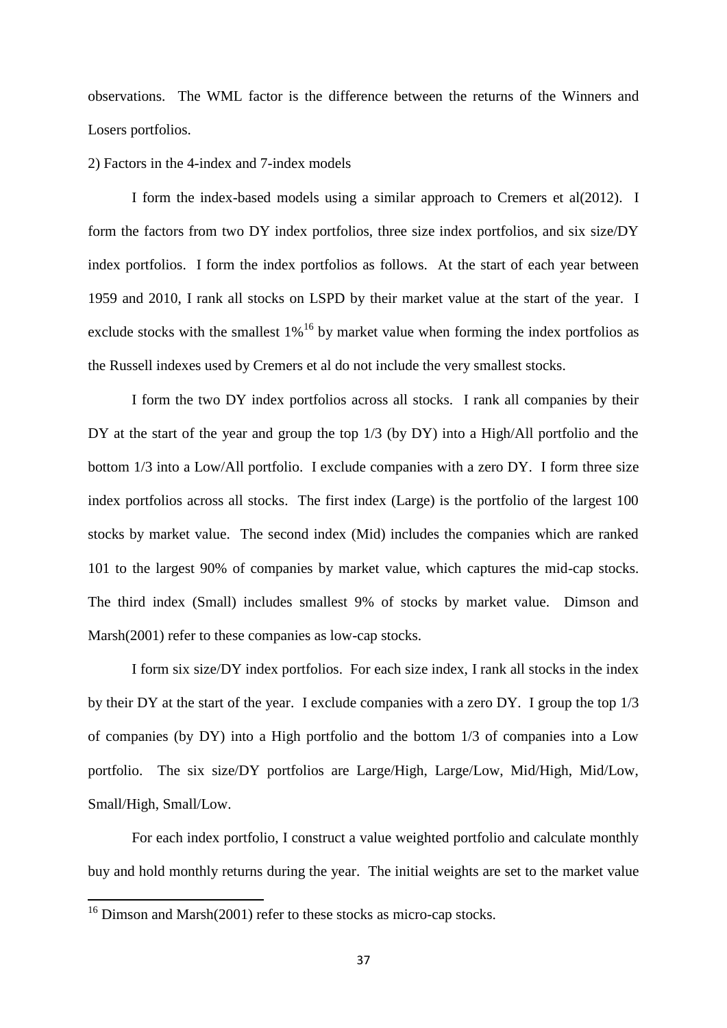observations. The WML factor is the difference between the returns of the Winners and Losers portfolios.

#### 2) Factors in the 4-index and 7-index models

I form the index-based models using a similar approach to Cremers et al(2012). I form the factors from two DY index portfolios, three size index portfolios, and six size/DY index portfolios. I form the index portfolios as follows. At the start of each year between 1959 and 2010, I rank all stocks on LSPD by their market value at the start of the year. I exclude stocks with the smallest  $1\%$ <sup>16</sup> by market value when forming the index portfolios as the Russell indexes used by Cremers et al do not include the very smallest stocks.

I form the two DY index portfolios across all stocks. I rank all companies by their DY at the start of the year and group the top 1/3 (by DY) into a High/All portfolio and the bottom 1/3 into a Low/All portfolio. I exclude companies with a zero DY. I form three size index portfolios across all stocks. The first index (Large) is the portfolio of the largest 100 stocks by market value. The second index (Mid) includes the companies which are ranked 101 to the largest 90% of companies by market value, which captures the mid-cap stocks. The third index (Small) includes smallest 9% of stocks by market value. Dimson and Marsh(2001) refer to these companies as low-cap stocks.

I form six size/DY index portfolios. For each size index, I rank all stocks in the index by their DY at the start of the year. I exclude companies with a zero DY. I group the top 1/3 of companies (by DY) into a High portfolio and the bottom 1/3 of companies into a Low portfolio. The six size/DY portfolios are Large/High, Large/Low, Mid/High, Mid/Low, Small/High, Small/Low.

For each index portfolio, I construct a value weighted portfolio and calculate monthly buy and hold monthly returns during the year. The initial weights are set to the market value

**.** 

<sup>&</sup>lt;sup>16</sup> Dimson and Marsh(2001) refer to these stocks as micro-cap stocks.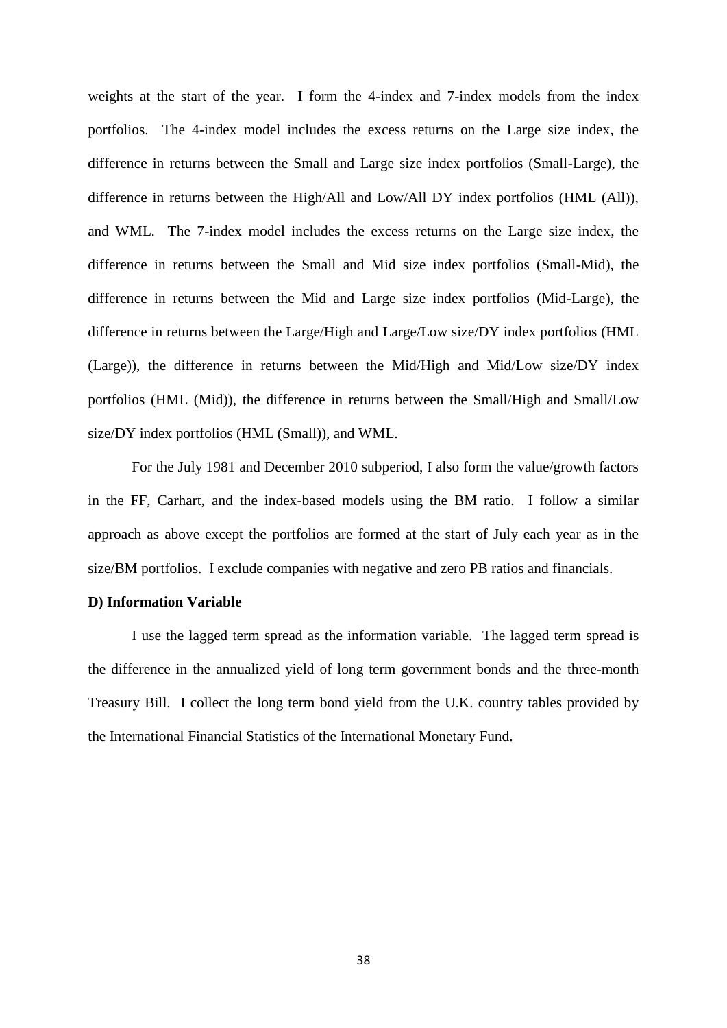weights at the start of the year. I form the 4-index and 7-index models from the index portfolios. The 4-index model includes the excess returns on the Large size index, the difference in returns between the Small and Large size index portfolios (Small-Large), the difference in returns between the High/All and Low/All DY index portfolios (HML (All)), and WML. The 7-index model includes the excess returns on the Large size index, the difference in returns between the Small and Mid size index portfolios (Small-Mid), the difference in returns between the Mid and Large size index portfolios (Mid-Large), the difference in returns between the Large/High and Large/Low size/DY index portfolios (HML (Large)), the difference in returns between the Mid/High and Mid/Low size/DY index portfolios (HML (Mid)), the difference in returns between the Small/High and Small/Low size/DY index portfolios (HML (Small)), and WML.

For the July 1981 and December 2010 subperiod, I also form the value/growth factors in the FF, Carhart, and the index-based models using the BM ratio. I follow a similar approach as above except the portfolios are formed at the start of July each year as in the size/BM portfolios. I exclude companies with negative and zero PB ratios and financials.

#### **D) Information Variable**

I use the lagged term spread as the information variable. The lagged term spread is the difference in the annualized yield of long term government bonds and the three-month Treasury Bill. I collect the long term bond yield from the U.K. country tables provided by the International Financial Statistics of the International Monetary Fund.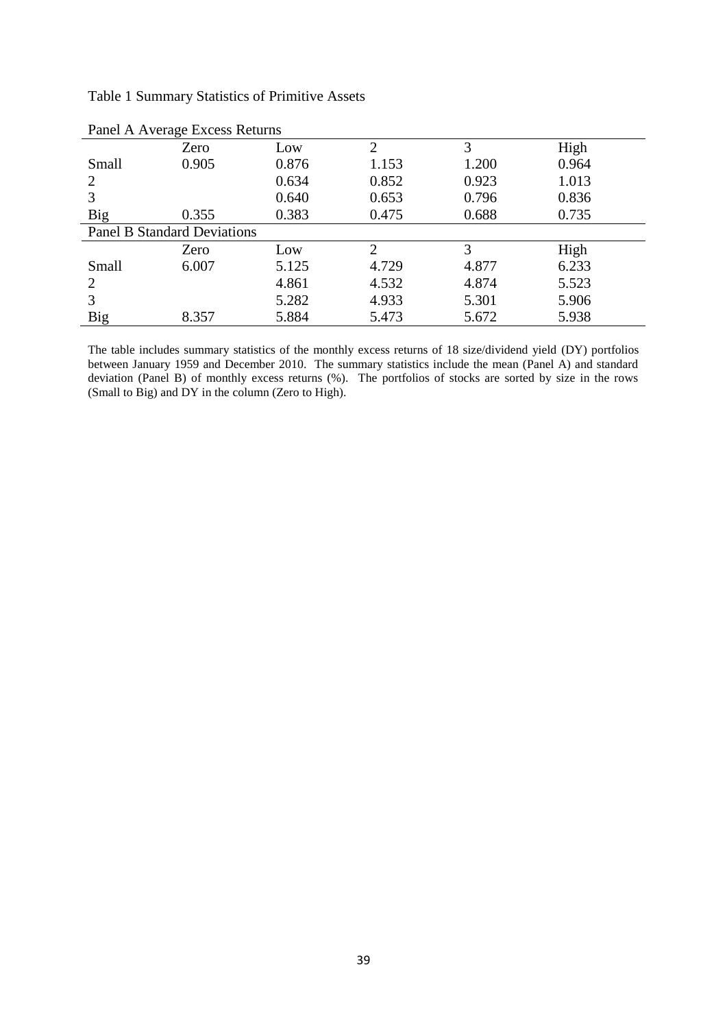|  |  |  | <b>Table 1 Summary Statistics of Primitive Assets</b> |  |
|--|--|--|-------------------------------------------------------|--|
|--|--|--|-------------------------------------------------------|--|

| 0.964                 |
|-----------------------|
| 1.013                 |
| 0.836                 |
| 0.735                 |
|                       |
|                       |
|                       |
| 5.523                 |
| 5.906                 |
| 5.938                 |
| High<br>High<br>6.233 |

The table includes summary statistics of the monthly excess returns of 18 size/dividend yield (DY) portfolios between January 1959 and December 2010. The summary statistics include the mean (Panel A) and standard deviation (Panel B) of monthly excess returns (%). The portfolios of stocks are sorted by size in the rows (Small to Big) and DY in the column (Zero to High).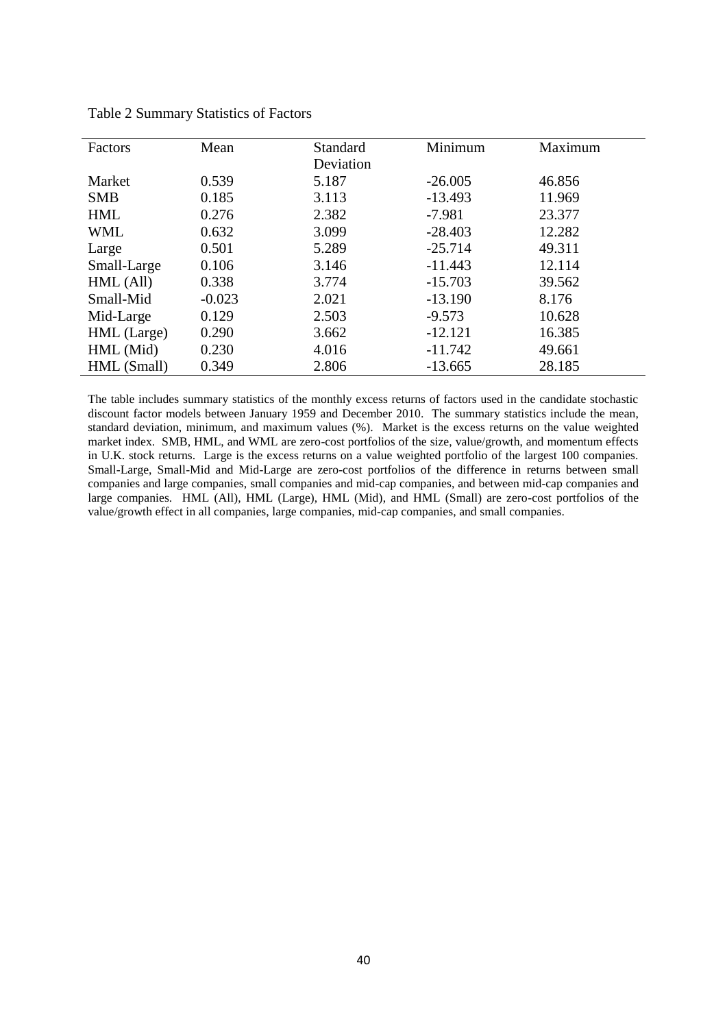| Factors     | Mean     | Standard<br>Deviation | Minimum   | Maximum |
|-------------|----------|-----------------------|-----------|---------|
| Market      | 0.539    | 5.187                 | $-26.005$ | 46.856  |
| <b>SMB</b>  | 0.185    | 3.113                 | $-13.493$ | 11.969  |
| <b>HML</b>  | 0.276    | 2.382                 | $-7.981$  | 23.377  |
| <b>WML</b>  | 0.632    | 3.099                 | $-28.403$ | 12.282  |
| Large       | 0.501    | 5.289                 | $-25.714$ | 49.311  |
| Small-Large | 0.106    | 3.146                 | $-11.443$ | 12.114  |
| HML (All)   | 0.338    | 3.774                 | $-15.703$ | 39.562  |
| Small-Mid   | $-0.023$ | 2.021                 | $-13.190$ | 8.176   |
| Mid-Large   | 0.129    | 2.503                 | $-9.573$  | 10.628  |
| HML (Large) | 0.290    | 3.662                 | $-12.121$ | 16.385  |
| HML (Mid)   | 0.230    | 4.016                 | $-11.742$ | 49.661  |
| HML (Small) | 0.349    | 2.806                 | $-13.665$ | 28.185  |

Table 2 Summary Statistics of Factors

The table includes summary statistics of the monthly excess returns of factors used in the candidate stochastic discount factor models between January 1959 and December 2010. The summary statistics include the mean, standard deviation, minimum, and maximum values (%). Market is the excess returns on the value weighted market index. SMB, HML, and WML are zero-cost portfolios of the size, value/growth, and momentum effects in U.K. stock returns. Large is the excess returns on a value weighted portfolio of the largest 100 companies. Small-Large, Small-Mid and Mid-Large are zero-cost portfolios of the difference in returns between small companies and large companies, small companies and mid-cap companies, and between mid-cap companies and large companies. HML (All), HML (Large), HML (Mid), and HML (Small) are zero-cost portfolios of the value/growth effect in all companies, large companies, mid-cap companies, and small companies.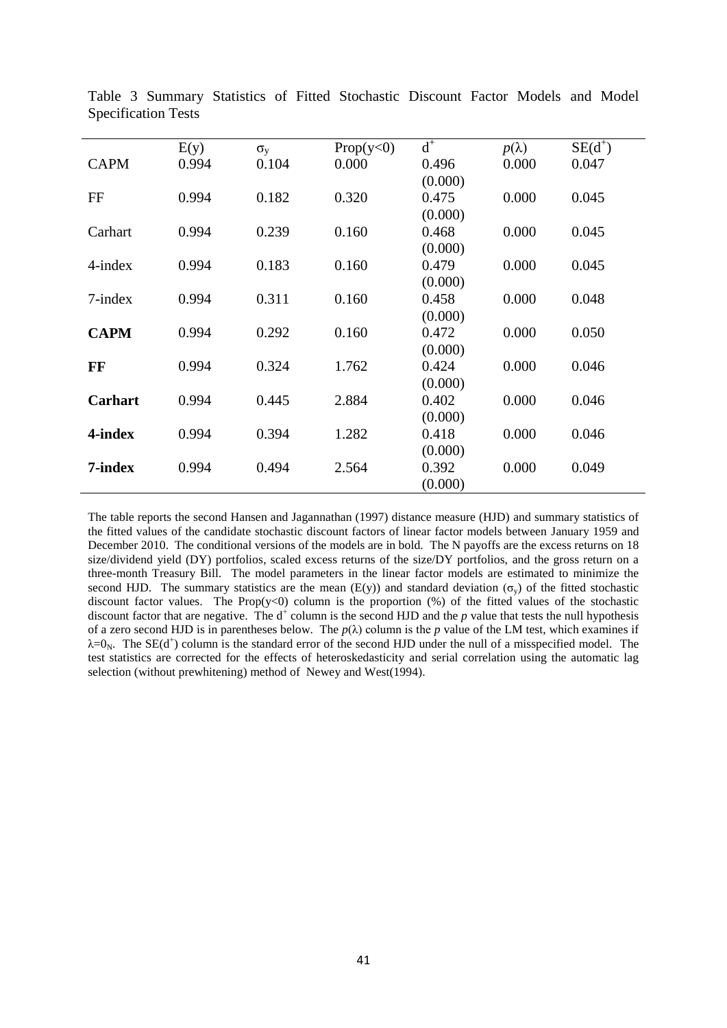|                | E(y)  | $\sigma_{v}$ | Prop(y<0) | $\mathbf{d}^+$ | $p(\lambda)$ | $SE(d^+)$ |
|----------------|-------|--------------|-----------|----------------|--------------|-----------|
| <b>CAPM</b>    | 0.994 | 0.104        | 0.000     | 0.496          | 0.000        | 0.047     |
|                |       |              |           | (0.000)        |              |           |
| FF             | 0.994 | 0.182        | 0.320     | 0.475          | 0.000        | 0.045     |
|                |       |              |           | (0.000)        |              |           |
| Carhart        | 0.994 | 0.239        | 0.160     | 0.468          | 0.000        | 0.045     |
|                |       |              |           | (0.000)        |              |           |
| $4$ -index     | 0.994 | 0.183        | 0.160     | 0.479          | 0.000        | 0.045     |
|                |       |              |           | (0.000)        |              |           |
| $7$ -index     | 0.994 | 0.311        | 0.160     | 0.458          | 0.000        | 0.048     |
|                |       |              |           | (0.000)        |              |           |
| <b>CAPM</b>    | 0.994 | 0.292        | 0.160     | 0.472          | 0.000        | 0.050     |
|                |       |              |           | (0.000)        |              |           |
| FF             | 0.994 | 0.324        | 1.762     | 0.424          | 0.000        | 0.046     |
|                |       |              |           | (0.000)        |              |           |
| <b>Carhart</b> | 0.994 | 0.445        | 2.884     | 0.402          | 0.000        | 0.046     |
|                |       |              |           | (0.000)        |              |           |
| 4-index        | 0.994 | 0.394        | 1.282     | 0.418          | 0.000        | 0.046     |
|                |       |              |           | (0.000)        |              |           |
| 7-index        | 0.994 | 0.494        | 2.564     | 0.392          | 0.000        | 0.049     |
|                |       |              |           | (0.000)        |              |           |

Table 3 Summary Statistics of Fitted Stochastic Discount Factor Models and Model Specification Tests

The table reports the second Hansen and Jagannathan (1997) distance measure (HJD) and summary statistics of the fitted values of the candidate stochastic discount factors of linear factor models between January 1959 and December 2010. The conditional versions of the models are in bold. The N payoffs are the excess returns on 18 size/dividend yield (DY) portfolios, scaled excess returns of the size/DY portfolios, and the gross return on a three-month Treasury Bill. The model parameters in the linear factor models are estimated to minimize the second HJD. The summary statistics are the mean (E(y)) and standard deviation ( $\sigma_y$ ) of the fitted stochastic discount factor values. The Prop $(y<0)$  column is the proportion  $(\%)$  of the fitted values of the stochastic discount factor that are negative. The  $d^+$  column is the second HJD and the  $p$  value that tests the null hypothesis of a zero second HJD is in parentheses below. The  $p(\lambda)$  column is the *p* value of the LM test, which examines if  $\lambda=0_N$ . The SE(d<sup>+</sup>) column is the standard error of the second HJD under the null of a misspecified model. The test statistics are corrected for the effects of heteroskedasticity and serial correlation using the automatic lag selection (without prewhitening) method of Newey and West(1994).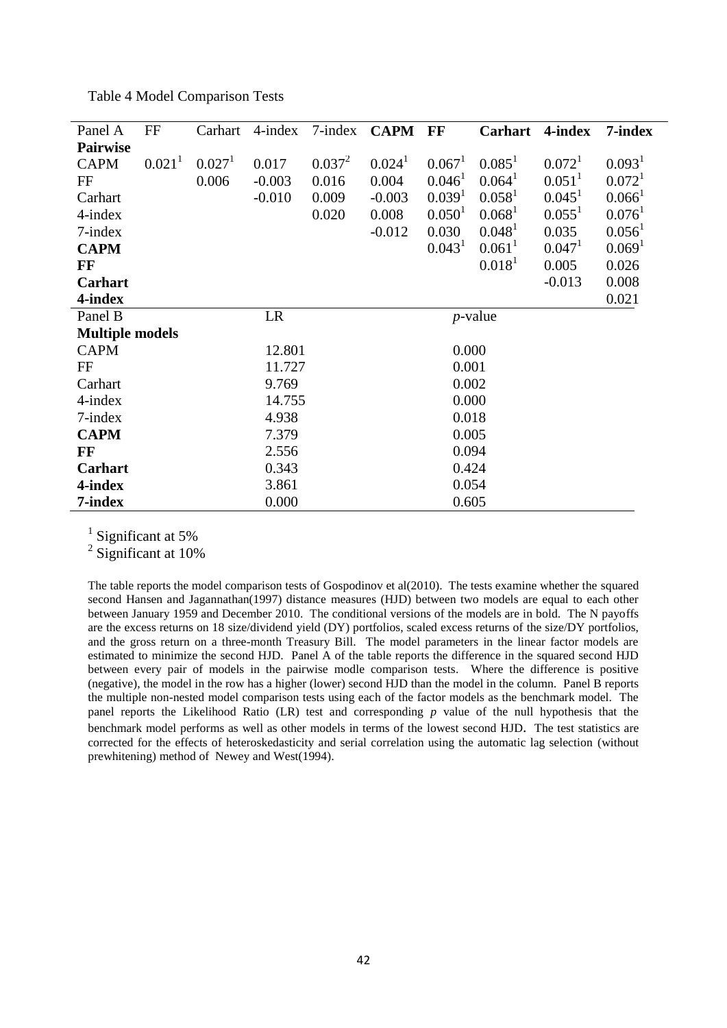| <b>Table 4 Model Comparison Tests</b> |  |  |
|---------------------------------------|--|--|
|                                       |  |  |

| Panel A                | FF                 | Carhart            | $4$ -index | $7$ -index | <b>CAPM</b>        | FF                 | Carhart              | 4-index              | 7-index              |
|------------------------|--------------------|--------------------|------------|------------|--------------------|--------------------|----------------------|----------------------|----------------------|
| <b>Pairwise</b>        |                    |                    |            |            |                    |                    |                      |                      |                      |
| <b>CAPM</b>            | 0.021 <sup>1</sup> | 0.027 <sup>1</sup> | 0.017      | $0.037^2$  | 0.024 <sup>1</sup> | 0.067 <sup>1</sup> | $0.085^1$            | 0.072 <sup>1</sup>   | 0.093 <sup>1</sup>   |
| FF                     |                    | 0.006              | $-0.003$   | 0.016      | 0.004              | 0.046 <sup>1</sup> | 0.064 <sup>1</sup>   | $0.051$ <sup>1</sup> | 0.072 <sup>1</sup>   |
| Carhart                |                    |                    | $-0.010$   | 0.009      | $-0.003$           | 0.039 <sup>1</sup> | 0.058 <sup>1</sup>   | $0.045^1$            | $0.066$ <sup>1</sup> |
| $4$ -index             |                    |                    |            | 0.020      | 0.008              | 0.050 <sup>1</sup> | 0.068 <sup>1</sup>   | $0.055^1$            | 0.076 <sup>1</sup>   |
| $7$ -index             |                    |                    |            |            | $-0.012$           | 0.030              | $0.048$ <sup>1</sup> | 0.035                | $0.056$ <sup>1</sup> |
| <b>CAPM</b>            |                    |                    |            |            |                    | 0.043 <sup>1</sup> | 0.061                | $0.047$ <sup>1</sup> | 0.069 <sup>1</sup>   |
| FF                     |                    |                    |            |            |                    |                    | 0.018 <sup>1</sup>   | 0.005                | 0.026                |
| Carhart                |                    |                    |            |            |                    |                    |                      | $-0.013$             | 0.008                |
| 4-index                |                    |                    |            |            |                    |                    |                      |                      | 0.021                |
| Panel B                |                    |                    | LR         |            |                    |                    | $p$ -value           |                      |                      |
| <b>Multiple models</b> |                    |                    |            |            |                    |                    |                      |                      |                      |
| <b>CAPM</b>            |                    |                    | 12.801     |            |                    | 0.000              |                      |                      |                      |
| FF                     |                    |                    | 11.727     |            |                    | 0.001              |                      |                      |                      |
| Carhart                |                    |                    | 9.769      |            |                    | 0.002              |                      |                      |                      |
| 4-index                |                    |                    | 14.755     |            |                    | 0.000              |                      |                      |                      |
| $7$ -index             |                    |                    | 4.938      |            |                    | 0.018              |                      |                      |                      |
| <b>CAPM</b>            |                    |                    | 7.379      |            |                    | 0.005              |                      |                      |                      |
| $\bf FF$               |                    |                    | 2.556      |            |                    | 0.094              |                      |                      |                      |
| Carhart                |                    |                    | 0.343      |            |                    | 0.424              |                      |                      |                      |
| 4-index                |                    |                    | 3.861      |            |                    | 0.054              |                      |                      |                      |
| 7-index                |                    |                    | 0.000      |            |                    | 0.605              |                      |                      |                      |

<sup>1</sup> Significant at 5%

<sup>2</sup> Significant at 10%

The table reports the model comparison tests of Gospodinov et al(2010). The tests examine whether the squared second Hansen and Jagannathan(1997) distance measures (HJD) between two models are equal to each other between January 1959 and December 2010. The conditional versions of the models are in bold. The N payoffs are the excess returns on 18 size/dividend yield (DY) portfolios, scaled excess returns of the size/DY portfolios, and the gross return on a three-month Treasury Bill. The model parameters in the linear factor models are estimated to minimize the second HJD. Panel A of the table reports the difference in the squared second HJD between every pair of models in the pairwise modle comparison tests. Where the difference is positive (negative), the model in the row has a higher (lower) second HJD than the model in the column. Panel B reports the multiple non-nested model comparison tests using each of the factor models as the benchmark model. The panel reports the Likelihood Ratio (LR) test and corresponding *p* value of the null hypothesis that the benchmark model performs as well as other models in terms of the lowest second HJD. The test statistics are corrected for the effects of heteroskedasticity and serial correlation using the automatic lag selection (without prewhitening) method of Newey and West(1994).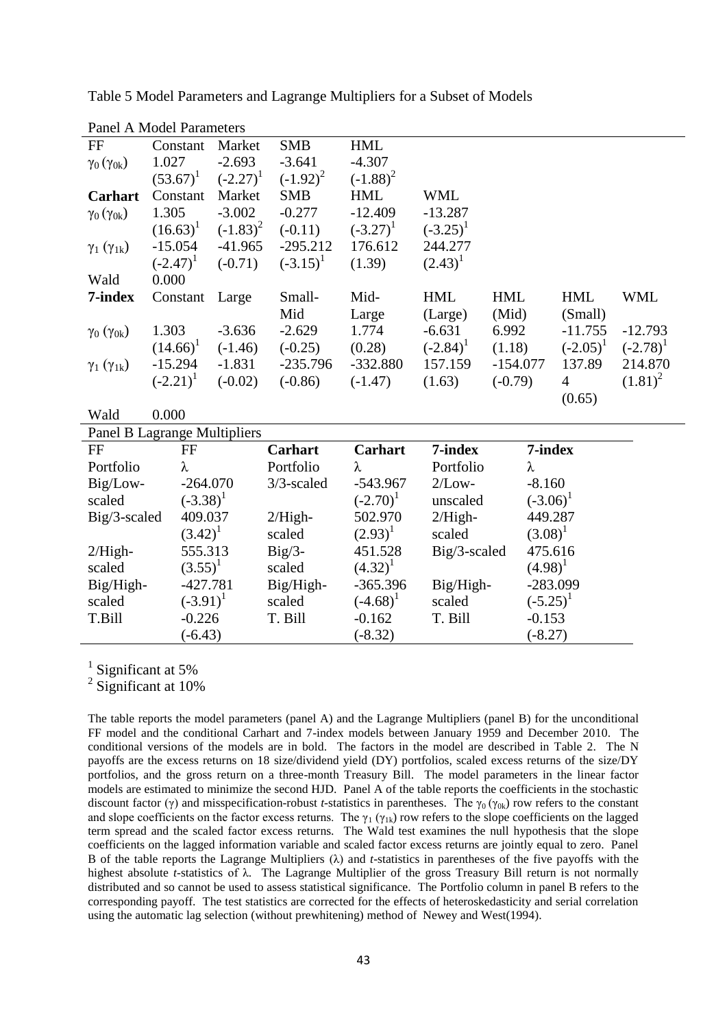| <b>Panel A Model Parameters</b>     |             |             |                |                |              |             |                |             |
|-------------------------------------|-------------|-------------|----------------|----------------|--------------|-------------|----------------|-------------|
| FF                                  | Constant    | Market      | <b>SMB</b>     | <b>HML</b>     |              |             |                |             |
| $\gamma_0(\gamma_{0k})$             | 1.027       | $-2.693$    | $-3.641$       | $-4.307$       |              |             |                |             |
|                                     | $(53.67)^1$ | $(-2.27)^1$ | $(-1.92)^2$    | $(-1.88)^2$    |              |             |                |             |
| Carhart                             | Constant    | Market      | <b>SMB</b>     | <b>HML</b>     | <b>WML</b>   |             |                |             |
| $\gamma_0(\gamma_{0k})$             | 1.305       | $-3.002$    | $-0.277$       | $-12.409$      | $-13.287$    |             |                |             |
|                                     | $(16.63)^1$ | $(-1.83)^2$ | $(-0.11)$      | $(-3.27)^1$    | $(-3.25)^1$  |             |                |             |
| $\gamma_1$ ( $\gamma_{1k}$ )        | $-15.054$   | $-41.965$   | $-295.212$     | 176.612        | 244.277      |             |                |             |
|                                     | $(-2.47)^1$ | $(-0.71)$   | $(-3.15)^1$    | (1.39)         | $(2.43)^1$   |             |                |             |
| Wald                                | 0.000       |             |                |                |              |             |                |             |
| 7-index                             | Constant    | Large       | Small-         | Mid-           | <b>HML</b>   | <b>HML</b>  | <b>HML</b>     | <b>WML</b>  |
|                                     |             |             | Mid            | Large          | (Large)      | (Mid)       | (Small)        |             |
| $\gamma_0$ ( $\gamma_{0k}$ )        | 1.303       | $-3.636$    | $-2.629$       | 1.774          | $-6.631$     | 6.992       | $-11.755$      | $-12.793$   |
|                                     | $(14.66)^1$ | $(-1.46)$   | $(-0.25)$      | (0.28)         | $(-2.84)^1$  | (1.18)      | $(-2.05)^1$    | $(-2.78)^1$ |
| $\gamma_1$ ( $\gamma_{1k}$ )        | $-15.294$   | $-1.831$    | $-235.796$     | $-332.880$     | 157.159      | $-154.077$  | 137.89         | 214.870     |
|                                     | $(-2.21)^1$ | $(-0.02)$   | $(-0.86)$      | $(-1.47)$      | (1.63)       | $(-0.79)$   | $\overline{4}$ | $(1.81)^2$  |
|                                     |             |             |                |                |              |             | (0.65)         |             |
| Wald                                | 0.000       |             |                |                |              |             |                |             |
| <b>Panel B Lagrange Multipliers</b> |             |             |                |                |              |             |                |             |
| FF                                  | $\rm FF$    |             | <b>Carhart</b> | <b>Carhart</b> | 7-index      | 7-index     |                |             |
| Portfolio                           | λ           |             | Portfolio      | λ              | Portfolio    | λ           |                |             |
| Big/Low-                            |             | $-264.070$  | $3/3$ -scaled  | $-543.967$     | $2/Low-$     | $-8.160$    |                |             |
| scaled                              | $(-3.38)^1$ |             |                | $(-2.70)^1$    | unscaled     | $(-3.06)^1$ |                |             |
| Big/3-scaled                        |             | 409.037     | $2/High-$      | 502.970        | $2/High-$    | 449.287     |                |             |
|                                     | $(3.42)^1$  |             | scaled         | $(2.93)^1$     | scaled       | $(3.08)^1$  |                |             |
| $2/High-$                           |             | 555.313     | $Big/3-$       | 451.528        | Big/3-scaled | 475.616     |                |             |
| scaled                              | $(3.55)^1$  |             | scaled         | $(4.32)^1$     |              | $(4.98)^1$  |                |             |
| Big/High-                           |             | $-427.781$  | Big/High-      | $-365.396$     | Big/High-    | $-283.099$  |                |             |
| scaled                              | $(-3.91)^1$ |             | scaled         | $(-4.68)^1$    | scaled       | $(-5.25)^1$ |                |             |
| T.Bill                              | $-0.226$    |             | T. Bill        | $-0.162$       | T. Bill      | $-0.153$    |                |             |
|                                     | $(-6.43)$   |             |                | $(-8.32)$      |              | $(-8.27)$   |                |             |

Table 5 Model Parameters and Lagrange Multipliers for a Subset of Models

<sup>1</sup> Significant at 5%

<sup>2</sup> Significant at 10%

The table reports the model parameters (panel A) and the Lagrange Multipliers (panel B) for the unconditional FF model and the conditional Carhart and 7-index models between January 1959 and December 2010. The conditional versions of the models are in bold. The factors in the model are described in Table 2. The N payoffs are the excess returns on 18 size/dividend yield (DY) portfolios, scaled excess returns of the size/DY portfolios, and the gross return on a three-month Treasury Bill. The model parameters in the linear factor models are estimated to minimize the second HJD. Panel A of the table reports the coefficients in the stochastic discount factor (γ) and misspecification-robust *t*-statistics in parentheses. The  $\gamma_0$  ( $\gamma_{0k}$ ) row refers to the constant and slope coefficients on the factor excess returns. The  $\gamma_1$  ( $\gamma_{1k}$ ) row refers to the slope coefficients on the lagged term spread and the scaled factor excess returns. The Wald test examines the null hypothesis that the slope coefficients on the lagged information variable and scaled factor excess returns are jointly equal to zero. Panel B of the table reports the Lagrange Multipliers (λ) and *t*-statistics in parentheses of the five payoffs with the highest absolute *t*-statistics of λ. The Lagrange Multiplier of the gross Treasury Bill return is not normally distributed and so cannot be used to assess statistical significance. The Portfolio column in panel B refers to the corresponding payoff. The test statistics are corrected for the effects of heteroskedasticity and serial correlation using the automatic lag selection (without prewhitening) method of Newey and West(1994).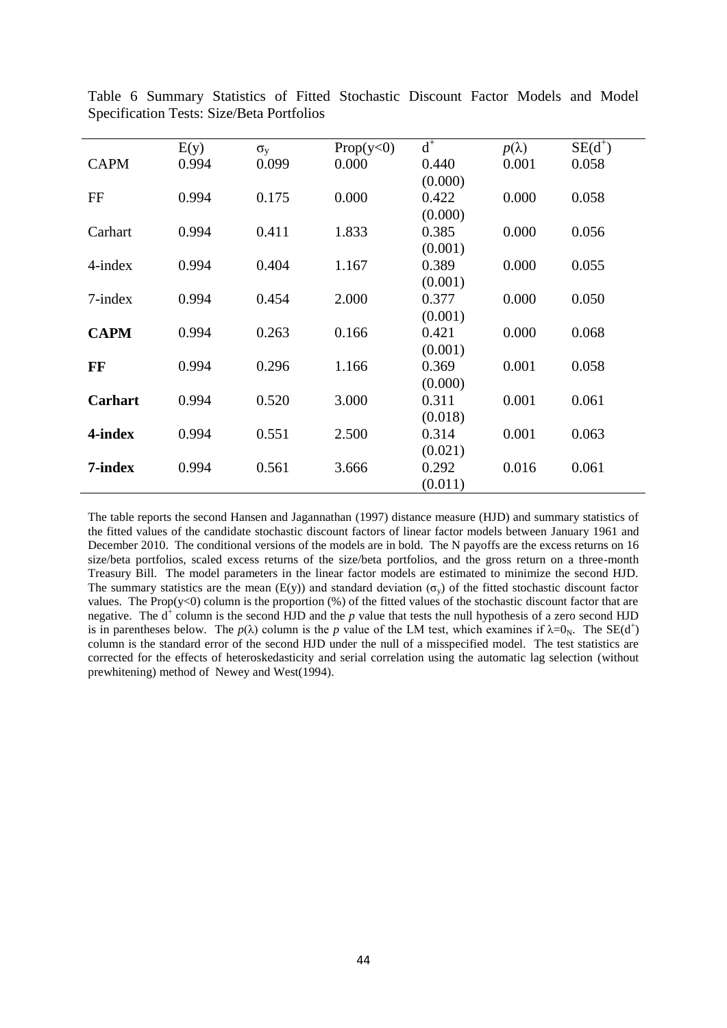|                | E(y)  | $\sigma_{v}$ | Prop(y<0) | $d^+$   | $p(\lambda)$ | $SE(d^+)$ |
|----------------|-------|--------------|-----------|---------|--------------|-----------|
| <b>CAPM</b>    | 0.994 | 0.099        | 0.000     | 0.440   | 0.001        | 0.058     |
|                |       |              |           | (0.000) |              |           |
| FF             | 0.994 | 0.175        | 0.000     | 0.422   | 0.000        | 0.058     |
|                |       |              |           | (0.000) |              |           |
| Carhart        | 0.994 | 0.411        | 1.833     | 0.385   | 0.000        | 0.056     |
|                |       |              |           | (0.001) |              |           |
| $4$ -index     | 0.994 | 0.404        | 1.167     | 0.389   | 0.000        | 0.055     |
|                |       |              |           | (0.001) |              |           |
| $7$ -index     | 0.994 | 0.454        | 2.000     | 0.377   | 0.000        | 0.050     |
|                |       |              |           | (0.001) |              |           |
| <b>CAPM</b>    | 0.994 | 0.263        | 0.166     | 0.421   | 0.000        | 0.068     |
|                |       |              |           | (0.001) |              |           |
| FF             | 0.994 | 0.296        | 1.166     | 0.369   | 0.001        | 0.058     |
|                |       |              |           | (0.000) |              |           |
| <b>Carhart</b> | 0.994 | 0.520        | 3.000     | 0.311   | 0.001        | 0.061     |
|                |       |              |           | (0.018) |              |           |
| 4-index        | 0.994 | 0.551        | 2.500     | 0.314   | 0.001        | 0.063     |
|                |       |              |           | (0.021) |              |           |
| 7-index        | 0.994 | 0.561        | 3.666     | 0.292   | 0.016        | 0.061     |
|                |       |              |           | (0.011) |              |           |

Table 6 Summary Statistics of Fitted Stochastic Discount Factor Models and Model Specification Tests: Size/Beta Portfolios

The table reports the second Hansen and Jagannathan (1997) distance measure (HJD) and summary statistics of the fitted values of the candidate stochastic discount factors of linear factor models between January 1961 and December 2010. The conditional versions of the models are in bold. The N payoffs are the excess returns on 16 size/beta portfolios, scaled excess returns of the size/beta portfolios, and the gross return on a three-month Treasury Bill. The model parameters in the linear factor models are estimated to minimize the second HJD. The summary statistics are the mean (E(y)) and standard deviation ( $\sigma_y$ ) of the fitted stochastic discount factor values. The Prop(y<0) column is the proportion  $(\%)$  of the fitted values of the stochastic discount factor that are negative. The  $d^+$  column is the second HJD and the  $p$  value that tests the null hypothesis of a zero second HJD is in parentheses below. The  $p(\lambda)$  column is the p value of the LM test, which examines if  $\lambda=0_N$ . The SE(d<sup>+</sup>) column is the standard error of the second HJD under the null of a misspecified model. The test statistics are corrected for the effects of heteroskedasticity and serial correlation using the automatic lag selection (without prewhitening) method of Newey and West(1994).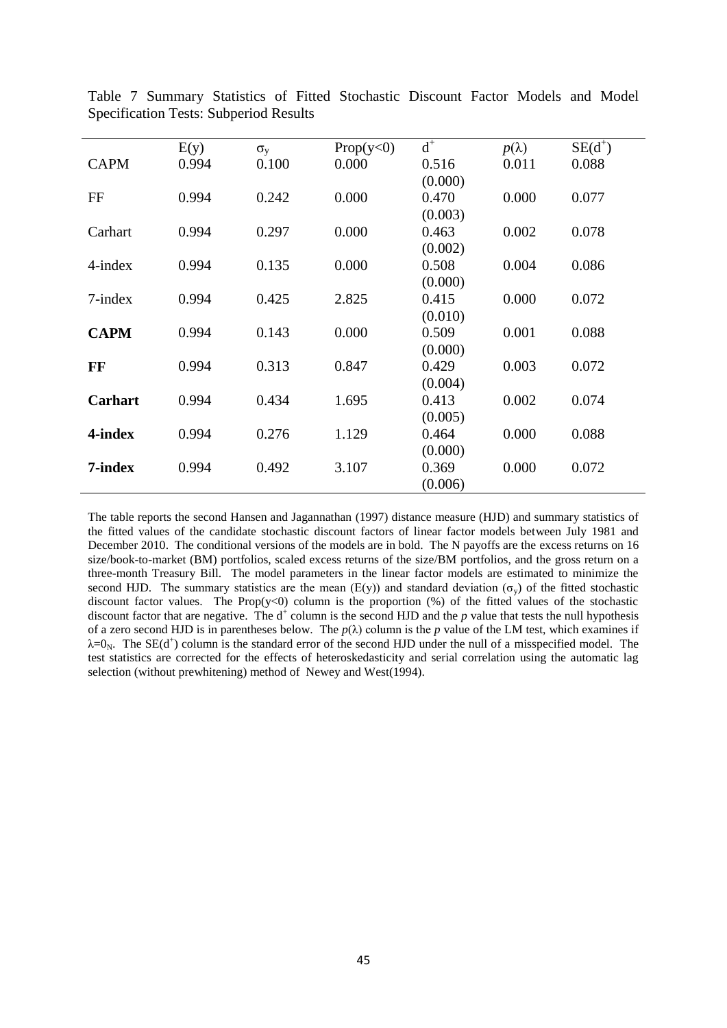|                | E(y)  | $\sigma_{v}$ | Prop(y<0) | $\mbox{\bf d}^+$ | $p(\lambda)$ | $SE(d^+)$ |
|----------------|-------|--------------|-----------|------------------|--------------|-----------|
| <b>CAPM</b>    | 0.994 | 0.100        | 0.000     | 0.516            | 0.011        | 0.088     |
|                |       |              |           | (0.000)          |              |           |
| FF             | 0.994 | 0.242        | 0.000     | 0.470            | 0.000        | 0.077     |
|                |       |              |           | (0.003)          |              |           |
| Carhart        | 0.994 | 0.297        | 0.000     | 0.463            | 0.002        | 0.078     |
|                |       |              |           | (0.002)          |              |           |
| $4$ -index     | 0.994 | 0.135        | 0.000     | 0.508            | 0.004        | 0.086     |
|                |       |              |           | (0.000)          |              |           |
| $7$ -index     | 0.994 | 0.425        | 2.825     | 0.415            | 0.000        | 0.072     |
|                |       |              |           | (0.010)          |              |           |
| <b>CAPM</b>    | 0.994 | 0.143        | 0.000     | 0.509            | 0.001        | 0.088     |
|                |       |              |           | (0.000)          |              |           |
| FF             | 0.994 | 0.313        | 0.847     | 0.429            | 0.003        | 0.072     |
|                |       |              |           | (0.004)          |              |           |
| <b>Carhart</b> | 0.994 | 0.434        | 1.695     | 0.413            | 0.002        | 0.074     |
|                |       |              |           | (0.005)          |              |           |
| 4-index        | 0.994 | 0.276        | 1.129     | 0.464            | 0.000        | 0.088     |
|                |       |              |           | (0.000)          |              |           |
| 7-index        | 0.994 | 0.492        | 3.107     | 0.369            | 0.000        | 0.072     |
|                |       |              |           | (0.006)          |              |           |

Table 7 Summary Statistics of Fitted Stochastic Discount Factor Models and Model Specification Tests: Subperiod Results

The table reports the second Hansen and Jagannathan (1997) distance measure (HJD) and summary statistics of the fitted values of the candidate stochastic discount factors of linear factor models between July 1981 and December 2010. The conditional versions of the models are in bold. The N payoffs are the excess returns on 16 size/book-to-market (BM) portfolios, scaled excess returns of the size/BM portfolios, and the gross return on a three-month Treasury Bill. The model parameters in the linear factor models are estimated to minimize the second HJD. The summary statistics are the mean (E(y)) and standard deviation ( $\sigma_y$ ) of the fitted stochastic discount factor values. The Prop(y<0) column is the proportion  $%$  of the fitted values of the stochastic discount factor that are negative. The  $d^+$  column is the second HJD and the  $p$  value that tests the null hypothesis of a zero second HJD is in parentheses below. The  $p(\lambda)$  column is the *p* value of the LM test, which examines if  $\lambda=0_N$ . The SE(d<sup>+</sup>) column is the standard error of the second HJD under the null of a misspecified model. The test statistics are corrected for the effects of heteroskedasticity and serial correlation using the automatic lag selection (without prewhitening) method of Newey and West(1994).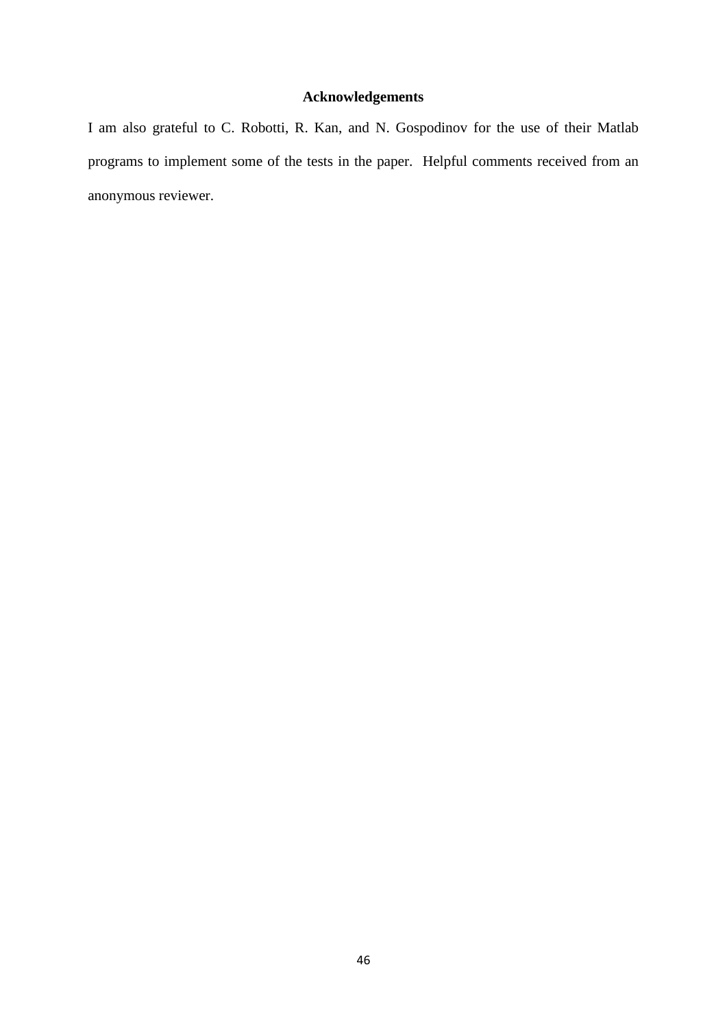# **Acknowledgements**

I am also grateful to C. Robotti, R. Kan, and N. Gospodinov for the use of their Matlab programs to implement some of the tests in the paper. Helpful comments received from an anonymous reviewer.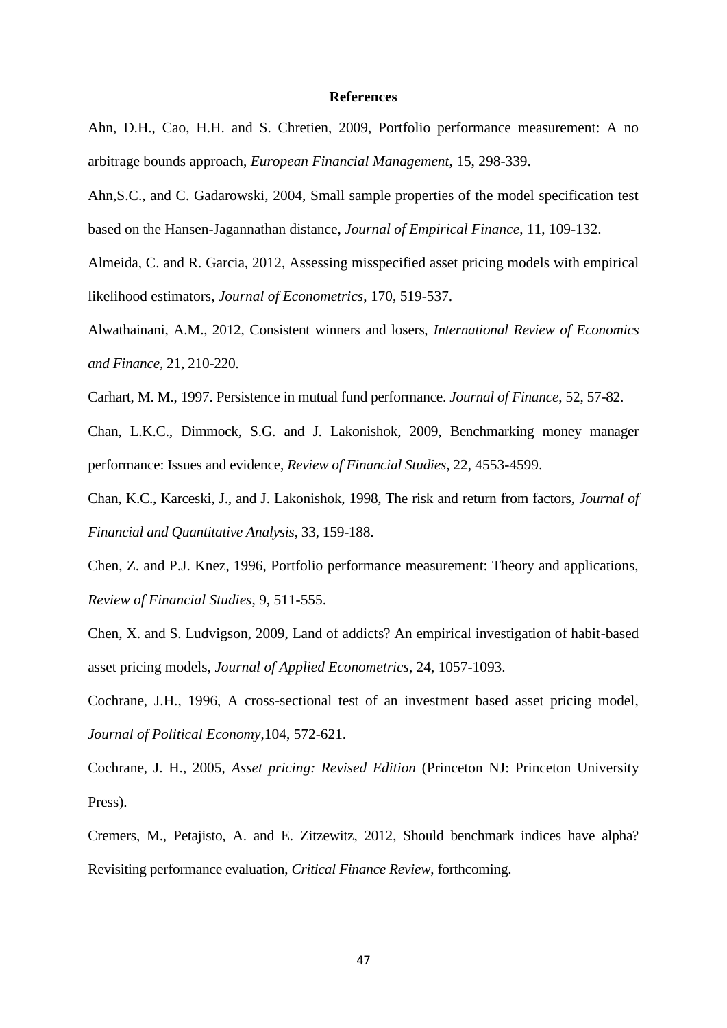#### **References**

Ahn, D.H., Cao, H.H. and S. Chretien, 2009, Portfolio performance measurement: A no arbitrage bounds approach, *European Financial Management*, 15, 298-339.

Ahn,S.C., and C. Gadarowski, 2004, Small sample properties of the model specification test based on the Hansen-Jagannathan distance, *Journal of Empirical Finance*, 11, 109-132.

Almeida, C. and R. Garcia, 2012, Assessing misspecified asset pricing models with empirical likelihood estimators, *Journal of Econometrics*, 170, 519-537.

Alwathainani, A.M., 2012, Consistent winners and losers, *International Review of Economics and Finance*, 21, 210-220.

Carhart, M. M., 1997. Persistence in mutual fund performance. *Journal of Finance*, 52, 57-82.

Chan, L.K.C., Dimmock, S.G. and J. Lakonishok, 2009, Benchmarking money manager performance: Issues and evidence, *Review of Financial Studies*, 22, 4553-4599.

Chan, K.C., Karceski, J., and J. Lakonishok, 1998, The risk and return from factors, *Journal of Financial and Quantitative Analysis*, 33, 159-188.

Chen, Z. and P.J. Knez, 1996, Portfolio performance measurement: Theory and applications, *Review of Financial Studies*, 9, 511-555.

Chen, X. and S. Ludvigson, 2009, Land of addicts? An empirical investigation of habit-based asset pricing models, *Journal of Applied Econometrics*, 24, 1057-1093.

Cochrane, J.H., 1996, A cross-sectional test of an investment based asset pricing model, *Journal of Political Economy*,104, 572-621.

Cochrane, J. H., 2005, *Asset pricing: Revised Edition* (Princeton NJ: Princeton University Press).

Cremers, M., Petajisto, A. and E. Zitzewitz, 2012, Should benchmark indices have alpha? Revisiting performance evaluation, *Critical Finance Review*, forthcoming.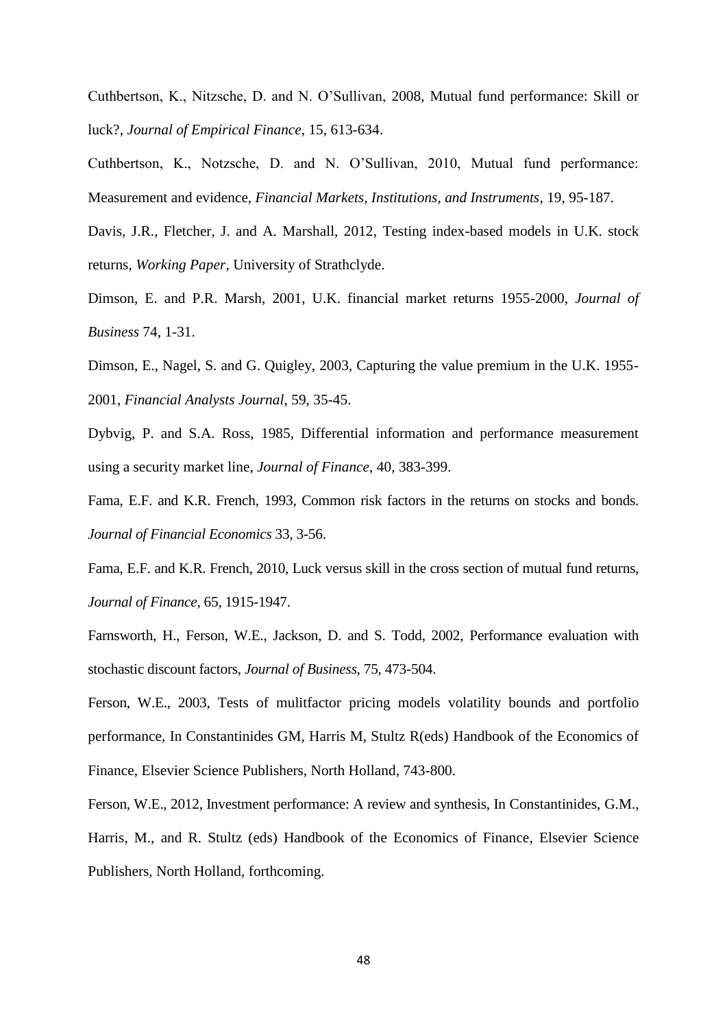Cuthbertson, K., Nitzsche, D. and N. O'Sullivan, 2008, Mutual fund performance: Skill or luck?, *Journal of Empirical Finance*, 15, 613-634.

Cuthbertson, K., Notzsche, D. and N. O'Sullivan, 2010, Mutual fund performance: Measurement and evidence, *Financial Markets, Institutions, and Instruments*, 19, 95-187.

Davis, J.R., Fletcher, J. and A. Marshall, 2012, Testing index-based models in U.K. stock returns, *Working Paper*, University of Strathclyde.

Dimson, E. and P.R. Marsh, 2001, U.K. financial market returns 1955-2000, *Journal of Business* 74, 1-31.

Dimson, E., Nagel, S. and G. Quigley, 2003, Capturing the value premium in the U.K. 1955- 2001, *Financial Analysts Journal*, 59, 35-45.

Dybvig, P. and S.A. Ross, 1985, Differential information and performance measurement using a security market line, *Journal of Finance*, 40, 383-399.

Fama, E.F. and K.R. French, 1993, Common risk factors in the returns on stocks and bonds. *Journal of Financial Economics* 33, 3-56.

Fama, E.F. and K.R. French, 2010, Luck versus skill in the cross section of mutual fund returns, *Journal of Finance*, 65, 1915-1947.

Farnsworth, H., Ferson, W.E., Jackson, D. and S. Todd, 2002, Performance evaluation with stochastic discount factors, *Journal of Business*, 75, 473-504.

Ferson, W.E., 2003, Tests of mulitfactor pricing models volatility bounds and portfolio performance, In Constantinides GM, Harris M, Stultz R(eds) Handbook of the Economics of Finance, Elsevier Science Publishers, North Holland, 743-800.

Ferson, W.E., 2012, Investment performance: A review and synthesis, In Constantinides, G.M., Harris, M., and R. Stultz (eds) Handbook of the Economics of Finance, Elsevier Science Publishers, North Holland, forthcoming.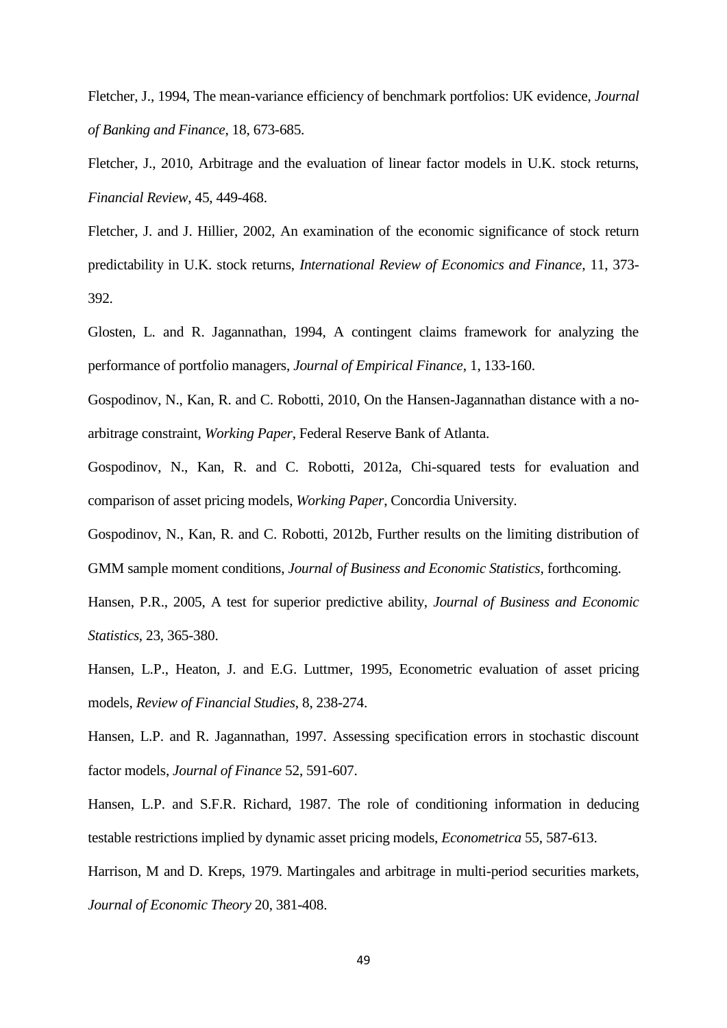Fletcher, J., 1994, The mean-variance efficiency of benchmark portfolios: UK evidence, *Journal of Banking and Finance*, 18, 673-685.

Fletcher, J., 2010, Arbitrage and the evaluation of linear factor models in U.K. stock returns, *Financial Review*, 45, 449-468.

Fletcher, J. and J. Hillier, 2002, An examination of the economic significance of stock return predictability in U.K. stock returns, *International Review of Economics and Finance*, 11, 373- 392.

Glosten, L. and R. Jagannathan, 1994, A contingent claims framework for analyzing the performance of portfolio managers, *Journal of Empirical Finance*, 1, 133-160.

Gospodinov, N., Kan, R. and C. Robotti, 2010, On the Hansen-Jagannathan distance with a noarbitrage constraint, *Working Paper*, Federal Reserve Bank of Atlanta.

Gospodinov, N., Kan, R. and C. Robotti, 2012a, Chi-squared tests for evaluation and comparison of asset pricing models, *Working Paper*, Concordia University.

Gospodinov, N., Kan, R. and C. Robotti, 2012b, Further results on the limiting distribution of GMM sample moment conditions, *Journal of Business and Economic Statistics*, forthcoming.

Hansen, P.R., 2005, A test for superior predictive ability, *Journal of Business and Economic Statistics*, 23, 365-380.

Hansen, L.P., Heaton, J. and E.G. Luttmer, 1995, Econometric evaluation of asset pricing models, *Review of Financial Studies*, 8, 238-274.

Hansen, L.P. and R. Jagannathan, 1997. Assessing specification errors in stochastic discount factor models, *Journal of Finance* 52, 591-607.

Hansen, L.P. and S.F.R. Richard, 1987. The role of conditioning information in deducing testable restrictions implied by dynamic asset pricing models, *Econometrica* 55, 587-613.

Harrison, M and D. Kreps, 1979. Martingales and arbitrage in multi-period securities markets, *Journal of Economic Theory* 20, 381-408.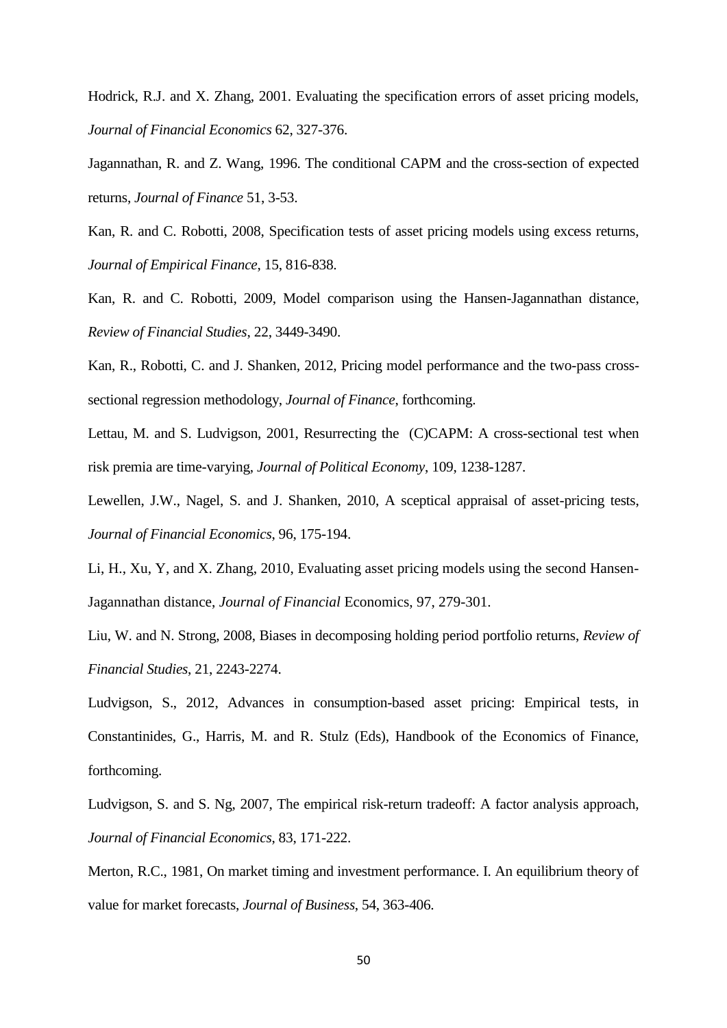Hodrick, R.J. and X. Zhang, 2001. Evaluating the specification errors of asset pricing models, *Journal of Financial Economics* 62, 327-376.

Jagannathan, R. and Z. Wang, 1996. The conditional CAPM and the cross-section of expected returns, *Journal of Finance* 51, 3-53.

Kan, R. and C. Robotti, 2008, Specification tests of asset pricing models using excess returns, *Journal of Empirical Finance*, 15, 816-838.

Kan, R. and C. Robotti, 2009, Model comparison using the Hansen-Jagannathan distance, *Review of Financial Studies*, 22, 3449-3490.

Kan, R., Robotti, C. and J. Shanken, 2012, Pricing model performance and the two-pass crosssectional regression methodology, *Journal of Finance*, forthcoming.

Lettau, M. and S. Ludvigson, 2001, Resurrecting the (C)CAPM: A cross-sectional test when risk premia are time-varying, *Journal of Political Economy*, 109, 1238-1287.

Lewellen, J.W., Nagel, S. and J. Shanken, 2010, A sceptical appraisal of asset-pricing tests, *Journal of Financial Economics*, 96, 175-194.

Li, H., Xu, Y, and X. Zhang, 2010, Evaluating asset pricing models using the second Hansen-Jagannathan distance, *Journal of Financial* Economics, 97, 279-301.

Liu, W. and N. Strong, 2008, Biases in decomposing holding period portfolio returns, *Review of Financial Studies*, 21, 2243-2274.

Ludvigson, S., 2012, Advances in consumption-based asset pricing: Empirical tests, in Constantinides, G., Harris, M. and R. Stulz (Eds), Handbook of the Economics of Finance, forthcoming.

Ludvigson, S. and S. Ng, 2007, The empirical risk-return tradeoff: A factor analysis approach, *Journal of Financial Economics*, 83, 171-222.

Merton, R.C., 1981, On market timing and investment performance. I. An equilibrium theory of value for market forecasts, *Journal of Business*, 54, 363-406.